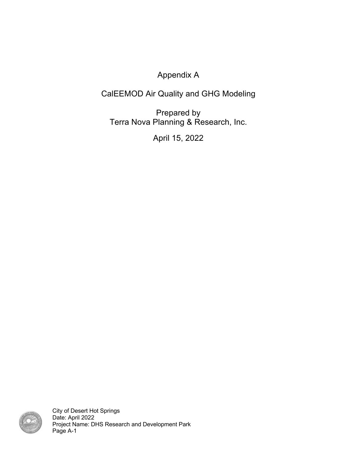Appendix A

# CalEEMOD Air Quality and GHG Modeling

Prepared by Terra Nova Planning & Research, Inc.

April 15, 2022



City of Desert Hot Springs Date: April 2022 Project Name: DHS Research and Development Park Page A-1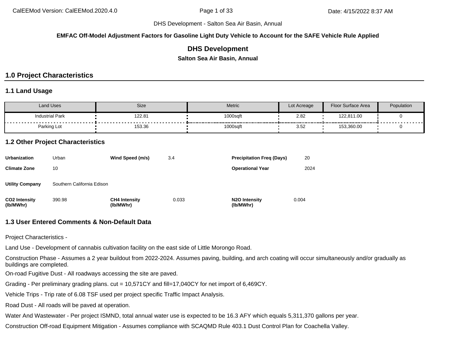**EMFAC Off-Model Adjustment Factors for Gasoline Light Duty Vehicle to Account for the SAFE Vehicle Rule Applied**

### **DHS Development**

**Salton Sea Air Basin, Annual**

# **1.0 Project Characteristics**

### **1.1 Land Usage**

| Land Uses              | Size   | <b>Metric</b>                                  | Lot Acreage                                    | <b>Floor Surface Area</b> | Population                      |
|------------------------|--------|------------------------------------------------|------------------------------------------------|---------------------------|---------------------------------|
| <b>Industrial Park</b> | 122.81 | 1000sqft<br>----------<br>-------------------- | 2.82                                           | 122,811.00                | - - - - - - - - - - - - - - - - |
| Parking Lot            | 153.36 | 1000sqft                                       | ---------------------<br>$\sim$ $\sim$<br>3.52 | 153,360.00                |                                 |

### **1.2 Other Project Characteristics**

| <b>Urbanization</b>               | Urban                      | Wind Speed (m/s)                  | 3.4   | <b>Precipitation Freg (Days)</b>        | 20    |
|-----------------------------------|----------------------------|-----------------------------------|-------|-----------------------------------------|-------|
| <b>Climate Zone</b>               | 10                         |                                   |       | <b>Operational Year</b>                 | 2024  |
| <b>Utility Company</b>            | Southern California Edison |                                   |       |                                         |       |
| <b>CO2 Intensity</b><br>(lb/MWhr) | 390.98                     | <b>CH4 Intensity</b><br>(lb/MWhr) | 0.033 | N <sub>2</sub> O Intensity<br>(lb/MWhr) | 0.004 |

### **1.3 User Entered Comments & Non-Default Data**

Project Characteristics -

Land Use - Development of cannabis cultivation facility on the east side of Little Morongo Road.

Construction Phase - Assumes a 2 year buildout from 2022-2024. Assumes paving, building, and arch coating will occur simultaneously and/or gradually as buildings are completed.

On-road Fugitive Dust - All roadways accessing the site are paved.

Grading - Per preliminary grading plans. cut = 10,571CY and fill=17,040CY for net import of 6,469CY.

Vehicle Trips - Trip rate of 6.08 TSF used per project specific Traffic Impact Analysis.

Road Dust - All roads will be paved at operation.

Water And Wastewater - Per project ISMND, total annual water use is expected to be 16.3 AFY which equals 5,311,370 gallons per year.

Construction Off-road Equipment Mitigation - Assumes compliance with SCAQMD Rule 403.1 Dust Control Plan for Coachella Valley.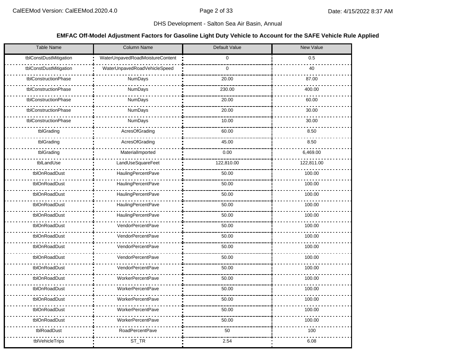### **EMFAC Off-Model Adjustment Factors for Gasoline Light Duty Vehicle to Account for the SAFE Vehicle Rule Applied**

| <b>Table Name</b>      | Column Name                     | Default Value | New Value  |
|------------------------|---------------------------------|---------------|------------|
| tblConstDustMitigation | WaterUnpavedRoadMoistureContent | 0             | 0.5        |
| tblConstDustMitigation | WaterUnpavedRoadVehicleSpeed    | $\mathbf 0$   | 40         |
| tblConstructionPhase   | NumDays                         | 20.00         | 87.00      |
| tblConstructionPhase   | <b>NumDays</b>                  | 230.00        | 400.00     |
| tblConstructionPhase   | NumDays                         | 20.00         | 60.00      |
| tblConstructionPhase   | NumDays                         | 20.00         | 30.00      |
| tblConstructionPhase   | <b>NumDays</b>                  | 10.00         | 30.00      |
| tblGrading             | AcresOfGrading                  | 60.00         | 8.50       |
| tblGrading             | AcresOfGrading                  | 45.00         | 8.50       |
| tblGrading             | MaterialImported                | 0.00          | 6,469.00   |
| tblLandUse             | LandUseSquareFeet               | 122,810.00    | 122,811.00 |
| tblOnRoadDust          | HaulingPercentPave              | 50.00         | 100.00     |
| tblOnRoadDust          | <b>HaulingPercentPave</b>       | 50.00         | 100.00     |
| tblOnRoadDust          | <b>HaulingPercentPave</b>       | 50.00         | 100.00     |
| tblOnRoadDust          | HaulingPercentPave              | 50.00         | 100.00     |
| tblOnRoadDust          | HaulingPercentPave              | 50.00         | 100.00     |
| tblOnRoadDust          | VendorPercentPave               | 50.00         | 100.00     |
| tblOnRoadDust          | VendorPercentPave               | 50.00         | 100.00     |
| tblOnRoadDust          | VendorPercentPave               | 50.00         | 100.00     |
| tblOnRoadDust          | VendorPercentPave               | 50.00         | 100.00     |
| tblOnRoadDust          | VendorPercentPave               | 50.00         | 100.00     |
| tblOnRoadDust          | <b>WorkerPercentPave</b>        | 50.00         | 100.00     |
| tblOnRoadDust          | <b>WorkerPercentPave</b>        | 50.00         | 100.00     |
| tblOnRoadDust          | <b>WorkerPercentPave</b>        | 50.00         | 100.00     |
| tblOnRoadDust          | <b>WorkerPercentPave</b>        | 50.00         | 100.00     |
| tblOnRoadDust          | <b>WorkerPercentPave</b>        | 50.00         | 100.00     |
| tblRoadDust            | <b>RoadPercentPave</b>          | 50            | 100        |
| tblVehicleTrips        | ST_TR                           | 2.54          | 6.08       |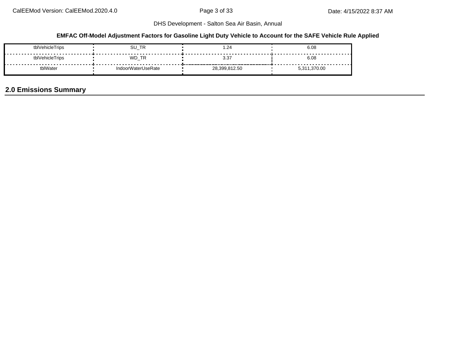### **EMFAC Off-Model Adjustment Factors for Gasoline Light Duty Vehicle to Account for the SAFE Vehicle Rule Applied**

| tblVehicleTrips | ∕_TR_<br>SU        | . 24          | 6.08             |
|-----------------|--------------------|---------------|------------------|
| tblVehicleTrips | WD TR              | 3.37          | 6.08             |
| .plWater        | IndoorWaterUseRate | 28.399.812.50 | 1,370.00<br>5.31 |

# **2.0 Emissions Summary**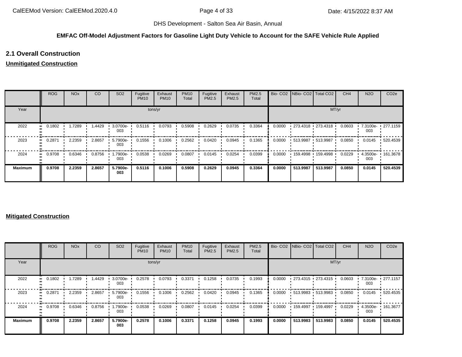#### **EMFAC Off-Model Adjustment Factors for Gasoline Light Duty Vehicle to Account for the SAFE Vehicle Rule Applied**

### **2.1 Overall Construction**

### **Unmitigated Construction**

|                | <b>ROG</b> | <b>NO<sub>x</sub></b> | CO     | SO <sub>2</sub> | Fugitive<br><b>PM10</b> | Exhaust<br><b>PM10</b> | <b>PM10</b><br>Total | Fugitive<br><b>PM2.5</b> | Exhaust<br>PM2.5 | <b>PM2.5</b><br>Total |        | Bio- CO2   NBio- CO2   Total CO2 |          | CH <sub>4</sub> | <b>N2O</b>      | CO <sub>2e</sub> |
|----------------|------------|-----------------------|--------|-----------------|-------------------------|------------------------|----------------------|--------------------------|------------------|-----------------------|--------|----------------------------------|----------|-----------------|-----------------|------------------|
| Year           |            |                       |        |                 |                         | tons/yr                |                      |                          |                  |                       |        |                                  | MT/yr    |                 |                 |                  |
| 2022           | 0.1802     | 1.7289                | 1.4429 | 3.0700e-<br>003 | 0.5116                  | 0.0793                 | 0.5908               | 0.2629                   | 0.0735           | 0.3364                | 0.0000 | $-273.4318 - 273.4318$           |          | 0.0603          | 7.3100e-<br>003 | $\cdot$ 277.1159 |
| 2023           | 0.2871     | 2.2359                | 2.8657 | 5.7900e-<br>003 | 0.1556                  | 0.1006                 | 0.2562               | 0.0420                   | 0.0945           | 0.1365                | 0.0000 | $-513.9987 - 513.9987$           |          | 0.0850          | 0.0145          | .520.4539        |
| 2024           | 0.9708     | 0.6346                | 0.8756 | 1.7900e-<br>003 | 0.0538                  | 0.0269                 | 0.0807               | 0.0145                   | 0.0254           | 0.0399                | 0.0000 | 159.4998 159.4998                |          | 0.0229          | 4.3500e-<br>003 | $+161.3678$      |
| <b>Maximum</b> | 0.9708     | 2.2359                | 2.8657 | 5.7900e-<br>003 | 0.5116                  | 0.1006                 | 0.5908               | 0.2629                   | 0.0945           | 0.3364                | 0.0000 | 513.9987                         | 513.9987 | 0.0850          | 0.0145          | 520.4539         |

#### **Mitigated Construction**

|                   | <b>ROG</b>                 | <b>NO<sub>x</sub></b> | CO     | SO <sub>2</sub> | Fugitive<br><b>PM10</b> | Exhaust<br><b>PM10</b> | <b>PM10</b><br>Total | Fugitive<br>PM2.5 | Exhaust<br>PM2.5 | PM2.5<br>Total |        |          | Bio- CO2 NBio- CO2 Total CO2 | CH <sub>4</sub> | <b>N2O</b>      | CO <sub>2e</sub> |
|-------------------|----------------------------|-----------------------|--------|-----------------|-------------------------|------------------------|----------------------|-------------------|------------------|----------------|--------|----------|------------------------------|-----------------|-----------------|------------------|
| Year              |                            |                       |        |                 | tons/yr                 |                        |                      |                   |                  |                |        |          | MT/yr                        |                 |                 |                  |
| 2022<br>$\bullet$ | 0.1802                     | 1.7289                | 1.4429 | 3.0700e-<br>003 | 0.2578                  | 0.0793                 | 0.3371               | 0.1258            | 0.0735           | 0.1993         | 0.0000 |          | $-273.4315 - 273.4315$       | 0.0603          | 7.3100e-<br>003 | $\cdot$ 277.1157 |
| 2023<br>$\bullet$ | 0.2871                     | 2.2359                | 2.8657 | 5.7900e-<br>003 | 0.1556                  | 0.1006                 | 0.2562               | 0.0420            | 0.0945           | 0.1365         | 0.0000 |          | $-513.9983 - 513.9983$       | 0.0850          | 0.0145          | $+520.4535$      |
| 2024              | 0.9708<br>$\bullet\bullet$ | 0.6346                | 0.8756 | 1.7900e-<br>003 | 0.0538                  | 0.0269                 | 0.0807               | 0.0145            | 0.0254           | 0.0399         | 0.0000 |          | 159.4997 159.4997            | 0.0229          | 4.3500e-<br>003 | $+161.3677$      |
| <b>Maximum</b>    | 0.9708                     | 2.2359                | 2.8657 | 5.7900e-<br>003 | 0.2578                  | 0.1006                 | 0.3371               | 0.1258            | 0.0945           | 0.1993         | 0.0000 | 513.9983 | 513.9983                     | 0.0850          | 0.0145          | 520.4535         |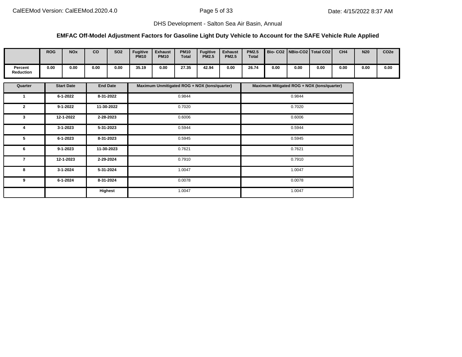### **EMFAC Off-Model Adjustment Factors for Gasoline Light Duty Vehicle to Account for the SAFE Vehicle Rule Applied**

|                             | <b>ROG</b> | <b>NO<sub>x</sub></b> | co   | <b>SO2</b> | <b>Fugitive</b><br><b>PM10</b> | <b>Exhaust</b><br><b>PM10</b> | <b>PM10</b><br><b>Total</b> | <b>Fugitive</b><br><b>PM2.5</b> | <b>Exhaust</b><br><b>PM2.5</b> | <b>PM2.5</b><br><b>Total</b> | Bio- CO2   NBio-CO2   Total CO2 |      |      | CH <sub>4</sub> | <b>N20</b> | CO <sub>2e</sub> |
|-----------------------------|------------|-----------------------|------|------------|--------------------------------|-------------------------------|-----------------------------|---------------------------------|--------------------------------|------------------------------|---------------------------------|------|------|-----------------|------------|------------------|
| Percent<br><b>Reduction</b> | 0.00       | 0.00                  | 0.00 | 0.00       | 35.19                          | 0.00                          | 27.35                       | 42.94                           | 0.00                           | 26.74                        | 0.00                            | 0.00 | 0.00 | 0.00            | 0.00       | 0.00             |

| Quarter      | <b>Start Date</b> | <b>End Date</b> | Maximum Unmitigated ROG + NOX (tons/quarter) | Maximum Mitigated ROG + NOX (tons/quarter) |
|--------------|-------------------|-----------------|----------------------------------------------|--------------------------------------------|
|              | $6 - 1 - 2022$    | 8-31-2022       | 0.9844                                       | 0.9844                                     |
| $\mathbf{2}$ | $9 - 1 - 2022$    | 11-30-2022      | 0.7020                                       | 0.7020                                     |
| 3            | 12-1-2022         | 2-28-2023       | 0.6006                                       | 0.6006                                     |
| 4            | 3-1-2023          | 5-31-2023       | 0.5944                                       | 0.5944                                     |
| 5            | $6 - 1 - 2023$    | 8-31-2023       | 0.5945                                       | 0.5945                                     |
| 6            | $9 - 1 - 2023$    | 11-30-2023      | 0.7621                                       | 0.7621                                     |
| 7            | 12-1-2023         | 2-29-2024       | 0.7910                                       | 0.7910                                     |
| 8            | 3-1-2024          | 5-31-2024       | 1.0047                                       | 1.0047                                     |
| 9            | 6-1-2024          | 8-31-2024       | 0.0078                                       | 0.0078                                     |
|              |                   | Highest         | 1.0047                                       | 1.0047                                     |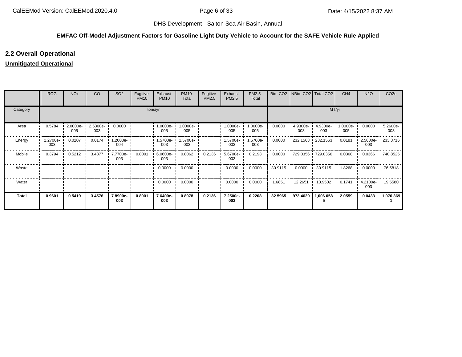### **EMFAC Off-Model Adjustment Factors for Gasoline Light Duty Vehicle to Account for the SAFE Vehicle Rule Applied**

## **2.2 Overall Operational**

### **Unmitigated Operational**

|              | <b>ROG</b>          | <b>NO<sub>x</sub></b> | CO              | SO <sub>2</sub>         | Fugitive<br><b>PM10</b> | Exhaust<br><b>PM10</b> | <b>PM10</b><br>Total | Fugitive<br>PM2.5 | Exhaust<br>PM2.5 | PM2.5<br>Total  | Bio-CO <sub>2</sub> | NBio- CO2   Total CO2 |                   | CH <sub>4</sub> | <b>N2O</b>         | CO <sub>2e</sub> |
|--------------|---------------------|-----------------------|-----------------|-------------------------|-------------------------|------------------------|----------------------|-------------------|------------------|-----------------|---------------------|-----------------------|-------------------|-----------------|--------------------|------------------|
| Category     |                     |                       |                 |                         |                         | tons/yr                |                      |                   |                  |                 |                     |                       | MT/yr             |                 |                    |                  |
| Area         | 0.5784<br>          | 2.0000e-<br>005       | 2.5300e-<br>003 | 0.0000                  |                         | .0000e-<br>005         | $.0000e-$<br>005     |                   | -:0000e<br>005   | 1.0000e-<br>005 | 0.0000              | 4.9300e-<br>003       | 4.9300e-<br>003   | 1.0000e-<br>005 | 0.0000             | 5.2600e-<br>003  |
| Energy       | 2.2700e-<br><br>003 | 0.0207                | 0.0174          | $\cdot$ 1.2000e-<br>004 |                         | 1.5700e-<br>003        | l.5700e-<br>003      |                   | .5700e-<br>003   | 1.5700e-<br>003 | 0.0000              |                       | 232.1563 232.1563 | 0.0181          | 2.5600e-<br>003    | 233.3716         |
| Mobile       | 0.3794<br>          | 0.5212                | 3.4377          | 7.7700e-<br>003         | 0.8001                  | 6.0600e-<br>003        | 0.8062               | 0.2136            | 5.6700e-<br>003  | 0.2193          | 0.0000              |                       | 729.0356 729.0356 | 0.0368          | 0.0366             | .740.8525        |
| Waste        |                     |                       |                 |                         |                         | 0.0000                 | 0.0000               |                   | 0.0000           | 0.0000          | 30.9115             | 0.0000                | 30.9115           | 1.8268          | 0.0000             | 76.5818          |
| Water        |                     |                       |                 |                         |                         | 0.0000                 | 0.0000               |                   | 0.0000           | 0.0000          | 1.6851              | 12.2651  13.9502      |                   | 0.1741          | $4.2100e -$<br>003 | 19.5580          |
| <b>Total</b> | 0.9601              | 0.5419                | 3.4576          | 7.8900e-<br>003         | 0.8001                  | 7.6400e-<br>003        | 0.8078               | 0.2136            | 7.2500e-<br>003  | 0.2208          | 32.5965             | 973.4620              | 1,006.058         | 2.0559          | 0.0433             | 1,070.369        |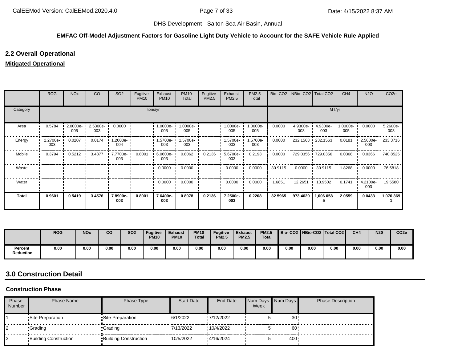#### **EMFAC Off-Model Adjustment Factors for Gasoline Light Duty Vehicle to Account for the SAFE Vehicle Rule Applied**

### **2.2 Overall Operational**

### **Mitigated Operational**

|              | <b>ROG</b>      | <b>NO<sub>x</sub></b> | CO                | SO <sub>2</sub>         | Fugitive<br><b>PM10</b> | Exhaust<br><b>PM10</b> | <b>PM10</b><br>Total | Fugitive<br>PM2.5 | Exhaust<br>PM2.5 | PM2.5<br>Total  |         | Bio- CO2   NBio- CO2   Total CO2 |                         | CH <sub>4</sub> | <b>N2O</b>      | CO <sub>2e</sub> |
|--------------|-----------------|-----------------------|-------------------|-------------------------|-------------------------|------------------------|----------------------|-------------------|------------------|-----------------|---------|----------------------------------|-------------------------|-----------------|-----------------|------------------|
| Category     |                 |                       |                   |                         |                         | tons/yr                |                      |                   |                  |                 |         |                                  | MT/yr                   |                 |                 |                  |
| Area         | 0.5784          | $2.0000e-$<br>005     | $2.5300e-$<br>003 | 0.0000                  |                         | 1.0000e-<br>005        | 1.0000e-<br>005      |                   | 1.0000e-<br>005  | 1.0000e-<br>005 | 0.0000  | 4.9300e-<br>003                  | 4.9300e-<br>003         | 1.0000e-<br>005 | 0.0000          | 5.2600e-<br>003  |
| Energy       | 2.2700e-<br>003 | 0.0207                | 0.0174<br>$\cdot$ | 1.2000e-<br>004         |                         | l.5700e-<br>003        | 1.5700e-<br>003      |                   | .5700e-<br>003   | 1.5700e-<br>003 | 0.0000  |                                  | 232.1563 232.1563       | 0.0181          | 2.5600e-<br>003 | 233.3716         |
| Mobile       | 0.3794          | 0.5212                | 3.4377            | $\cdot$ 7.7700e-<br>003 | 0.8001                  | 6.0600e-<br>003        | 0.8062               | 0.2136            | 5.6700e-<br>003  | 0.2193          | 0.0000  |                                  | 729.0356 729.0356       | 0.0368          | 0.0366          | 740.8525         |
| Waste        |                 |                       |                   |                         |                         | 0.0000                 | 0.0000               |                   | 0.0000           | 0.0000          | 30.9115 | 0.0000                           | 30.9115<br><b>COLLA</b> | 1.8268          | 0.0000          | 76.5818          |
| Water        |                 |                       |                   |                         |                         | 0.0000                 | 0.0000               |                   | 0.0000           | 0.0000          | 1.6851  | 12.2651                          | 13.9502 ·               | 0.1741          | 4.2100e-<br>003 | 19.5580          |
| <b>Total</b> | 0.9601          | 0.5419                | 3.4576            | 7.8900e-<br>003         | 0.8001                  | 7.6400e-<br>003        | 0.8078               | 0.2136            | 7.2500e-<br>003  | 0.2208          | 32.5965 | 973.4620                         | 1,006.058               | 2.0559          | 0.0433          | 1,070.369        |

|                      | <b>ROG</b> | <b>NOx</b> | CO   | <b>SO2</b> | <b>Fugitive</b><br><b>PM10</b> | <b>Exhaust</b><br><b>PM10</b> | <b>PM10</b><br><b>Total</b> | <b>Fugitive</b><br><b>PM2.5</b> | <b>Exhaust</b><br><b>PM2.5</b> | <b>PM2.5</b><br><b>Total</b> |      |      | Bio-CO2   NBio-CO2   Total CO2 | CH <sub>4</sub> | <b>N20</b> | CO <sub>2e</sub> |
|----------------------|------------|------------|------|------------|--------------------------------|-------------------------------|-----------------------------|---------------------------------|--------------------------------|------------------------------|------|------|--------------------------------|-----------------|------------|------------------|
| Percent<br>Reduction | 0.00       | 0.00       | 0.00 | 0.00       | 0.00                           | 0.00                          | 0.00                        | 0.00                            | 0.00                           | 0.00                         | 0.00 | 0.00 | 0.00                           | 0.00            | 0.00       | 0.00             |

# **3.0 Construction Detail**

### **Construction Phase**

| Phase<br>Number | Phase Name                   | Phase Type                   | <b>Start Date</b> | <b>End Date</b> | Week | Num Days Num Days | <b>Phase Description</b> |
|-----------------|------------------------------|------------------------------|-------------------|-----------------|------|-------------------|--------------------------|
|                 | Site Preparation             | •Site Preparation            | 6/1/2022          | '7/12/2022      |      | 30                |                          |
|                 | •Grading                     | •Grading                     | 17/13/2022        | !10/4/2022      |      | 60                |                          |
|                 | <b>Building Construction</b> | <b>Building Construction</b> | 10/5/2022         | 4/16/2024       |      | 400               |                          |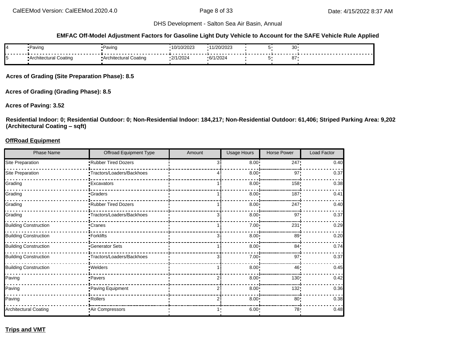#### **EMFAC Off-Model Adjustment Factors for Gasoline Light Duty Vehicle to Account for the SAFE Vehicle Rule Applied**

| Paving                | Paving                 | 10/10/2023 | /20/2023<br><b>LUILUL</b> | 20<br>ັບ |  |
|-----------------------|------------------------|------------|---------------------------|----------|--|
| Architectural Coating | "Architectural Coating | 2/1/2024   | 6/1/2024                  | 87       |  |

**Acres of Grading (Site Preparation Phase): 8.5**

**Acres of Grading (Grading Phase): 8.5**

#### **Acres of Paving: 3.52**

**Residential Indoor: 0; Residential Outdoor: 0; Non-Residential Indoor: 184,217; Non-Residential Outdoor: 61,406; Striped Parking Area: 9,202 (Architectural Coating – sqft)**

#### **OffRoad Equipment**

| <b>Phase Name</b>            | <b>Offroad Equipment Type</b> | Amount | <b>Usage Hours</b> | Horse Power     | Load Factor |
|------------------------------|-------------------------------|--------|--------------------|-----------------|-------------|
| Site Preparation             | Rubber Tired Dozers           | З      | $8.00$ !           | 247!            | 0.40        |
| Site Preparation             | -Tractors/Loaders/Backhoes    |        | 8.00               | 97'             | 0.37        |
| Grading                      | <b>Excavators</b>             |        | 8.00               | 158             | 0.38        |
| Grading                      | -Graders                      |        | 8.00               | 187             | 0.41        |
| Grading                      | -Rubber Tired Dozers          |        | 8.00               | 247             | 0.40        |
| Grading                      | •Tractors/Loaders/Backhoes    | 3      | 8.00               | 97              | 0.37        |
| <b>Building Construction</b> | -Cranes                       |        | 7.00               | 231             | 0.29        |
| <b>Building Construction</b> | - Forklifts                   | ß      | 8.00               | 89              | 0.20        |
| <b>Building Construction</b> | -Generator Sets               |        | 8.00               | 84 <sub>1</sub> | 0.74        |
| <b>Building Construction</b> | -Tractors/Loaders/Backhoes    | 3      | 7.00               | 97'             | 0.37        |
| <b>Building Construction</b> | · Welders                     |        | 8.00               | 46              | 0.45        |
| Paving                       | Pavers                        |        | 8.00               | 130             | 0.42        |
| Paving                       | Paving Equipment              |        | 8.00               | 132             | 0.36        |
| Paving                       | -Rollers                      |        | 8.00               | 80 <sub>1</sub> | 0.38        |
| <b>Architectural Coating</b> | -Air Compressors              |        | 6.00:              | 78.             | 0.48        |

**Trips and VMT**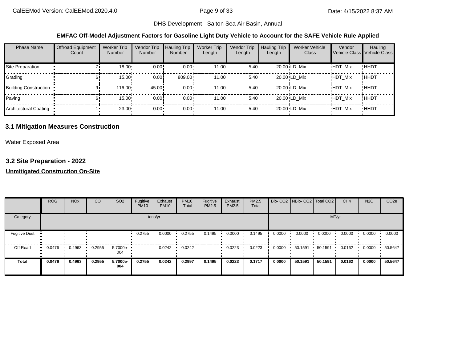#### **EMFAC Off-Model Adjustment Factors for Gasoline Light Duty Vehicle to Account for the SAFE Vehicle Rule Applied**

| <b>Phase Name</b>            | <b>Offroad Equipment</b><br>Count | <b>Worker Trip</b><br><b>Number</b> | Vendor Trip<br><b>Number</b> | <b>Hauling Trip</b><br><b>Number</b> | <b>Worker Trip</b><br>Length | Vendor Trip<br>Length | <b>Hauling Trip</b><br>Length | <b>Worker Vehicle</b><br>Class | Vendor         | Hauling<br>Vehicle Class Vehicle Class |
|------------------------------|-----------------------------------|-------------------------------------|------------------------------|--------------------------------------|------------------------------|-----------------------|-------------------------------|--------------------------------|----------------|----------------------------------------|
| Site Preparation             |                                   | $18.00 \cdot$                       | 0.00!                        | $0.00 \cdot$                         | 11.00i                       | $5.40$ !              |                               | 20.00 LD Mix                   | <b>HDT Mix</b> | !HHDT                                  |
| Grading                      | hI                                | 15.00                               | 0.00!                        | 809.00                               | 11.00i                       | $5.40$ !              |                               | 20.00 LD Mix                   | <b>HDT Mix</b> | !ННDТ                                  |
| <b>Building Construction</b> | 91                                | 116.00                              | 45.00!                       | $0.00 \cdot$                         | 11.00i                       | 5.40!                 |                               | 20.00 LD Mix                   | <b>HDT Mix</b> | !HHDT                                  |
| Paving                       | 61                                | 15.00                               | 0.00!                        | $0.00 \cdot$                         | 11.00i                       | 5.40!                 |                               | 20.00 LD Mix                   | <b>HDT Mix</b> | !HHDT                                  |
| Architectural Coating        |                                   | 23.00                               | $0.00 \cdot$                 | $0.00 -$                             | $11.00 \cdot$                | $5.40 \cdot$          |                               | 20.00 LD Mix                   | <b>HDT Mix</b> | <b>HHDT</b>                            |

### **3.1 Mitigation Measures Construction**

Water Exposed Area

### **3.2 Site Preparation - 2022**

### **Unmitigated Construction On-Site**

|                      | <b>ROG</b> | <b>NO<sub>x</sub></b> | CO     | SO <sub>2</sub> | Fugitive<br><b>PM10</b> | Exhaust<br><b>PM10</b> | <b>PM10</b><br>Total | Fugitive<br>PM2.5 | Exhaust<br>PM2.5 | PM2.5<br>Total |        |         | Bio- CO2   NBio- CO2   Total CO2 | CH <sub>4</sub> | <b>N2O</b> | CO <sub>2e</sub> |
|----------------------|------------|-----------------------|--------|-----------------|-------------------------|------------------------|----------------------|-------------------|------------------|----------------|--------|---------|----------------------------------|-----------------|------------|------------------|
| Category             |            |                       |        |                 |                         | tons/yr                |                      |                   |                  |                |        |         | MT/yr                            |                 |            |                  |
| <b>Fugitive Dust</b> |            |                       |        |                 | 0.2755                  | 0.0000                 | 0.2755               | 0.1495            | 0.0000           | 0.1495         | 0.0000 | 0.0000  | 0.0000                           | 0.0000          | 0.0000     | 0.0000           |
| Off-Road             | 0.0476     | 0.4963                | 0.2955 | 5.7000e-<br>004 |                         | 0.0242                 | 0.0242               |                   | 0.0223           | 0.0223         | 0.0000 | 50.1591 | 50.1591                          | 0.0162          | 0.0000     | 50.5647          |
| <b>Total</b>         | 0.0476     | 0.4963                | 0.2955 | 5.7000e-<br>004 | 0.2755                  | 0.0242                 | 0.2997               | 0.1495            | 0.0223           | 0.1717         | 0.0000 | 50.1591 | 50.1591                          | 0.0162          | 0.0000     | 50.5647          |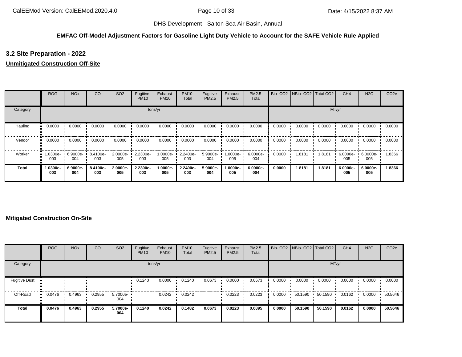#### **EMFAC Off-Model Adjustment Factors for Gasoline Light Duty Vehicle to Account for the SAFE Vehicle Rule Applied**

### **3.2 Site Preparation - 2022**

### **Unmitigated Construction Off-Site**

|              | <b>ROG</b>                     | <b>NO<sub>x</sub></b> | CO              | SO <sub>2</sub> | Fugitive<br><b>PM10</b> | Exhaust<br><b>PM10</b> | <b>PM10</b><br>Total | Fugitive<br>PM2.5 | Exhaust<br>PM2.5 | PM2.5<br>Total  | Bio-CO <sub>2</sub> | NBio-CO2 Total CO2 |        | CH <sub>4</sub> | <b>N2O</b>      | CO <sub>2e</sub> |
|--------------|--------------------------------|-----------------------|-----------------|-----------------|-------------------------|------------------------|----------------------|-------------------|------------------|-----------------|---------------------|--------------------|--------|-----------------|-----------------|------------------|
| Category     |                                |                       |                 |                 |                         | tons/yr                |                      |                   |                  |                 |                     |                    |        | MT/yr           |                 |                  |
| Hauling      | 0.0000                         | 0.0000                | 0.0000          | 0.0000          | 0.0000                  | 0.0000                 | 0.0000               | 0.0000            | 0.0000           | 0.0000          | 0.0000              | 0.0000             | 0.0000 | 0.0000          | 0.0000          | 0.0000           |
| Vendor       | 0.0000                         | 0.0000                | 0.0000          | 0.0000          | 0.0000                  | 0.0000                 | 0.0000               | 0.0000            | 0.0000           | 0.0000          | 0.0000              | 0.0000             | 0.0000 | 0.0000          | 0.0000          | 0.0000           |
| Worker       | $\blacksquare$ 1.0300e-<br>003 | 6.9000e-<br>004       | 8.4100e-<br>003 | 2.0000e-<br>005 | 2.2300e-<br>003         | --0000e.l<br>005       | 2.2400e-<br>003      | 5.9000e-<br>004   | 1.0000e-<br>005  | 6.0000e-<br>004 | 0.0000              | 1.8181             | 1.8181 | 6.0000e-<br>005 | 6.0000e-<br>005 | 1.8366           |
| <b>Total</b> | 1.0300e-<br>003                | 6.9000e-<br>004       | 8.4100e-<br>003 | 2.0000e-<br>005 | 2.2300e-<br>003         | 1.0000e-<br>005        | 2.2400e-<br>003      | 5.9000e-<br>004   | 1.0000e-<br>005  | 6.0000e-<br>004 | 0.0000              | 1.8181             | 1.8181 | 6.0000e-<br>005 | 6.0000e-<br>005 | 1.8366           |

### **Mitigated Construction On-Site**

|                      | <b>ROG</b>            | <b>NO<sub>x</sub></b> | CO     | SO <sub>2</sub> | Fugitive<br><b>PM10</b> | Exhaust<br><b>PM10</b> | <b>PM10</b><br>Total | Fugitive<br>PM2.5 | Exhaust<br><b>PM2.5</b> | PM2.5<br>Total |        | Bio- CO2 NBio- CO2 Total CO2 |         | CH <sub>4</sub> | <b>N2O</b> | CO <sub>2e</sub> |
|----------------------|-----------------------|-----------------------|--------|-----------------|-------------------------|------------------------|----------------------|-------------------|-------------------------|----------------|--------|------------------------------|---------|-----------------|------------|------------------|
| Category             |                       |                       |        |                 |                         | tons/yr                |                      |                   |                         |                |        |                              | MT/yr   |                 |            |                  |
| <b>Fugitive Dust</b> |                       |                       |        |                 | 0.1240                  | 0.0000                 | 0.1240               | 0.0673            | 0.0000                  | 0.0673         | 0.0000 | 0.0000                       | 0.0000  | 0.0000          | 0.0000     | 0.0000           |
| Off-Road             | $\blacksquare$ 0.0476 | 0.4963                | 0.2955 | 5.7000e-<br>004 |                         | 0.0242                 | 0.0242               |                   | 0.0223                  | 0.0223         | 0.0000 | 50.1590                      | 50.1590 | 0.0162          | 0.0000     | 50.5646          |
| Total                | 0.0476                | 0.4963                | 0.2955 | 5.7000e-<br>004 | 0.1240                  | 0.0242                 | 0.1482               | 0.0673            | 0.0223                  | 0.0895         | 0.0000 | 50.1590                      | 50.1590 | 0.0162          | 0.0000     | 50.5646          |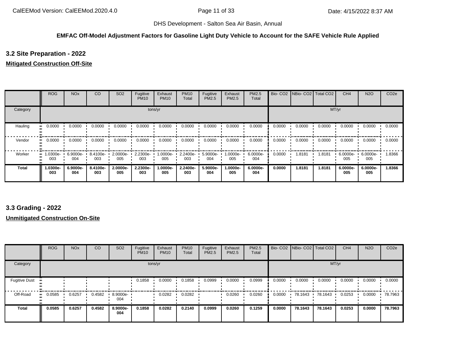#### **EMFAC Off-Model Adjustment Factors for Gasoline Light Duty Vehicle to Account for the SAFE Vehicle Rule Applied**

### **3.2 Site Preparation - 2022**

### **Mitigated Construction Off-Site**

|          | <b>ROG</b>      | <b>NO<sub>x</sub></b> | CO              | SO <sub>2</sub> | Fugitive<br><b>PM10</b> | Exhaust<br><b>PM10</b> | <b>PM10</b><br>Total | Fugitive<br>PM2.5 | Exhaust<br>PM2.5 | PM2.5<br>Total  | Bio-CO <sub>2</sub> | NBio-CO2   Total CO2 |        | CH <sub>4</sub> | <b>N2O</b>      | CO <sub>2e</sub> |
|----------|-----------------|-----------------------|-----------------|-----------------|-------------------------|------------------------|----------------------|-------------------|------------------|-----------------|---------------------|----------------------|--------|-----------------|-----------------|------------------|
| Category |                 |                       |                 |                 |                         | tons/yr                |                      |                   |                  |                 |                     |                      | MT/yr  |                 |                 |                  |
| Hauling  | 0.0000          | 0.0000                | 0.0000          | 0.0000          | 0.0000                  | 0.0000                 | 0.0000               | 0.0000            | 0.0000           | 0.0000          | 0.0000              | 0.0000               | 0.0000 | 0.0000          | 0.0000          | 0.0000           |
| Vendor   | 0.0000          | 0.0000                | 0.0000          | 0.0000          | 0.0000                  | 0.0000                 | 0.0000               | 0.0000            | 0.0000           | 0.0000          | 0.0000              | 0.0000               | 0.0000 | 0.0000          | 0.0000          | 0.0000           |
| Worker   | 1.0300e-<br>003 | 6.9000e-<br>004       | 8.4100e-<br>003 | 2.0000e-<br>005 | 2.2300e-<br>003         | 1.0000e-<br>005        | 2.2400e-<br>003      | 5.9000e-<br>004   | 1.0000e-<br>005  | 6.0000e-<br>004 | 0.0000              | 1.8181               | 1.8181 | 6.0000e-<br>005 | 6.0000e-<br>005 | 1.8366           |
| Total    | 1.0300e-<br>003 | 6.9000e-<br>004       | 8.4100e-<br>003 | 2.0000e-<br>005 | 2.2300e-<br>003         | 1.0000e-<br>005        | 2.2400e-<br>003      | 5.9000e-<br>004   | 1.0000e-<br>005  | 6.0000e-<br>004 | 0.0000              | 1.8181               | 1.8181 | 6.0000e-<br>005 | 6.0000e-<br>005 | 1.8366           |

### **3.3 Grading - 2022**

### **Unmitigated Construction On-Site**

|                      | <b>ROG</b> | <b>NO<sub>x</sub></b> | CO     | SO <sub>2</sub> | Fugitive<br><b>PM10</b> | Exhaust<br><b>PM10</b> | <b>PM10</b><br>Total | Fugitive<br>PM2.5 | Exhaust<br><b>PM2.5</b> | PM2.5<br>Total |        | Bio- CO2 NBio- CO2 Total CO2 |         | CH <sub>4</sub> | <b>N2O</b> | CO <sub>2e</sub> |
|----------------------|------------|-----------------------|--------|-----------------|-------------------------|------------------------|----------------------|-------------------|-------------------------|----------------|--------|------------------------------|---------|-----------------|------------|------------------|
| Category             |            |                       |        |                 |                         | tons/yr                |                      |                   |                         |                |        |                              | MT/yr   |                 |            |                  |
| <b>Fugitive Dust</b> |            |                       |        |                 | 0.1858                  | 0.0000                 | 0.1858               | 0.0999            | 0.0000                  | 0.0999         | 0.0000 | 0.0000                       | 0.0000  | 0.0000          | 0.0000     | 0.0000           |
| Off-Road             | 0.0585<br> | 0.6257                | 0.4582 | 8.9000e-<br>004 |                         | 0.0282                 | 0.0282               |                   | 0.0260                  | 0.0260         | 0.0000 | 78.1643                      | 78.1643 | 0.0253          | 0.0000     | 78.7963          |
| <b>Total</b>         | 0.0585     | 0.6257                | 0.4582 | 8.9000e-<br>004 | 0.1858                  | 0.0282                 | 0.2140               | 0.0999            | 0.0260                  | 0.1259         | 0.0000 | 78.1643                      | 78.1643 | 0.0253          | 0.0000     | 78.7963          |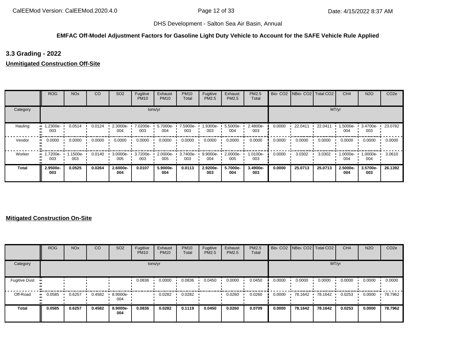#### **EMFAC Off-Model Adjustment Factors for Gasoline Light Duty Vehicle to Account for the SAFE Vehicle Rule Applied**

**3.3 Grading - 2022**

**Unmitigated Construction Off-Site**

|          | <b>ROG</b>      | <b>NO<sub>x</sub></b> | CO     | SO <sub>2</sub> | Fugitive<br><b>PM10</b> | Exhaust<br><b>PM10</b> | <b>PM10</b><br>Total | Fugitive<br>PM2.5 | Exhaust<br><b>PM2.5</b> | PM2.5<br>Total  |        | Bio- CO2 NBio- CO2 Total CO2 |         | CH <sub>4</sub> | <b>N2O</b>      | CO <sub>2e</sub> |
|----------|-----------------|-----------------------|--------|-----------------|-------------------------|------------------------|----------------------|-------------------|-------------------------|-----------------|--------|------------------------------|---------|-----------------|-----------------|------------------|
| Category |                 |                       |        |                 |                         | tons/yr                |                      |                   |                         |                 |        |                              | MT/yr   |                 |                 |                  |
| Hauling  | 1.2300e-<br>003 | 0.0514                | 0.0124 | 2.3000e-<br>004 | 7.0200e-<br>003         | 5.7000e-<br>004        | 7.5900e-<br>003      | 1.9300e-<br>003   | 5.5000e-<br>004         | 2.4800e-<br>003 | 0.0000 | 22.0411                      | 22.0411 | 1.5000e-<br>004 | 3.4700e-<br>003 | 23.0782          |
| Vendor   | 0.0000<br>      | 0.0000                | 0.0000 | 0.0000          | 0.0000                  | 0.0000                 | 0.0000               | 0.0000            | 0.0000                  | 0.0000          | 0.0000 | 0.0000                       | 0.0000  | 0.0000          | 0.0000          | 0.0000           |
| Worker   | 1.7200e-<br>003 | i.1500e-<br>003       | 0.0140 | 3.0000e-<br>005 | 3.7200e-<br>003         | 2.0000e-<br>005        | 3.7400e-<br>003      | 9.9000e-<br>004   | $2.0000e -$<br>005      | 1.0100e-<br>003 | 0.0000 | 3.0302                       | 3.0302  | 1.0000e-<br>004 | -.0000e<br>004  | 3.0610           |
| Total    | 2.9500e-<br>003 | 0.0525                | 0.0264 | 2.6000e-<br>004 | 0.0107                  | 5.9000e-<br>004        | 0.0113               | 2.9200e-<br>003   | 5.7000e-<br>004         | 3.4900e-<br>003 | 0.0000 | 25.0713                      | 25.0713 | 2.5000e-<br>004 | 3.5700e-<br>003 | 26.1392          |

### **Mitigated Construction On-Site**

|                      | <b>ROG</b> | <b>NO<sub>x</sub></b> | CO     | SO <sub>2</sub> | Fugitive<br><b>PM10</b> | Exhaust<br><b>PM10</b> | <b>PM10</b><br>Total | Fugitive<br>PM2.5 | Exhaust<br><b>PM2.5</b> | <b>PM2.5</b><br>Total |        | Bio- CO2   NBio- CO2   Total CO2 |         | CH <sub>4</sub> | <b>N2O</b> | CO <sub>2e</sub> |
|----------------------|------------|-----------------------|--------|-----------------|-------------------------|------------------------|----------------------|-------------------|-------------------------|-----------------------|--------|----------------------------------|---------|-----------------|------------|------------------|
| Category             |            |                       |        |                 | tons/yr                 |                        |                      |                   |                         |                       |        |                                  | MT/yr   |                 |            |                  |
| <b>Fugitive Dust</b> |            |                       |        |                 | 0.0836                  | 0.0000                 | 0.0836               | 0.0450            | 0.0000                  | 0.0450                | 0.0000 | 0.0000                           | 0.0000  | 0.0000          | 0.0000     | 0.0000           |
| Off-Road             | 0.0585     | 0.6257                | 0.4582 | 8.9000e-<br>004 |                         | 0.0282                 | 0.0282               |                   | 0.0260                  | 0.0260                | 0.0000 | 78.1642                          | 78.1642 | 0.0253          | 0.0000     | 78.7962          |
| <b>Total</b>         | 0.0585     | 0.6257                | 0.4582 | 8.9000e-<br>004 | 0.0836                  | 0.0282                 | 0.1119               | 0.0450            | 0.0260                  | 0.0709                | 0.0000 | 78.1642                          | 78.1642 | 0.0253          | 0.0000     | 78.7962          |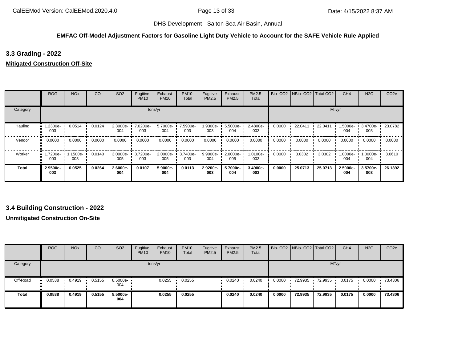#### **EMFAC Off-Model Adjustment Factors for Gasoline Light Duty Vehicle to Account for the SAFE Vehicle Rule Applied**

**3.3 Grading - 2022**

**Mitigated Construction Off-Site**

|          | <b>ROG</b>                     | <b>NO<sub>x</sub></b> | CO     | SO <sub>2</sub> | Fugitive<br><b>PM10</b> | Exhaust<br><b>PM10</b> | <b>PM10</b><br>Total | Fugitive<br>PM2.5 | Exhaust<br><b>PM2.5</b> | PM2.5<br>Total  |        | Bio- CO2   NBio- CO2   Total CO2 |         | CH <sub>4</sub> | <b>N2O</b>        | CO <sub>2e</sub> |
|----------|--------------------------------|-----------------------|--------|-----------------|-------------------------|------------------------|----------------------|-------------------|-------------------------|-----------------|--------|----------------------------------|---------|-----------------|-------------------|------------------|
| Category |                                |                       |        |                 |                         | tons/yr                |                      |                   |                         |                 |        |                                  |         | MT/yr           |                   |                  |
| Hauling  | $\blacksquare$ 1.2300e-<br>003 | 0.0514                | 0.0124 | 2.3000e-<br>004 | 7.0200e-<br>003         | 5.7000e-<br>004        | 7.5900e-<br>003      | 1.9300e-<br>003   | 5.5000e-<br>004         | 2.4800e-<br>003 | 0.0000 | 22.0411                          | 22.0411 | 1.5000e-<br>004 | 3.4700e-<br>003   | 23.0782          |
| Vendor   | 0.0000<br>                     | 0.0000                | 0.0000 | 0.0000          | 0.0000                  | 0.0000                 | 0.0000               | 0.0000            | 0.0000                  | 0.0000          | 0.0000 | 0.0000                           | 0.0000  | 0.0000          | 0.0000            | 0.0000           |
| Worker   | $\blacksquare$ 1.7200e-<br>003 | 1.1500e-<br>003       | 0.0140 | 3.0000e-<br>005 | 3.7200e-<br>003         | 2.0000e-<br>005        | 3.7400e-<br>003      | 9.9000e-<br>004   | $2.0000e-$<br>005       | 1.0100e-<br>003 | 0.0000 | 3.0302                           | 3.0302  | 1.0000e-<br>004 | $1.0000e-$<br>004 | 3.0610           |
| Total    | 2.9500e-<br>003                | 0.0525                | 0.0264 | 2.6000e-<br>004 | 0.0107                  | 5.9000e-<br>004        | 0.0113               | 2.9200e-<br>003   | 5.7000e-<br>004         | 3.4900e-<br>003 | 0.0000 | 25.0713                          | 25.0713 | 2.5000e-<br>004 | 3.5700e-<br>003   | 26.1392          |

### **3.4 Building Construction - 2022**

**Unmitigated Construction On-Site**

|          | <b>ROG</b>            | <b>NO<sub>x</sub></b> | CO     | SO <sub>2</sub> | Fugitive<br><b>PM10</b> | Exhaust<br><b>PM10</b> | <b>PM10</b><br><b>Total</b> | Fugitive<br><b>PM2.5</b> | Exhaust<br><b>PM2.5</b> | <b>PM2.5</b><br>Total |        | Bio- CO2   NBio- CO2   Total CO2 |         | CH <sub>4</sub> | <b>N2O</b> | CO <sub>2e</sub> |
|----------|-----------------------|-----------------------|--------|-----------------|-------------------------|------------------------|-----------------------------|--------------------------|-------------------------|-----------------------|--------|----------------------------------|---------|-----------------|------------|------------------|
| Category |                       |                       |        |                 | tons/yr                 |                        |                             |                          |                         |                       |        |                                  | MT/yr   |                 |            |                  |
| Off-Road | $\blacksquare$ 0.0538 | 0.4919                | 0.5155 | 8.5000e-<br>004 |                         | 0.0255                 | 0.0255                      |                          | 0.0240                  | 0.0240                | 0.0000 | 72.9935                          | 72.9935 | 0.0175          | 0.0000     | 73.4306          |
| Total    | 0.0538                | 0.4919                | 0.5155 | 8.5000e-<br>004 |                         | 0.0255                 | 0.0255                      |                          | 0.0240                  | 0.0240                | 0.0000 | 72.9935                          | 72.9935 | 0.0175          | 0.0000     | 73.4306          |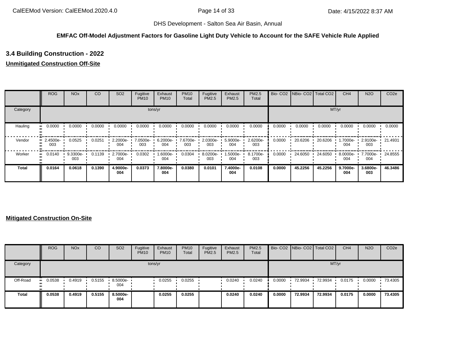#### **EMFAC Off-Model Adjustment Factors for Gasoline Light Duty Vehicle to Account for the SAFE Vehicle Rule Applied**

# **3.4 Building Construction - 2022**

### **Unmitigated Construction Off-Site**

|          | <b>ROG</b>              | <b>NO<sub>x</sub></b> | CO     | SO <sub>2</sub> | Fugitive<br><b>PM10</b> | Exhaust<br><b>PM10</b> | <b>PM10</b><br>Total | Fugitive<br>PM2.5 | Exhaust<br>PM2.5 | <b>PM2.5</b><br>Total | Bio-CO <sub>2</sub> | NBio-CO2 Total CO2 |         | CH <sub>4</sub> | <b>N2O</b>      | CO <sub>2e</sub> |
|----------|-------------------------|-----------------------|--------|-----------------|-------------------------|------------------------|----------------------|-------------------|------------------|-----------------------|---------------------|--------------------|---------|-----------------|-----------------|------------------|
| Category |                         |                       |        |                 |                         | tons/yr                |                      |                   |                  |                       |                     |                    | MT/yr   |                 |                 |                  |
| Hauling  | 0.0000<br>              | 0.0000                | 0.0000 | 0.0000          | 0.0000                  | 0.0000                 | 0.0000               | 0.0000            | 0.0000           | 0.0000                | 0.0000              | 0.0000             | 0.0000  | 0.0000          | 0.0000          | 0.0000           |
| Vendor   | $\cdot$ 2.4500e-<br>003 | 0.0525                | 0.0251 | 2.2000e-<br>004 | 7.0500e-<br>003         | 6.2000e-<br>004        | 7.6700e-<br>003      | 2.0300e-<br>003   | 5.9000e-<br>004  | 2.6200e-<br>003       | 0.0000              | 20.6206            | 20.6206 | 1.7000e-<br>004 | 2.9100e-<br>003 | 21.4931          |
| Worker   | 0.0140<br>              | 9.3300e-<br>003       | 0.1139 | 2.7000e-<br>004 | 0.0302                  | 1.6000e-<br>004        | 0.0304               | 8.0200e-<br>003   | -5000e-<br>004   | 8.1700e-<br>003       | 0.0000              | 24.6050            | 24.6050 | 8.0000e-<br>004 | 7.7000e-<br>004 | 24.8555          |
| Total    | 0.0164                  | 0.0618                | 0.1390 | 4.9000e-<br>004 | 0.0373                  | 7.8000e-<br>004        | 0.0380               | 0.0101            | 7.4000e-<br>004  | 0.0108                | 0.0000              | 45.2256            | 45.2256 | 9.7000e-<br>004 | 3.6800e-<br>003 | 46.3486          |

### **Mitigated Construction On-Site**

|              | <b>ROG</b> | <b>NO<sub>x</sub></b> | CO     | SO <sub>2</sub>    | Fugitive<br><b>PM10</b> | Exhaust<br><b>PM10</b> | <b>PM10</b><br>Total | Fugitive<br>PM2.5 | Exhaust<br><b>PM2.5</b> | <b>PM2.5</b><br>Total |        | Bio- CO2   NBio- CO2   Total CO2 |         | CH <sub>4</sub> | <b>N2O</b> | CO <sub>2e</sub> |
|--------------|------------|-----------------------|--------|--------------------|-------------------------|------------------------|----------------------|-------------------|-------------------------|-----------------------|--------|----------------------------------|---------|-----------------|------------|------------------|
| Category     |            |                       |        |                    |                         | tons/yr                |                      |                   |                         |                       |        |                                  |         | MT/yr           |            |                  |
| Off-Road     | 0.0538     | 0.4919                | 0.5155 | $8.5000e -$<br>004 |                         | 0.0255                 | 0.0255               |                   | 0.0240                  | 0.0240                | 0.0000 | 72.9934                          | 72.9934 | 0.0175          | 0.0000     | 73.4305          |
| <b>Total</b> | 0.0538     | 0.4919                | 0.5155 | 8.5000e-<br>004    |                         | 0.0255                 | 0.0255               |                   | 0.0240                  | 0.0240                | 0.0000 | 72.9934                          | 72.9934 | 0.0175          | 0.0000     | 73.4305          |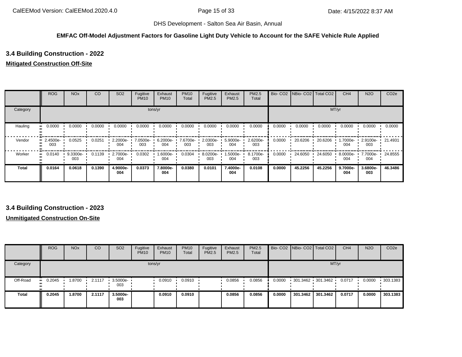#### **EMFAC Off-Model Adjustment Factors for Gasoline Light Duty Vehicle to Account for the SAFE Vehicle Rule Applied**

# **3.4 Building Construction - 2022**

### **Mitigated Construction Off-Site**

|              | <b>ROG</b>              | <b>NO<sub>x</sub></b> | CO     | SO <sub>2</sub> | Fugitive<br><b>PM10</b> | Exhaust<br><b>PM10</b> | <b>PM10</b><br>Total | Fugitive<br><b>PM2.5</b> | Exhaust<br>PM2.5 | <b>PM2.5</b><br>Total |        | Bio- CO2   NBio- CO2   Total CO2 |         | CH <sub>4</sub>   | <b>N2O</b>      | CO <sub>2e</sub> |
|--------------|-------------------------|-----------------------|--------|-----------------|-------------------------|------------------------|----------------------|--------------------------|------------------|-----------------------|--------|----------------------------------|---------|-------------------|-----------------|------------------|
| Category     |                         |                       |        |                 |                         | tons/yr                |                      |                          |                  |                       |        |                                  | MT/yr   |                   |                 |                  |
| Hauling      | 0.0000                  | 0.0000                | 0.0000 | 0.0000          | 0.0000                  | 0.0000                 | 0.0000               | 0.0000                   | 0.0000           | 0.0000                | 0.0000 | 0.0000                           | 0.0000  | 0.0000            | 0.0000          | 0.0000           |
| Vendor       | $\cdot$ 2.4500e-<br>003 | 0.0525                | 0.0251 | 2.2000e-<br>004 | 7.0500e-<br>003         | 6.2000e-<br>004        | 7.6700e-<br>003      | 2.0300e-<br>003          | 5.9000e-<br>004  | 2.6200e-<br>003       | 0.0000 | 20.6206                          | 20.6206 | 1.7000e- ∙<br>004 | 2.9100e-<br>003 | 21.4931          |
| Worker       | 0.0140<br>$\mathbf{u}$  | 9.3300e-<br>003       | 0.1139 | 2.7000e-<br>004 | 0.0302                  | 1.6000e-<br>004        | 0.0304               | 8.0200e-<br>003          | -5000e-<br>004   | 8.1700e-<br>003       | 0.0000 | 24.6050                          | 24.6050 | 8.0000e-<br>004   | 7.7000e-<br>004 | 24.8555          |
| <b>Total</b> | 0.0164                  | 0.0618                | 0.1390 | 4.9000e-<br>004 | 0.0373                  | 7.8000e-<br>004        | 0.0380               | 0.0101                   | 7.4000e-<br>004  | 0.0108                | 0.0000 | 45.2256                          | 45.2256 | 9.7000e-<br>004   | 3.6800e-<br>003 | 46.3486          |

### **3.4 Building Construction - 2023**

### **Unmitigated Construction On-Site**

|              | <b>ROG</b>     | <b>NO<sub>x</sub></b> | CO     | SO <sub>2</sub>                 | Fugitive<br><b>PM10</b> | Exhaust<br><b>PM10</b> | <b>PM10</b><br>Total | Fugitive<br>PM2.5 | Exhaust<br><b>PM2.5</b> | <b>PM2.5</b><br>Total |        |                   | Bio- CO2 NBio- CO2 Total CO2 | CH <sub>4</sub> | <b>N2O</b> | CO <sub>2e</sub> |
|--------------|----------------|-----------------------|--------|---------------------------------|-------------------------|------------------------|----------------------|-------------------|-------------------------|-----------------------|--------|-------------------|------------------------------|-----------------|------------|------------------|
| Category     |                |                       |        |                                 |                         | tons/yr                |                      |                   |                         |                       |        |                   | MT/yr                        |                 |            |                  |
| Off-Road     | $\cdot$ 0.2045 | 1.8700                | 2.1117 | $\cdot$ 3.5000e- $\cdot$<br>003 |                         | 0.0910                 | 0.0910               |                   | 0.0856                  | 0.0856                | 0.0000 | 301.3462 301.3462 |                              | 0.0717          | 0.0000     | 303.1383         |
| <b>Total</b> | 0.2045         | 1.8700                | 2.1117 | 3.5000e-<br>003                 |                         | 0.0910                 | 0.0910               |                   | 0.0856                  | 0.0856                | 0.0000 | 301.3462          | 301.3462                     | 0.0717          | 0.0000     | 303.1383         |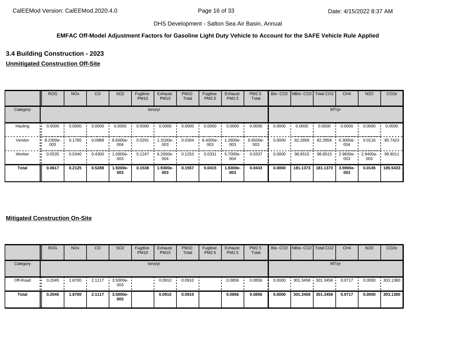#### **EMFAC Off-Model Adjustment Factors for Gasoline Light Duty Vehicle to Account for the SAFE Vehicle Rule Applied**

# **3.4 Building Construction - 2023**

### **Unmitigated Construction Off-Site**

|          | <b>ROG</b>                     | <b>NO<sub>x</sub></b> | CO     | SO <sub>2</sub> | Fugitive<br><b>PM10</b> | Exhaust<br><b>PM10</b> | <b>PM10</b><br>Total | Fugitive<br>PM2.5 | Exhaust<br>PM2.5 | PM2.5<br>Total  | Bio-CO <sub>2</sub> | NBio-CO2 Total CO2 |          | CH <sub>4</sub> | <b>N2O</b>      | CO <sub>2e</sub> |
|----------|--------------------------------|-----------------------|--------|-----------------|-------------------------|------------------------|----------------------|-------------------|------------------|-----------------|---------------------|--------------------|----------|-----------------|-----------------|------------------|
| Category |                                |                       |        |                 |                         | tons/yr                |                      |                   |                  |                 |                     |                    | MT/yr    |                 |                 |                  |
| Hauling  | 0.0000<br>                     | 0.0000                | 0.0000 | 0.0000          | 0.0000                  | 0.0000                 | 0.0000               | 0.0000            | 0.0000           | 0.0000          | 0.0000              | 0.0000             | 0.0000   | 0.0000          | 0.0000          | 0.0000           |
| Vendor   | $\blacksquare$ 8.2300e-<br>003 | 0.1785                | 0.0988 | 8.6000e-<br>004 | 0.0291                  | 1.3100e-<br>003        | 0.0304               | 8.4000e-<br>003   | .2600e-<br>003   | 9.6500e-<br>003 | 0.0000              | 82.2858            | 82.2858  | 6.3000e-<br>004 | 0.0116          | 85.7423          |
| Worker   | 0.0535<br>                     | 0.0340                | 0.4300 | 1.0600e-<br>003 | 0.1247                  | 6.2000e-<br>004        | 0.1253               | 0.0331            | 5.7000e-<br>004  | 0.0337          | 0.0000              | 98.8515            | 98.8515  | 2.9600e-<br>003 | 2.9400e-<br>003 | 99.8011          |
| Total    | 0.0617                         | 0.2125                | 0.5288 | 1.9200e-<br>003 | 0.1538                  | 1.9300e-<br>003        | 0.1557               | 0.0415            | 1.8300e-<br>003  | 0.0433          | 0.0000              | 181.1373           | 181.1373 | 3.5900e-<br>003 | 0.0145          | 185.5433         |

### **Mitigated Construction On-Site**

|              | <b>ROG</b> | <b>NO<sub>x</sub></b> | CO     | SO <sub>2</sub>                 | Fugitive<br><b>PM10</b> | Exhaust<br><b>PM10</b> | <b>PM10</b><br>Total | Fugitive<br>PM2.5 | Exhaust<br><b>PM2.5</b> | <b>PM2.5</b><br>Total |        | Bio- CO2   NBio- CO2   Total CO2 |          | CH <sub>4</sub> | <b>N2O</b> | CO <sub>2e</sub> |
|--------------|------------|-----------------------|--------|---------------------------------|-------------------------|------------------------|----------------------|-------------------|-------------------------|-----------------------|--------|----------------------------------|----------|-----------------|------------|------------------|
| Category     |            |                       |        |                                 |                         | tons/yr                |                      |                   |                         |                       |        |                                  | MT/yr    |                 |            |                  |
| Off-Road     | 0.2045     | .8700                 | 2.1117 | $\cdot$ 3.5000e- $\cdot$<br>003 |                         | 0.0910                 | 0.0910               |                   | 0.0856                  | 0.0856                | 0.0000 | 301.3458 301.3458                |          | 0.0717          | 0.0000     | 303.1380         |
| <b>Total</b> | 0.2045     | .8700                 | 2.1117 | 3.5000e-<br>003                 |                         | 0.0910                 | 0.0910               |                   | 0.0856                  | 0.0856                | 0.0000 | 301.3458                         | 301.3458 | 0.0717          | 0.0000     | 303.1380         |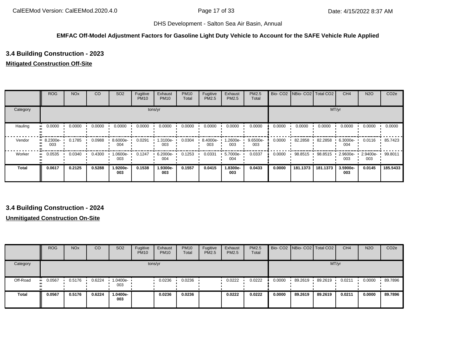#### **EMFAC Off-Model Adjustment Factors for Gasoline Light Duty Vehicle to Account for the SAFE Vehicle Rule Applied**

# **3.4 Building Construction - 2023**

### **Mitigated Construction Off-Site**

|              | <b>ROG</b>                     | <b>NO<sub>x</sub></b> | CO     | SO <sub>2</sub>  | Fugitive<br><b>PM10</b> | Exhaust<br><b>PM10</b> | <b>PM10</b><br>Total | Fugitive<br>PM2.5 | Exhaust<br>PM2.5 | PM2.5<br>Total    |        | Bio- CO2   NBio- CO2   Total CO2 |          | CH <sub>4</sub>    | <b>N2O</b>      | CO <sub>2e</sub> |
|--------------|--------------------------------|-----------------------|--------|------------------|-------------------------|------------------------|----------------------|-------------------|------------------|-------------------|--------|----------------------------------|----------|--------------------|-----------------|------------------|
| Category     |                                |                       |        |                  |                         | tons/yr                |                      |                   |                  |                   |        |                                  |          | MT/yr              |                 |                  |
| Hauling      | 0.0000<br>                     | 0.0000                | 0.0000 | 0.0000           | 0.0000                  | 0.0000                 | 0.0000               | 0.0000            | 0.0000           | 0.0000            | 0.0000 | 0.0000                           | 0.0000   | 0.0000             | 0.0000          | 0.0000           |
| Vendor       | $\blacksquare$ 8.2300e-<br>003 | 0.1785                | 0.0988 | 8.6000e-<br>004  | 0.0291                  | 1.3100e-<br>003        | 0.0304               | 8.4000e-<br>003   | 1.2600e-<br>003  | $9.6500e-$<br>003 | 0.0000 | 82.2858                          | 82.2858  | $6.3000e -$<br>004 | 0.0116          | 85.7423          |
| Worker       | 0.0535<br>                     | 0.0340                | 0.4300 | $.0600e-$<br>003 | 0.1247                  | 6.2000e-<br>004        | 0.1253               | 0.0331            | 5.7000e-<br>004  | 0.0337            | 0.0000 | 98.8515                          | 98.8515  | 2.9600e-<br>003    | 2.9400e-<br>003 | 99.8011          |
| <b>Total</b> | 0.0617                         | 0.2125                | 0.5288 | 1.9200e-<br>003  | 0.1538                  | 1.9300e-<br>003        | 0.1557               | 0.0415            | 1.8300e-<br>003  | 0.0433            | 0.0000 | 181.1373                         | 181.1373 | 3.5900e-<br>003    | 0.0145          | 185.5433         |

### **3.4 Building Construction - 2024**

### **Unmitigated Construction On-Site**

|              | <b>ROG</b> | <b>NO<sub>x</sub></b> | <sub>CO</sub> | SO <sub>2</sub> | Fugitive<br><b>PM10</b> | Exhaust<br><b>PM10</b> | <b>PM10</b><br>Total | Fugitive<br>PM2.5 | Exhaust<br><b>PM2.5</b> | PM2.5<br>Total |        | Bio- CO2 NBio- CO2   Total CO2 |         | CH <sub>4</sub> | <b>N2O</b> | CO <sub>2e</sub> |
|--------------|------------|-----------------------|---------------|-----------------|-------------------------|------------------------|----------------------|-------------------|-------------------------|----------------|--------|--------------------------------|---------|-----------------|------------|------------------|
| Category     |            |                       |               |                 | tons/yr                 |                        |                      |                   |                         |                |        |                                |         | MT/yr           |            |                  |
| Off-Road     | 0.0567     | 0.5176                | 0.6224        | 1.0400e-<br>003 |                         | 0.0236                 | 0.0236               |                   | 0.0222                  | 0.0222         | 0.0000 | 89.2619                        | 89.2619 | 0.0211          | 0.0000     | 89.7896          |
| <b>Total</b> | 0.0567     | 0.5176                | 0.6224        | -0400e-<br>003  |                         | 0.0236                 | 0.0236               |                   | 0.0222                  | 0.0222         | 0.0000 | 89.2619                        | 89.2619 | 0.0211          | 0.0000     | 89.7896          |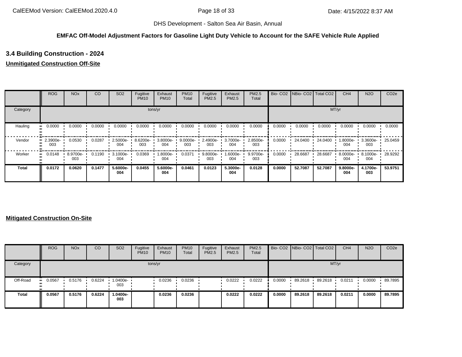#### **EMFAC Off-Model Adjustment Factors for Gasoline Light Duty Vehicle to Account for the SAFE Vehicle Rule Applied**

# **3.4 Building Construction - 2024**

### **Unmitigated Construction Off-Site**

|          | <b>ROG</b>         | <b>NO<sub>x</sub></b> | CO     | SO <sub>2</sub> | Fugitive<br><b>PM10</b> | Exhaust<br><b>PM10</b> | <b>PM10</b><br>Total | Fugitive<br>PM2.5 | Exhaust<br>PM2.5 | PM2.5<br>Total  |        | Bio- CO2 NBio- CO2 Total CO2 |         | CH <sub>4</sub> | <b>N2O</b>      | CO <sub>2e</sub> |
|----------|--------------------|-----------------------|--------|-----------------|-------------------------|------------------------|----------------------|-------------------|------------------|-----------------|--------|------------------------------|---------|-----------------|-----------------|------------------|
| Category |                    |                       |        |                 |                         | tons/yr                |                      |                   |                  |                 |        |                              |         | MT/yr           |                 |                  |
| Hauling  | 0.0000<br>         | 0.0000                | 0.0000 | 0.0000          | 0.0000                  | 0.0000                 | 0.0000               | 0.0000            | 0.0000           | 0.0000          | 0.0000 | 0.0000                       | 0.0000  | 0.0000          | 0.0000          | 0.0000           |
| Vendor   | $-2.3900e-$<br>003 | 0.0530                | 0.0287 | 2.5000e-<br>004 | 8.6200e-<br>003         | 3.8000e-<br>004        | 9.0000e-<br>003      | 2.4900e-<br>003   | 3.7000e-<br>004  | 2.8500e-<br>003 | 0.0000 | 24.0400                      | 24.0400 | 1.8000e-<br>004 | 3.3600e-<br>003 | 25.0459          |
| Worker   | 0.0148<br>         | 8.9700e-<br>003       | 0.1190 | 3.1000e-<br>004 | 0.0369                  | 1.8000e-<br>004        | 0.0371               | 9.8000e-<br>003   | 1.6000e-<br>004  | 9.9700e-<br>003 | 0.0000 | 28.6687                      | 28.6687 | 8.0000e-<br>004 | 8.1000e-<br>004 | 28.9292          |
| Total    | 0.0172             | 0.0620                | 0.1477 | 5.6000e-<br>004 | 0.0455                  | 5.6000e-<br>004        | 0.0461               | 0.0123            | 5.3000e-<br>004  | 0.0128          | 0.0000 | 52.7087                      | 52.7087 | 9.8000e-<br>004 | 4.1700e-<br>003 | 53.9751          |

### **Mitigated Construction On-Site**

|              | <b>ROG</b> | <b>NO<sub>x</sub></b> | CO     | SO <sub>2</sub>   | Fugitive<br><b>PM10</b> | Exhaust<br><b>PM10</b> | <b>PM10</b><br>Total | Fugitive<br>PM2.5 | Exhaust<br><b>PM2.5</b> | PM2.5<br>Total |        | Bio- CO2   NBio- CO2   Total CO2 |         | CH <sub>4</sub> | <b>N2O</b> | CO <sub>2e</sub> |
|--------------|------------|-----------------------|--------|-------------------|-------------------------|------------------------|----------------------|-------------------|-------------------------|----------------|--------|----------------------------------|---------|-----------------|------------|------------------|
| Category     |            |                       |        |                   |                         | tons/yr                |                      |                   |                         |                |        |                                  | MT/yr   |                 |            |                  |
| Off-Road     | 0.0567     | 0.5176                | 0.6224 | 1.0400e- •<br>003 |                         | 0.0236                 | 0.0236               |                   | 0.0222                  | 0.0222         | 0.0000 | 89.2618                          | 89.2618 | 0.0211          | 0.0000     | 89.7895          |
| <b>Total</b> | 0.0567     | 0.5176                | 0.6224 | 1.0400e-<br>003   |                         | 0.0236                 | 0.0236               |                   | 0.0222                  | 0.0222         | 0.0000 | 89.2618                          | 89.2618 | 0.0211          | 0.0000     | 89.7895          |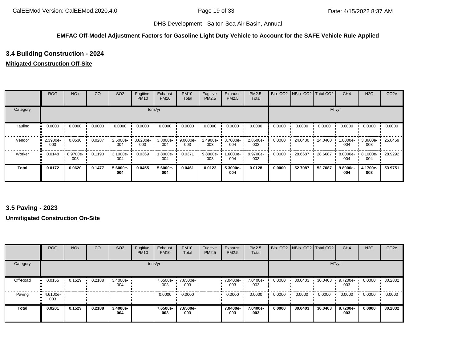#### **EMFAC Off-Model Adjustment Factors for Gasoline Light Duty Vehicle to Account for the SAFE Vehicle Rule Applied**

# **3.4 Building Construction - 2024**

### **Mitigated Construction Off-Site**

|              | <b>ROG</b>      | <b>NO<sub>x</sub></b> | CO     | SO <sub>2</sub> | Fugitive<br><b>PM10</b> | Exhaust<br><b>PM10</b> | <b>PM10</b><br>Total | Fugitive<br>PM2.5 | Exhaust<br>PM2.5 | <b>PM2.5</b><br>Total |        | Bio- CO2   NBio- CO2   Total CO2 |         | CH <sub>4</sub> | <b>N2O</b>         | CO <sub>2e</sub> |
|--------------|-----------------|-----------------------|--------|-----------------|-------------------------|------------------------|----------------------|-------------------|------------------|-----------------------|--------|----------------------------------|---------|-----------------|--------------------|------------------|
| Category     |                 |                       |        |                 |                         | tons/yr                |                      |                   |                  |                       |        |                                  | MT/yr   |                 |                    |                  |
| Hauling      | 0.0000          | 0.0000                | 0.0000 | 0.0000          | 0.0000                  | 0.0000                 | 0.0000               | 0.0000            | 0.0000           | 0.0000                | 0.0000 | 0.0000                           | 0.0000  | 0.0000          | 0.0000             | 0.0000           |
| Vendor       | 2.3900e-<br>003 | 0.0530                | 0.0287 | 2.5000e-<br>004 | 8.6200e-<br>003         | 3.8000e-<br>004        | $9.0000e -$<br>003   | 2.4900e-<br>003   | 3.7000e-<br>004  | 2.8500e-<br>003       | 0.0000 | 24.0400                          | 24.0400 | 1.8000e-<br>004 | $3.3600e -$<br>003 | 25.0459          |
| Worker       | 0.0148          | 8.9700e-<br>003       | 0.1190 | 3.1000e-<br>004 | 0.0369                  | 1.8000e-<br>004        | 0.0371               | 9.8000e-<br>003   | -:6000e<br>004   | 9.9700e-<br>003       | 0.0000 | 28.6687                          | 28.6687 | 8.0000e-<br>004 | 8.1000e-<br>004    | 28.9292          |
| <b>Total</b> | 0.0172          | 0.0620                | 0.1477 | 5.6000e-<br>004 | 0.0455                  | 5.6000e-<br>004        | 0.0461               | 0.0123            | 5.3000e-<br>004  | 0.0128                | 0.0000 | 52.7087                          | 52.7087 | 9.8000e-<br>004 | 4.1700e-<br>003    | 53.9751          |

### **3.5 Paving - 2023**

### **Unmitigated Construction On-Site**

|              | <b>ROG</b>         | <b>NO<sub>x</sub></b> | CO     | SO <sub>2</sub> | Fugitive<br><b>PM10</b> | Exhaust<br><b>PM10</b> | <b>PM10</b><br>Total | Fugitive<br>PM2.5 | Exhaust<br>PM2.5 | PM2.5<br>Total  |        | Bio- CO2   NBio- CO2   Total CO2 |         | CH <sub>4</sub> | <b>N2O</b> | CO <sub>2e</sub> |
|--------------|--------------------|-----------------------|--------|-----------------|-------------------------|------------------------|----------------------|-------------------|------------------|-----------------|--------|----------------------------------|---------|-----------------|------------|------------------|
| Category     |                    |                       |        |                 | tons/yr                 |                        |                      |                   |                  |                 |        |                                  | MT/yr   |                 |            |                  |
| Off-Road     | 0.0155<br>         | 0.1529                | 0.2188 | 3.4000e-<br>004 |                         | 7.6500e-<br>003        | 7.6500e-<br>003      |                   | 7.0400e-<br>003  | 7.0400e-<br>003 | 0.0000 | 30.0403                          | 30.0403 | 9.7200e-<br>003 | 0.0000     | 30.2832          |
| Paving       | $-4.6100e-$<br>003 |                       |        |                 |                         | 0.0000                 | 0.0000               |                   | 0.0000           | 0.0000          | 0.0000 | 0.0000                           | 0.0000  | 0.0000          | 0.0000     | 0.0000           |
| <b>Total</b> | 0.0201             | 0.1529                | 0.2188 | 3.4000e-<br>004 |                         | 7.6500e-<br>003        | 7.6500e-<br>003      |                   | 7.0400e-<br>003  | 7.0400e-<br>003 | 0.0000 | 30.0403                          | 30.0403 | 9.7200e-<br>003 | 0.0000     | 30.2832          |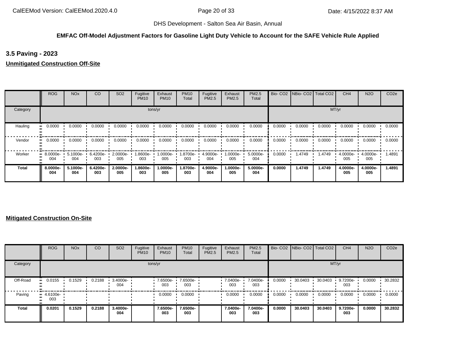### **EMFAC Off-Model Adjustment Factors for Gasoline Light Duty Vehicle to Account for the SAFE Vehicle Rule Applied**

**3.5 Paving - 2023**

**Unmitigated Construction Off-Site**

|          | <b>ROG</b>                     | <b>NO<sub>x</sub></b> | CO              | SO <sub>2</sub> | Fugitive<br><b>PM10</b> | Exhaust<br><b>PM10</b> | <b>PM10</b><br>Total | Fugitive<br>PM2.5 | Exhaust<br><b>PM2.5</b> | PM2.5<br>Total  |        | Bio- CO2 NBio- CO2 Total CO2 |        | CH <sub>4</sub> | <b>N2O</b>      | CO <sub>2e</sub> |
|----------|--------------------------------|-----------------------|-----------------|-----------------|-------------------------|------------------------|----------------------|-------------------|-------------------------|-----------------|--------|------------------------------|--------|-----------------|-----------------|------------------|
| Category |                                |                       |                 |                 |                         | tons/yr                |                      |                   |                         |                 |        |                              | MT/yr  |                 |                 |                  |
| Hauling  | 0.0000                         | 0.0000                | 0.0000          | 0.0000          | 0.0000                  | 0.0000                 | 0.0000               | 0.0000            | 0.0000                  | 0.0000          | 0.0000 | 0.0000                       | 0.0000 | 0.0000          | 0.0000          | 0.0000           |
| Vendor   | 0.0000                         | 0.0000                | 0.0000          | 0.0000          | 0.0000                  | 0.0000                 | 0.0000               | 0.0000            | 0.0000                  | 0.0000          | 0.0000 | 0.0000                       | 0.0000 | 0.0000          | 0.0000          | 0.0000           |
| Worker   | $\blacksquare$ 8.0000e-<br>004 | 5.1000e-<br>004       | 6.4200e-<br>003 | 2.0000e-<br>005 | -9000e-<br>003          | 1.0000e-<br>005        | -8700e.<br>003       | 4.9000e-<br>004   | $1.0000e -$<br>005      | 5.0000e-<br>004 | 0.0000 | 1.4749                       | 1.4749 | 4.0000e-<br>005 | 4.0000e-<br>005 | 1.4891           |
| Total    | 8.0000e-<br>004                | 5.1000e-<br>004       | 6.4200e-<br>003 | 2.0000e-<br>005 | 1.8600e-<br>003         | 1.0000e-<br>005        | 1.8700e-<br>003      | 4.9000e-<br>004   | 1.0000e-<br>005         | 5.0000e-<br>004 | 0.0000 | 1.4749                       | 1.4749 | 4.0000e-<br>005 | 4.0000e-<br>005 | 1.4891           |

### **Mitigated Construction On-Site**

|          | <b>ROG</b>      | <b>NO<sub>x</sub></b> | <sub>CO</sub> | SO <sub>2</sub> | Fugitive<br><b>PM10</b> | Exhaust<br><b>PM10</b> | <b>PM10</b><br>Total | Fugitive<br>PM2.5 | Exhaust<br>PM2.5 | <b>PM2.5</b><br>Total |        | Bio- CO2   NBio- CO2   Total CO2 |         | CH <sub>4</sub> | <b>N2O</b> | CO <sub>2e</sub> |
|----------|-----------------|-----------------------|---------------|-----------------|-------------------------|------------------------|----------------------|-------------------|------------------|-----------------------|--------|----------------------------------|---------|-----------------|------------|------------------|
| Category |                 |                       |               |                 | tons/yr                 |                        |                      |                   |                  |                       |        |                                  | MT/yr   |                 |            |                  |
| Off-Road | 0.0155          | 0.1529                | 0.2188        | 3.4000e-<br>004 |                         | 7.6500e-<br>003        | 7.6500e-<br>003      |                   | 7.0400e-<br>003  | 7.0400e-<br>003       | 0.0000 | 30.0403                          | 30.0403 | 9.7200e-<br>003 | 0.0000     | 30.2832          |
| Paving   | 4.6100e-<br>003 |                       |               |                 |                         | 0.0000                 | 0.0000               |                   | 0.0000           | 0.0000                | 0.0000 | 0.0000                           | 0.0000  | 0.0000          | 0.0000     | 0.0000           |
| Total    | 0.0201          | 0.1529                | 0.2188        | 3.4000e-<br>004 |                         | 7.6500e-<br>003        | 7.6500e-<br>003      |                   | 7.0400e-<br>003  | 7.0400e-<br>003       | 0.0000 | 30.0403                          | 30.0403 | 9.7200e-<br>003 | 0.0000     | 30.2832          |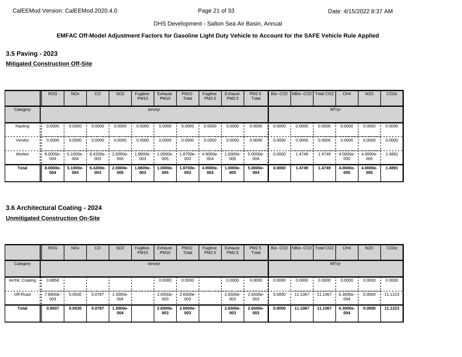#### **EMFAC Off-Model Adjustment Factors for Gasoline Light Duty Vehicle to Account for the SAFE Vehicle Rule Applied**

**3.5 Paving - 2023**

**Mitigated Construction Off-Site**

|              | <b>ROG</b>                     | <b>NO<sub>x</sub></b> | CO              | SO <sub>2</sub> | Fugitive<br><b>PM10</b> | Exhaust<br><b>PM10</b> | <b>PM10</b><br>Total | Fugitive<br><b>PM2.5</b> | Exhaust<br>PM2.5   | PM2.5<br>Total  |        | Bio- CO2   NBio- CO2   Total CO2 |        | CH <sub>4</sub> | <b>N2O</b>      | CO <sub>2e</sub> |
|--------------|--------------------------------|-----------------------|-----------------|-----------------|-------------------------|------------------------|----------------------|--------------------------|--------------------|-----------------|--------|----------------------------------|--------|-----------------|-----------------|------------------|
| Category     |                                |                       |                 |                 |                         | tons/yr                |                      |                          |                    |                 |        |                                  |        | MT/yr           |                 |                  |
| Hauling      | 0.0000                         | 0.0000                | 0.0000          | 0.0000          | 0.0000                  | 0.0000                 | 0.0000               | 0.0000                   | 0.0000             | 0.0000          | 0.0000 | 0.0000                           | 0.0000 | 0.0000          | 0.0000          | 0.0000           |
| Vendor       | 0.0000                         | 0.0000                | 0.0000          | 0.0000          | 0.0000                  | 0.0000                 | 0.0000               | 0.0000                   | 0.0000             | 0.0000          | 0.0000 | 0.0000                           | 0.0000 | 0.0000          | 0.0000          | 0.0000           |
| Worker       | $\blacksquare$ 8.0000e-<br>004 | 5.1000e-<br>004       | 6.4200e-<br>003 | 2.0000e-<br>005 | 1.8600e-<br>003         | --0000e.l<br>005       | 1.8700e-<br>003      | 4.9000e-<br>004          | $1.0000e -$<br>005 | 5.0000e-<br>004 | 0.0000 | 1.4749                           | 1.4749 | 4.0000e-<br>005 | 4.0000e-<br>005 | 1.4891           |
| <b>Total</b> | 8.0000e-<br>004                | 5.1000e-<br>004       | 6.4200e-<br>003 | 2.0000e-<br>005 | 1.8600e-<br>003         | 1.0000e-<br>005        | 1.8700e-<br>003      | 4.9000e-<br>004          | 1.0000e-<br>005    | 5.0000e-<br>004 | 0.0000 | 1.4749                           | 1.4749 | 4.0000e-<br>005 | 4.0000e-<br>005 | 1.4891           |

### **3.6 Architectural Coating - 2024**

**Unmitigated Construction On-Site**

|                 | <b>ROG</b>         | <b>NO<sub>x</sub></b> | <b>CO</b> | SO <sub>2</sub> | Fugitive<br><b>PM10</b> | Exhaust<br><b>PM10</b> | <b>PM10</b><br>Total | Fugitive<br><b>PM2.5</b> | Exhaust<br>PM2.5 | PM2.5<br>Total  |        | Bio- CO2   NBio- CO2   Total CO2 |         | CH <sub>4</sub> | <b>N2O</b> | CO <sub>2</sub> e |
|-----------------|--------------------|-----------------------|-----------|-----------------|-------------------------|------------------------|----------------------|--------------------------|------------------|-----------------|--------|----------------------------------|---------|-----------------|------------|-------------------|
| Category        |                    |                       |           |                 | tons/yr                 |                        |                      |                          |                  |                 |        |                                  | MT/yr   |                 |            |                   |
| Archit. Coating | 0.8858<br>         |                       |           |                 |                         | 0.0000                 | 0.0000               |                          | 0.0000           | 0.0000          | 0.0000 | 0.0000                           | 0.0000  | 0.0000          | 0.0000     | 0.0000            |
| Off-Road        | $-7.8600e-$<br>003 | 0.0530                | 0.0787    | 1.3000e-<br>004 |                         | $2.6500e-$<br>003      | 2.6500e-<br>003      |                          | 2.6500e-<br>003  | 2.6500e-<br>003 | 0.0000 | 11.1067                          | 11.1067 | 6.3000e-<br>004 | 0.0000     | 11.1223           |
| <b>Total</b>    | 0.8937             | 0.0530                | 0.0787    | -.3000e<br>004  |                         | 2.6500e-<br>003        | 2.6500e-<br>003      |                          | 2.6500e-<br>003  | 2.6500e-<br>003 | 0.0000 | 11.1067                          | 11.1067 | 6.3000e-<br>004 | 0.0000     | 11.1223           |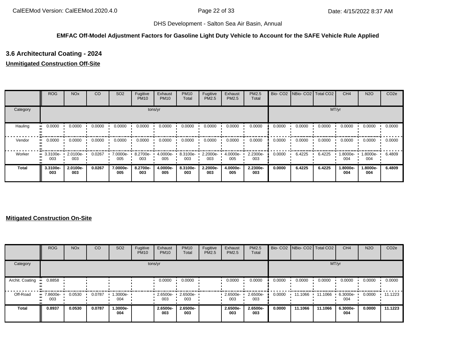### **EMFAC Off-Model Adjustment Factors for Gasoline Light Duty Vehicle to Account for the SAFE Vehicle Rule Applied**

# **3.6 Architectural Coating - 2024**

### **Unmitigated Construction Off-Site**

|          | <b>ROG</b>                     | <b>NO<sub>x</sub></b> | CO     | SO <sub>2</sub> | Fugitive<br><b>PM10</b> | Exhaust<br><b>PM10</b> | <b>PM10</b><br>Total | Fugitive<br>PM2.5 | Exhaust<br>PM2.5 | <b>PM2.5</b><br>Total |        | Bio- CO2   NBio- CO2   Total CO2 |        | CH <sub>4</sub> | <b>N2O</b>      | CO <sub>2e</sub> |
|----------|--------------------------------|-----------------------|--------|-----------------|-------------------------|------------------------|----------------------|-------------------|------------------|-----------------------|--------|----------------------------------|--------|-----------------|-----------------|------------------|
| Category |                                |                       |        |                 |                         | tons/yr                |                      |                   |                  |                       |        |                                  |        | MT/yr           |                 |                  |
| Hauling  | 0.0000<br>                     | 0.0000                | 0.0000 | 0.0000          | 0.0000                  | 0.0000                 | 0.0000               | 0.0000            | 0.0000           | 0.0000                | 0.0000 | 0.0000                           | 0.0000 | 0.0000          | 0.0000          | 0.0000           |
| Vendor   | 0.0000<br>                     | 0.0000                | 0.0000 | 0.0000          | 0.0000                  | 0.0000                 | 0.0000               | 0.0000            | 0.0000           | 0.0000                | 0.0000 | 0.0000                           | 0.0000 | 0.0000          | 0.0000          | 0.0000           |
| Worker   | $\blacksquare$ 3.3100e-<br>003 | 2.0100e-<br>003       | 0.0267 | 7.0000e-<br>005 | 8.2700e-<br>003         | 4.0000e-<br>005        | 8.3100e-<br>003      | 2.2000e-<br>003   | 4.0000e-<br>005  | 2.2300e-<br>003       | 0.0000 | 6.4225                           | 6.4225 | --8000e.<br>004 | -8000e.<br>004  | 6.4809           |
| Total    | 3.3100e-<br>003                | 2.0100e-<br>003       | 0.0267 | 7.0000e-<br>005 | 8.2700e-<br>003         | 4.0000e-<br>005        | 8.3100e-<br>003      | 2.2000e-<br>003   | 4.0000e-<br>005  | 2.2300e-<br>003       | 0.0000 | 6.4225                           | 6.4225 | 1.8000e-<br>004 | 1.8000e-<br>004 | 6.4809           |

### **Mitigated Construction On-Site**

|                 | <b>ROG</b>         | <b>NO<sub>x</sub></b> | CO     | SO <sub>2</sub> | Fugitive<br><b>PM10</b> | Exhaust<br><b>PM10</b> | <b>PM10</b><br>Total | Fugitive<br>PM2.5 | Exhaust<br><b>PM2.5</b> | <b>PM2.5</b><br>Total |        | Bio- CO2   NBio- CO2   Total CO2 |         | CH <sub>4</sub> | <b>N2O</b> | CO <sub>2e</sub> |
|-----------------|--------------------|-----------------------|--------|-----------------|-------------------------|------------------------|----------------------|-------------------|-------------------------|-----------------------|--------|----------------------------------|---------|-----------------|------------|------------------|
| Category        |                    |                       |        |                 |                         | tons/yr                |                      |                   |                         |                       |        |                                  | MT/yr   |                 |            |                  |
| Archit. Coating | 0.8858<br>         |                       |        |                 |                         | 0.0000                 | 0.0000               |                   | 0.0000                  | 0.0000                | 0.0000 | 0.0000                           | 0.0000  | 0.0000          | 0.0000     | 0.0000           |
| Off-Road        | $-7.8600e-$<br>003 | 0.0530                | 0.0787 | 1.3000e-<br>004 |                         | 2.6500e-<br>003        | 2.6500e-<br>003      |                   | 2.6500e-<br>003         | 2.6500e-<br>003       | 0.0000 | 11.1066                          | 11.1066 | 6.3000e-<br>004 | 0.0000     | $-11.1223$       |
| Total           | 0.8937             | 0.0530                | 0.0787 | 1.3000e-<br>004 |                         | 2.6500e-<br>003        | 2.6500e-<br>003      |                   | 2.6500e-<br>003         | 2.6500e-<br>003       | 0.0000 | 11.1066                          | 11.1066 | 6.3000e-<br>004 | 0.0000     | 11.1223          |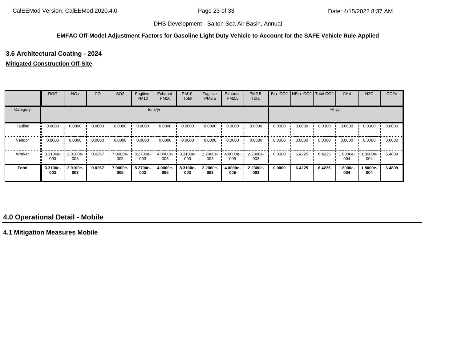#### **EMFAC Off-Model Adjustment Factors for Gasoline Light Duty Vehicle to Account for the SAFE Vehicle Rule Applied**

# **3.6 Architectural Coating - 2024**

### **Mitigated Construction Off-Site**

|              | <b>ROG</b>                     | <b>NO<sub>x</sub></b> | CO     | SO <sub>2</sub> | Fugitive<br><b>PM10</b> | Exhaust<br><b>PM10</b> | <b>PM10</b><br>Total | Fugitive<br>PM2.5 | Exhaust<br><b>PM2.5</b> | PM2.5<br>Total  |        | Bio- CO2 NBio- CO2 Total CO2 |        | CH <sub>4</sub> | <b>N2O</b>      | CO <sub>2e</sub> |
|--------------|--------------------------------|-----------------------|--------|-----------------|-------------------------|------------------------|----------------------|-------------------|-------------------------|-----------------|--------|------------------------------|--------|-----------------|-----------------|------------------|
| Category     |                                |                       |        |                 |                         | tons/yr                |                      |                   |                         |                 |        |                              |        | MT/yr           |                 |                  |
| Hauling      | 0.0000                         | 0.0000                | 0.0000 | 0.0000          | 0.0000                  | 0.0000                 | 0.0000               | 0.0000            | 0.0000                  | 0.0000          | 0.0000 | 0.0000                       | 0.0000 | 0.0000          | 0.0000          | 0.0000           |
| Vendor       | 0.0000                         | 0.0000                | 0.0000 | 0.0000          | 0.0000                  | 0.0000                 | 0.0000               | 0.0000            | 0.0000                  | 0.0000          | 0.0000 | 0.0000                       | 0.0000 | 0.0000          | 0.0000          | 0.0000           |
| Worker       | $\blacksquare$ 3.3100e-<br>003 | 2.0100e-<br>003       | 0.0267 | 7.0000e-<br>005 | 8.2700e-<br>003         | 4.0000e-<br>005        | 8.3100e-<br>003      | 2.2000e-<br>003   | 4.0000e-<br>005         | 2.2300e-<br>003 | 0.0000 | 6.4225                       | 6.4225 | 1.8000e-<br>004 | .8000e-<br>004  | 6.4809           |
| <b>Total</b> | 3.3100e-<br>003                | 2.0100e-<br>003       | 0.0267 | 7.0000e-<br>005 | 8.2700e-<br>003         | 4.0000e-<br>005        | 8.3100e-<br>003      | 2.2000e-<br>003   | 4.0000e-<br>005         | 2.2300e-<br>003 | 0.0000 | 6.4225                       | 6.4225 | 1.8000e-<br>004 | 1.8000e-<br>004 | 6.4809           |

## **4.0 Operational Detail - Mobile**

**4.1 Mitigation Measures Mobile**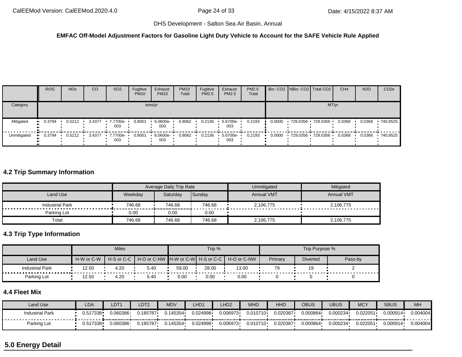#### **EMFAC Off-Model Adjustment Factors for Gasoline Light Duty Vehicle to Account for the SAFE Vehicle Rule Applied**

|             | <b>ROG</b> | <b>NO<sub>x</sub></b> | <sub>CO</sub> | SO <sub>2</sub> | Fugitive<br><b>PM10</b> | Exhaust<br><b>PM10</b> | <b>PM10</b><br>Total | Fugitive<br><b>PM2.5</b> | Exhaust<br><b>PM2.5</b> | PM2.5<br>Total |        | Bio- CO2 NBio- CO2 Total CO2 | CH <sub>4</sub> | <b>N2O</b> | CO <sub>2e</sub> |
|-------------|------------|-----------------------|---------------|-----------------|-------------------------|------------------------|----------------------|--------------------------|-------------------------|----------------|--------|------------------------------|-----------------|------------|------------------|
| Category    |            |                       |               |                 |                         | tons/yr                |                      |                          |                         |                |        | MT/yr                        |                 |            |                  |
| Mitigated   | 0.3794     | 0.5212                | 3.4377        | 7.7700e-<br>003 | 0.8001                  | 6.0600e-<br>003        | 0.8062               | 0.2136                   | 5.6700e-<br>003         | 0.2193         | 0.0000 | 729.0356 729.0356            | 0.0368          | 0.0366     | 740.8525         |
| Unmitigated | 0.3794     | 0.5212                | 3.4377        | 7.7700e-<br>003 | 0.8001                  | 6.0600e-<br>003        | 0.8062               | 0.2136                   | 5.6700e-<br>003         | 0.2193         | 0.0000 | 729.0356 729.0356            | 0.0368          | 0.0366     | 740.8525         |

# **4.2 Trip Summary Information**

|                        |         | Average Daily Trip Rate |        | Unmitigated       | Mitigated         |
|------------------------|---------|-------------------------|--------|-------------------|-------------------|
| Land Use               | Weekday | Saturdav                | Sunday | <b>Annual VMT</b> | <b>Annual VMT</b> |
| <b>Industrial Park</b> | 746.68  | 746.68                  | 746.68 | 2,106,775         | 2,106,775         |
| Parking Lot            | 0.00    | 0.00                    | 0.00   |                   |                   |
| Total                  | 746.68  | 746.68                  | 746.68 | 2,106,775         | 2,106,775         |

# **4.3 Trip Type Information**

|                             |            | <b>Miles</b>             |                                       |       | Trip % |             |         | Trip Purpose %  |         |
|-----------------------------|------------|--------------------------|---------------------------------------|-------|--------|-------------|---------|-----------------|---------|
| Land Use                    | H-W or C-W | $H-S$ or C-C $\parallel$ | H-O or C-NW IH-W or C-WI H-S or C-C I |       |        | H-O or C-NW | Primary | <b>Diverted</b> | Pass-by |
| <b>Industrial Park</b><br>. | 12.50      | 4.20                     | 5.40                                  | 59.00 | 28.00  | 13.00       | 79      | 19              |         |
| Parking Lot                 | 12.50      | 4.20                     | 5.40                                  | 0.00  | 0.00   | 0.00        |         |                 |         |

# **4.4 Fleet Mix**

| Land Use               | LDA      | LDT1     | LDT <sub>2</sub> | <b>MDV</b> | LHD1     | LHD <sub>2</sub> | <b>MHD</b> | HHD      | OBUS     | UBUS     | <b>MCY</b> | <b>SBUS</b> | MH       |
|------------------------|----------|----------|------------------|------------|----------|------------------|------------|----------|----------|----------|------------|-------------|----------|
| <b>Industrial Park</b> | 0.517338 | 0.060386 | 0.185787         | 145354     | 0.024998 | 0.006973         | 0.010710   | 0.020387 | 0.000864 | 0.000234 | 0.022051   | 0.000914    | 0.004004 |
| Parking Lot            | 0.517338 | 0.060386 | 0.185787         | 145354.    | 0.024998 | 0.006973         | 0.010710   | 0.020387 | 0.000864 | 0.000234 | 0.022051   | 0.000914    | 0.004004 |

# **5.0 Energy Detail**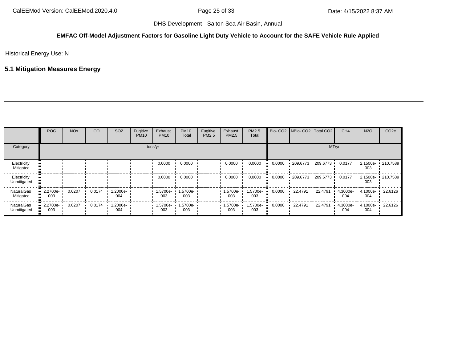### **EMFAC Off-Model Adjustment Factors for Gasoline Light Duty Vehicle to Account for the SAFE Vehicle Rule Applied**

Historical Energy Use: N

# **5.1 Mitigation Measures Energy**

|                                  | <b>ROG</b>      | <b>NO<sub>x</sub></b> | CO     | SO <sub>2</sub> | Fugitive<br><b>PM10</b> | Exhaust<br><b>PM10</b> | <b>PM10</b><br>Total | Fugitive<br><b>PM2.5</b> | Exhaust<br><b>PM2.5</b> | <b>PM2.5</b><br>Total |        | Bio- CO2   NBio- CO2   Total CO2 |                       | CH <sub>4</sub> | <b>N2O</b>      | CO <sub>2e</sub> |
|----------------------------------|-----------------|-----------------------|--------|-----------------|-------------------------|------------------------|----------------------|--------------------------|-------------------------|-----------------------|--------|----------------------------------|-----------------------|-----------------|-----------------|------------------|
| Category                         |                 |                       |        |                 |                         | tons/yr                |                      |                          |                         |                       |        |                                  |                       | MT/yr           |                 |                  |
| Electricity<br>Mitigated         |                 |                       |        |                 |                         | 0.0000                 | 0.0000               |                          | 0.0000                  | 0.0000                | 0.0000 |                                  | 209.6773 1 209.6773 1 | 0.0177          | 2.1500e-<br>003 | 210.7589         |
| Electricity<br>Unmitigated       |                 |                       |        |                 |                         | 0.0000                 | 0.0000               |                          | 0.0000                  | 0.0000                | 0.0000 | $-209.6773 - 209.6773$           |                       | 0.0177          | 2.1500e-<br>003 | $-210.7589$      |
| <b>NaturalGas</b><br>Mitigated   | 2.2700e-<br>003 | 0.0207                | 0.0174 | .2000e-<br>004  |                         | 1.5700e-<br>003        | 1.5700e-<br>003      |                          | .5700e-<br>003          | 1.5700e-<br>003       | 0.0000 | 22.4791                          | 22.4791               | 4.3000e-<br>004 | 4.1000e-<br>004 | 22.6126          |
| <b>NaturalGas</b><br>Unmitigated | 2.2700e-<br>003 | 0.0207                | 0.0174 | 1.2000e-<br>004 |                         | 1.5700e-<br>003        | 1.5700e-<br>003      |                          | .5700e-<br>003          | 1.5700e-<br>003       | 0.0000 | 22.4791                          | 22.4791               | 4.3000e-<br>004 | 4.1000e-<br>004 | 22.6126          |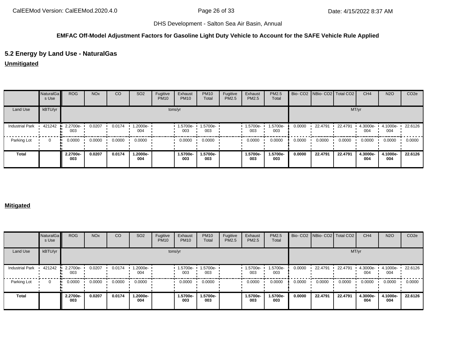### **EMFAC Off-Model Adjustment Factors for Gasoline Light Duty Vehicle to Account for the SAFE Vehicle Rule Applied**

### **5.2 Energy by Land Use - NaturalGas**

**Unmitigated**

|                        | NaturalGa<br>s Use | <b>ROG</b>      | <b>NO<sub>x</sub></b> | <sub>CO</sub> | SO <sub>2</sub> | Fugitive<br><b>PM10</b> | Exhaust<br><b>PM10</b> | <b>PM10</b><br>Total | Fugitive<br>PM2.5 | Exhaust<br>PM2.5 | PM2.5<br>Total  |        | Bio- CO2 NBio- CO2 Total CO2 |         | CH <sub>4</sub> | <b>N2O</b>      | CO <sub>2e</sub> |
|------------------------|--------------------|-----------------|-----------------------|---------------|-----------------|-------------------------|------------------------|----------------------|-------------------|------------------|-----------------|--------|------------------------------|---------|-----------------|-----------------|------------------|
| Land Use               | kBTU/yr            |                 |                       |               |                 |                         | tons/yr                |                      |                   |                  |                 |        |                              |         | MT/yr           |                 |                  |
| <b>Industrial Park</b> | 421242             | 2.2700e-<br>003 | 0.0207                | 0.0174        | 1.2000e-<br>004 |                         | 1.5700e-<br>003        | -5700e-<br>003       |                   | -5700e<br>003    | 1.5700e-<br>003 | 0.0000 | 22.4791                      | 22.4791 | 4.3000e-<br>004 | 4.1000e-<br>004 | 22.6126          |
| Parking Lot            | $\Omega$           | 0.0000          | 0.0000                | 0.0000        | 0.0000          |                         | 0.0000                 | 0.0000               |                   | 0.0000           | 0.0000          | 0.0000 | 0.0000                       | 0.0000  | 0.0000          | 0.0000          | 0.0000           |
| <b>Total</b>           |                    | 2.2700e-<br>003 | 0.0207                | 0.0174        | 1.2000e-<br>004 |                         | 1.5700e-<br>003        | -5700e<br>003        |                   | 1.5700e-<br>003  | 1.5700e-<br>003 | 0.0000 | 22.4791                      | 22.4791 | 4.3000e-<br>004 | 4.1000e-<br>004 | 22.6126          |

#### **Mitigated**

|                        | NaturalGa<br>s Use | <b>ROG</b>      | <b>NO<sub>x</sub></b> | CO     | SO <sub>2</sub> | Fugitive<br><b>PM10</b> | Exhaust<br><b>PM10</b> | <b>PM10</b><br>Total | Fugitive<br>PM2.5 | Exhaust<br>PM2.5 | PM2.5<br>Total  |        | Bio- CO2   NBio- CO2   Total CO2 |         | CH <sub>4</sub> | <b>N2O</b>      | CO <sub>2e</sub> |
|------------------------|--------------------|-----------------|-----------------------|--------|-----------------|-------------------------|------------------------|----------------------|-------------------|------------------|-----------------|--------|----------------------------------|---------|-----------------|-----------------|------------------|
| Land Use               | kBTU/yr            |                 |                       |        |                 |                         | tons/yr                |                      |                   |                  |                 |        |                                  | MT/yr   |                 |                 |                  |
| <b>Industrial Park</b> | 421242             | 2.2700e-<br>003 | 0.0207                | 0.0174 | 1.2000e-<br>004 |                         | 1.5700e-<br>003        | 1.5700e-<br>003      |                   | 1.5700e-<br>003  | .5700e-<br>003  | 0.0000 | 22.4791                          | 22.4791 | 4.3000e-<br>004 | 4.1000e-<br>004 | .22.6126         |
| Parking Lot            | $\Omega$           | 0.0000          | 0.0000                | 0.0000 | 0.0000          |                         | 0.0000                 | 0.0000               |                   | 0.0000           | 0.0000          | 0.0000 | 0.0000                           | 0.0000  | 0.0000          | 0.0000          | 0.0000           |
| <b>Total</b>           |                    | 2.2700e-<br>003 | 0.0207                | 0.0174 | 1.2000e-<br>004 |                         | 1.5700e-<br>003        | 1.5700e-<br>003      |                   | 1.5700e-<br>003  | 1.5700e-<br>003 | 0.0000 | 22.4791                          | 22.4791 | 4.3000e-<br>004 | 4.1000e-<br>004 | 22.6126          |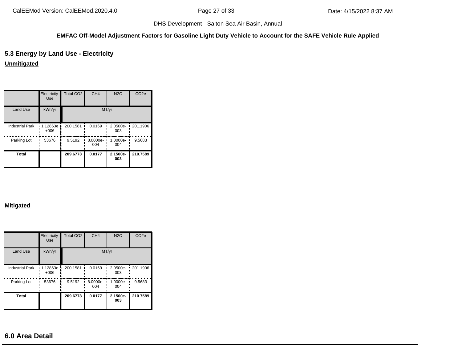#### **EMFAC Off-Model Adjustment Factors for Gasoline Light Duty Vehicle to Account for the SAFE Vehicle Rule Applied**

# **5.3 Energy by Land Use - Electricity**

### **Unmitigated**

|                        | Electricity<br><b>Use</b> | Total CO <sub>2</sub> | CH <sub>4</sub> | <b>N2O</b>      | CO <sub>2e</sub> |
|------------------------|---------------------------|-----------------------|-----------------|-----------------|------------------|
| <b>Land Use</b>        | kWh/yr                    |                       |                 | MT/yr           |                  |
| <b>Industrial Park</b> | $+006$                    | 1.12863e 200.1581     | 0.0169          | 2.0500e-<br>003 | 201.1906<br>٠    |
| Parking Lot            | 53676                     | 9.5192                | 8.0000e-<br>004 | 1.0000e-<br>004 | 9.5683           |
| <b>Total</b>           |                           | 209.6773              | 0.0177          | 2.1500e-<br>003 | 210.7589         |

#### **Mitigated**

|                        | Electricity<br><b>Use</b> | <b>Total CO2</b>    | CH <sub>4</sub> | <b>N2O</b>      | CO <sub>2e</sub>         |
|------------------------|---------------------------|---------------------|-----------------|-----------------|--------------------------|
| <b>Land Use</b>        | kWh/yr                    |                     | MT/yr           |                 |                          |
| <b>Industrial Park</b> | $+006$                    | 1.12863e 1 200.1581 | 0.0169          | 2.0500e-<br>003 | 201.1906<br>$\mathbf{I}$ |
| Parking Lot            | 53676                     | 9.5192              | 8.0000e-<br>004 | 1.0000e-<br>004 | 9.5683                   |
| <b>Total</b>           |                           | 209.6773            | 0.0177          | 2.1500e-<br>003 | 210.7589                 |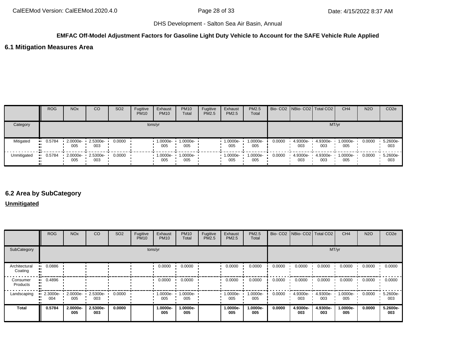# **EMFAC Off-Model Adjustment Factors for Gasoline Light Duty Vehicle to Account for the SAFE Vehicle Rule Applied**

### **6.1 Mitigation Measures Area**

|             | <b>ROG</b> | <b>NO<sub>x</sub></b> | CO                       | SO <sub>2</sub> | Fugitive<br><b>PM10</b> | Exhaust<br><b>PM10</b> | <b>PM10</b><br>Total | Fugitive<br>PM2.5 | Exhaust<br>PM2.5 | <b>PM2.5</b><br>Total |        | Bio- CO2   NBio- CO2   Total CO2 |                 | CH <sub>4</sub> | <b>N2O</b> | CO <sub>2</sub> e |
|-------------|------------|-----------------------|--------------------------|-----------------|-------------------------|------------------------|----------------------|-------------------|------------------|-----------------------|--------|----------------------------------|-----------------|-----------------|------------|-------------------|
| Category    |            |                       |                          |                 |                         | tons/yr                |                      |                   |                  |                       |        |                                  | MT/yr           |                 |            |                   |
| Mitigated   | 0.5784     | 2.0000e-<br>005       | 2.5300e-<br>003          | 0.0000          |                         | 1.0000e-<br>005        | 1.0000e-<br>005      |                   | 1.0000e-<br>005  | 1.0000e-<br>005       | 0.0000 | 4.9300e-<br>003                  | 4.9300e-<br>003 | 1.0000e-<br>005 | 0.0000     | 5.2600e-<br>003   |
| Unmitigated | 0.5784     | 005                   | 2.0000e- 2.5300e-<br>003 | 0.0000          |                         | $1.0000e -$<br>005     | $1.0000e -$<br>005   |                   | 1.0000e-<br>005  | 1.0000e-<br>005       | 0.0000 | 4.9300e-<br>003                  | 4.9300e-<br>003 | 1.0000e-<br>005 | 0.0000     | 5.2600e-<br>003   |

### **6.2 Area by SubCategory**

### **Unmitigated**

|                          | <b>ROG</b>      | <b>NO<sub>x</sub></b> | CO              | SO <sub>2</sub> | Fugitive<br><b>PM10</b> | Exhaust<br><b>PM10</b> | <b>PM10</b><br>Total | Fugitive<br>PM2.5 | Exhaust<br><b>PM2.5</b> | PM2.5<br>Total  |        |                 | Bio- CO2 NBio- CO2 Total CO2 | CH <sub>4</sub>    | <b>N2O</b> | CO <sub>2e</sub> |
|--------------------------|-----------------|-----------------------|-----------------|-----------------|-------------------------|------------------------|----------------------|-------------------|-------------------------|-----------------|--------|-----------------|------------------------------|--------------------|------------|------------------|
| SubCategory              |                 |                       |                 |                 |                         | tons/yr                |                      |                   |                         |                 |        |                 |                              | MT/yr              |            |                  |
| Architectural<br>Coating | 0.0886          |                       |                 |                 |                         | 0.0000                 | 0.0000               |                   | 0.0000                  | 0.0000          | 0.0000 | 0.0000          | 0.0000                       | 0.0000             | 0.0000     | 0.0000           |
| Consumer<br>Products     | 0.4896<br>      |                       |                 |                 |                         | 0.0000                 | 0.0000               |                   | 0.0000                  | 0.0000          | 0.0000 | 0.0000          | 0.0000                       | 0.0000             | 0.0000     | 0.0000           |
| Landscaping              | 2.3000e-<br>004 | 2.0000e-<br>005       | 2.5300e-<br>003 | 0.0000          |                         | 1.0000e-<br>005        | 1.0000e-<br>005      |                   | --0000e-1<br>005        | 1.0000e-<br>005 | 0.0000 | 4.9300e-<br>003 | 4.9300e-<br>003              | $1.0000e -$<br>005 | 0.0000     | 5.2600e-<br>003  |
| <b>Total</b>             | 0.5784          | 2.0000e-<br>005       | 2.5300e-<br>003 | 0.0000          |                         | 1.0000e-<br>005        | 1.0000e-<br>005      |                   | 1.0000e-<br>005         | 1.0000e-<br>005 | 0.0000 | 4.9300e-<br>003 | 4.9300e-<br>003              | 1.0000e-<br>005    | 0.0000     | 5.2600e-<br>003  |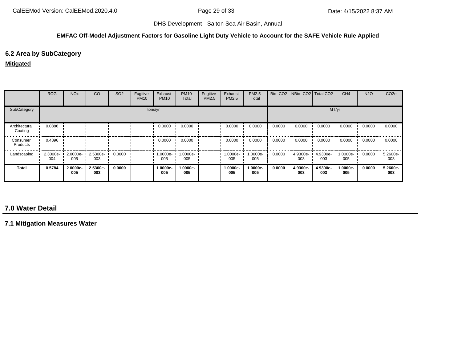#### **EMFAC Off-Model Adjustment Factors for Gasoline Light Duty Vehicle to Account for the SAFE Vehicle Rule Applied**

## **6.2 Area by SubCategory**

#### **Mitigated**

|                          | ROG             | <b>NO<sub>x</sub></b> | CO              | SO <sub>2</sub> | Fugitive<br><b>PM10</b> | Exhaust<br><b>PM10</b> | <b>PM10</b><br>Total | Fugitive<br>PM2.5 | Exhaust<br>PM2.5 | PM2.5<br>Total  |        |                   | Bio- CO2 NBio- CO2 Total CO2 | CH <sub>4</sub> | <b>N2O</b> | CO <sub>2e</sub> |
|--------------------------|-----------------|-----------------------|-----------------|-----------------|-------------------------|------------------------|----------------------|-------------------|------------------|-----------------|--------|-------------------|------------------------------|-----------------|------------|------------------|
| SubCategory              |                 |                       |                 |                 |                         | tons/yr                |                      |                   |                  |                 |        |                   | MT/yr                        |                 |            |                  |
| Architectural<br>Coating | 0.0886          |                       |                 |                 |                         | 0.0000                 | 0.0000               |                   | 0.0000           | 0.0000          | 0.0000 | 0.0000            | 0.0000                       | 0.0000          | 0.0000     | 0.0000           |
| Consumer<br>Products     | 0.4896          |                       |                 |                 |                         | 0.0000                 | 0.0000               |                   | 0.0000           | 0.0000          | 0.0000 | 0.0000            | 0.0000                       | 0.0000          | 0.0000     | 0.0000           |
| Landscaping              | 2.3000e-<br>004 | 2.0000e-<br>005       | 2.5300e-<br>003 | 0.0000          |                         | 1.0000e-<br>005        | 1.0000e-<br>005      |                   | 1.0000e-<br>005  | 1.0000e-<br>005 | 0.0000 | $4.9300e-$<br>003 | 4.9300e-<br>003              | 1.0000e-<br>005 | 0.0000     | 5.2600e-<br>003  |
| <b>Total</b>             | 0.5784          | 2.0000e-<br>005       | 2.5300e-<br>003 | 0.0000          |                         | 1.0000e-<br>005        | 1.0000e-<br>005      |                   | 1.0000e-<br>005  | 1.0000e-<br>005 | 0.0000 | 4.9300e-<br>003   | 4.9300e-<br>003              | 1.0000e-<br>005 | 0.0000     | 5.2600e-<br>003  |

# **7.0 Water Detail**

**7.1 Mitigation Measures Water**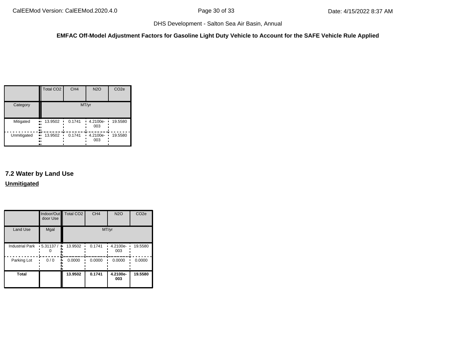### **EMFAC Off-Model Adjustment Factors for Gasoline Light Duty Vehicle to Account for the SAFE Vehicle Rule Applied**

|             | <b>Total CO2</b>                    | CH <sub>4</sub> | <b>N2O</b>         | CO <sub>2e</sub> |
|-------------|-------------------------------------|-----------------|--------------------|------------------|
| Category    |                                     |                 | MT/yr              |                  |
| Mitigated   | 13.9502<br>ш.<br>п<br><br>81<br>.,  | 0.1741          | 4.2100e-<br>003    | 19.5580          |
| Unmitigated | æ<br>13.9502<br>ш<br>п<br><br><br>ш | 0.1741          | $-4.2100e-$<br>003 | 19.5580          |

# **7.2 Water by Land Use Unmitigated**

|                        | Indoor/Out<br>door Use | <b>Total CO2</b> | CH <sub>4</sub> | <b>N2O</b>         | CO <sub>2e</sub> |
|------------------------|------------------------|------------------|-----------------|--------------------|------------------|
| <b>Land Use</b>        | Mgal                   |                  | MT/yr           |                    |                  |
| <b>Industrial Park</b> | .5.31137/<br>۰.        | 13.9502          | 0.1741          | $-4.2100e-$<br>003 | 19.5580          |
| Parking Lot            | 0/0                    | 0.0000           | 0.0000          | 0.0000             | 0.0000           |
| <b>Total</b>           |                        | 13.9502          | 0.1741          | 4.2100e-<br>003    | 19.5580          |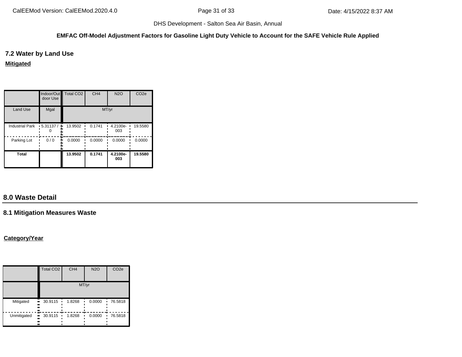### **EMFAC Off-Model Adjustment Factors for Gasoline Light Duty Vehicle to Account for the SAFE Vehicle Rule Applied**

**7.2 Water by Land Use**

**Mitigated**

|                        | door Use         | Indoor/Out   Total CO2 | CH <sub>4</sub> | <b>N2O</b>         | CO <sub>2e</sub> |
|------------------------|------------------|------------------------|-----------------|--------------------|------------------|
| <b>Land Use</b>        | Mgal             |                        | MT/yr           |                    |                  |
| <b>Industrial Park</b> | $-5.31137/$<br>٠ | 13.9502                | 0.1741          | $-4.2100e-$<br>003 | 19.5580          |
| Parking Lot            | 0/0              | 0.0000                 | 0.0000          | 0.0000             | 0.0000           |
| <b>Total</b>           |                  | 13.9502                | 0.1741          | 4.2100e-<br>003    | 19.5580          |

# **8.0 Waste Detail**

# **8.1 Mitigation Measures Waste**

### **Category/Year**

|             | Total CO <sub>2</sub>        | CH <sub>4</sub> | <b>N2O</b> | CO <sub>2e</sub> |
|-------------|------------------------------|-----------------|------------|------------------|
|             |                              |                 | MT/yr      |                  |
| Mitigated   | 30.9115<br><br><br><br>      | 1.8268<br>٠     | 0.0000     | 76.5818          |
| Unmitigated | 30.9115<br><br>ı<br><br><br> | 1.8268          | 0.0000     | 76.5818          |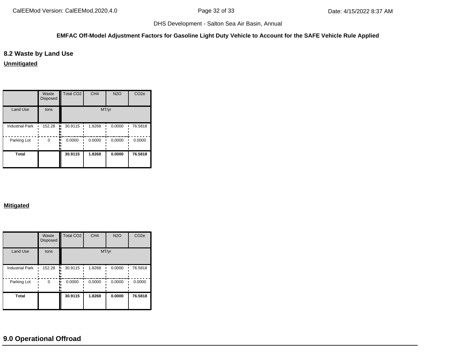#### **EMFAC Off-Model Adjustment Factors for Gasoline Light Duty Vehicle to Account for the SAFE Vehicle Rule Applied**

### **8.2 Waste by Land Use**

**Unmitigated**

|                        | Waste<br><b>Disposed</b> | Total CO <sub>2</sub> | CH <sub>4</sub> | <b>N2O</b> | CO <sub>2e</sub> |
|------------------------|--------------------------|-----------------------|-----------------|------------|------------------|
| <b>Land Use</b>        | tons                     |                       |                 | MT/yr      |                  |
| <b>Industrial Park</b> | 152.28                   | 30.9115<br>۰.         | 1.8268          | 0.0000     | 76.5818          |
| Parking Lot            | O                        | 0.0000                | 0.0000          | 0.0000     | 0.0000           |
| <b>Total</b>           |                          | 30.9115               | 1.8268          | 0.0000     | 76.5818          |

#### **Mitigated**

|                        | Waste<br><b>Disposed</b> | <b>Total CO2</b> | CH <sub>4</sub> | <b>N2O</b> | CO <sub>2e</sub> |
|------------------------|--------------------------|------------------|-----------------|------------|------------------|
| <b>Land Use</b>        | tons                     |                  | MT/yr           |            |                  |
| <b>Industrial Park</b> | 152.28                   | 30.9115          | 1.8268          | 0.0000     | 76.5818          |
| Parking Lot            | $\Omega$                 | 0.0000           | 0.0000          | 0.0000     | 0.0000           |
| <b>Total</b>           |                          | 30.9115          | 1.8268          | 0.0000     | 76.5818          |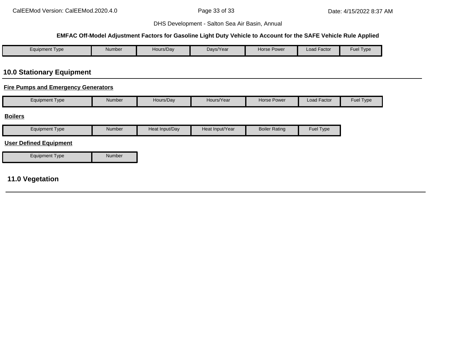#### **EMFAC Off-Model Adjustment Factors for Gasoline Light Duty Vehicle to Account for the SAFE Vehicle Rule Applied**

| $\epsilon$ quipment Type | Number | Hours/Day | Days/Year | Horse Power | $\cdot$ $-$<br>Load Factor | $-$<br>Fuel<br>Type |
|--------------------------|--------|-----------|-----------|-------------|----------------------------|---------------------|

# **10.0 Stationary Equipment**

### **Fire Pumps and Emergency Generators**

|  | Equipment Type | <b>Number</b> | Hours/Day | Hours/Year | <b>Horse Power</b> | <b>Load Factor</b> | <b>Fuel Type</b> |
|--|----------------|---------------|-----------|------------|--------------------|--------------------|------------------|
|--|----------------|---------------|-----------|------------|--------------------|--------------------|------------------|

#### **Boilers**

| Equipment Type                | <b>Number</b> | Heat Input/Day | Heat Input/Year | <b>Boiler Rating</b> | Fuel Type |
|-------------------------------|---------------|----------------|-----------------|----------------------|-----------|
| <b>User Defined Equipment</b> |               |                |                 |                      |           |
| Equipment Type                | <b>Number</b> |                |                 |                      |           |

# **11.0 Vegetation**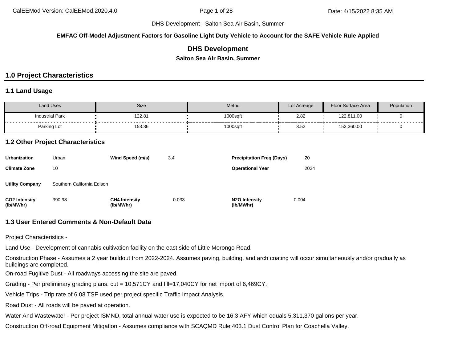DHS Development - Salton Sea Air Basin, Summer

**EMFAC Off-Model Adjustment Factors for Gasoline Light Duty Vehicle to Account for the SAFE Vehicle Rule Applied**

### **DHS Development**

**Salton Sea Air Basin, Summer**

# **1.0 Project Characteristics**

### **1.1 Land Usage**

| Land Uses              | Size   | <b>Metric</b>                                  | Lot Acreage                                    | <b>Floor Surface Area</b> | Population                      |
|------------------------|--------|------------------------------------------------|------------------------------------------------|---------------------------|---------------------------------|
| <b>Industrial Park</b> | 122.81 | 1000sqft<br>----------<br>-------------------- | 2.82                                           | 122,811.00                | - - - - - - - - - - - - - - - - |
| Parking Lot            | 153.36 | 1000sqft                                       | ---------------------<br>$\sim$ $\sim$<br>3.52 | 153,360.00                |                                 |

### **1.2 Other Project Characteristics**

| <b>Urbanization</b>               | Urban                      | Wind Speed (m/s)                  | 3.4   | <b>Precipitation Freg (Days)</b>        | 20    |
|-----------------------------------|----------------------------|-----------------------------------|-------|-----------------------------------------|-------|
| <b>Climate Zone</b>               | 10                         |                                   |       | <b>Operational Year</b>                 | 2024  |
| <b>Utility Company</b>            | Southern California Edison |                                   |       |                                         |       |
| <b>CO2 Intensity</b><br>(lb/MWhr) | 390.98                     | <b>CH4 Intensity</b><br>(lb/MWhr) | 0.033 | N <sub>2</sub> O Intensity<br>(lb/MWhr) | 0.004 |

### **1.3 User Entered Comments & Non-Default Data**

Project Characteristics -

Land Use - Development of cannabis cultivation facility on the east side of Little Morongo Road.

Construction Phase - Assumes a 2 year buildout from 2022-2024. Assumes paving, building, and arch coating will occur simultaneously and/or gradually as buildings are completed.

On-road Fugitive Dust - All roadways accessing the site are paved.

Grading - Per preliminary grading plans. cut = 10,571CY and fill=17,040CY for net import of 6,469CY.

Vehicle Trips - Trip rate of 6.08 TSF used per project specific Traffic Impact Analysis.

Road Dust - All roads will be paved at operation.

Water And Wastewater - Per project ISMND, total annual water use is expected to be 16.3 AFY which equals 5,311,370 gallons per year.

Construction Off-road Equipment Mitigation - Assumes compliance with SCAQMD Rule 403.1 Dust Control Plan for Coachella Valley.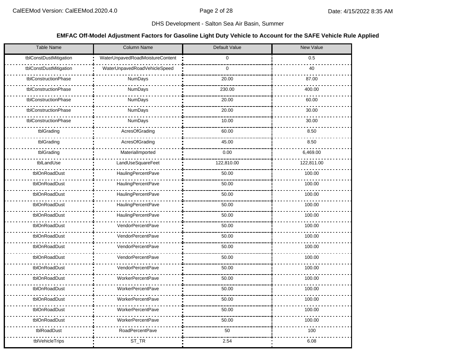### DHS Development - Salton Sea Air Basin, Summer

### **EMFAC Off-Model Adjustment Factors for Gasoline Light Duty Vehicle to Account for the SAFE Vehicle Rule Applied**

| <b>Table Name</b>      | Column Name                     | Default Value | New Value  |
|------------------------|---------------------------------|---------------|------------|
| tblConstDustMitigation | WaterUnpavedRoadMoistureContent | $\mathbf 0$   | 0.5        |
| tblConstDustMitigation | WaterUnpavedRoadVehicleSpeed    | $\mathbf 0$   | 40         |
| tblConstructionPhase   | NumDays                         | 20.00         | 87.00      |
| tblConstructionPhase   | <b>NumDays</b>                  | 230.00        | 400.00     |
| tblConstructionPhase   | NumDays                         | 20.00         | 60.00      |
| tblConstructionPhase   | NumDays                         | 20.00         | 30.00      |
| tblConstructionPhase   | NumDays                         | 10.00         | 30.00      |
| tblGrading             | AcresOfGrading                  | 60.00         | 8.50       |
| tblGrading             | AcresOfGrading                  | 45.00         | 8.50       |
| tblGrading             | MaterialImported                | 0.00          | 6,469.00   |
| tblLandUse             | LandUseSquareFeet               | 122,810.00    | 122,811.00 |
| tblOnRoadDust          | HaulingPercentPave              | 50.00         | 100.00     |
| tblOnRoadDust          | HaulingPercentPave              | 50.00         | 100.00     |
| tblOnRoadDust          | HaulingPercentPave              | 50.00         | 100.00     |
| tblOnRoadDust          | HaulingPercentPave              | 50.00         | 100.00     |
| tblOnRoadDust          | <b>HaulingPercentPave</b>       | 50.00         | 100.00     |
| tblOnRoadDust          | VendorPercentPave               | 50.00         | 100.00     |
| tblOnRoadDust          | VendorPercentPave               | 50.00         | 100.00     |
| tblOnRoadDust          | <b>VendorPercentPave</b>        | 50.00         | 100.00     |
| tblOnRoadDust          | VendorPercentPave               | 50.00         | 100.00     |
| tblOnRoadDust          | <b>VendorPercentPave</b>        | 50.00         | 100.00     |
| tblOnRoadDust          | <b>WorkerPercentPave</b>        | 50.00         | 100.00     |
| tblOnRoadDust          | <b>WorkerPercentPave</b>        | 50.00         | 100.00     |
| tblOnRoadDust          | <b>WorkerPercentPave</b>        | 50.00         | 100.00     |
| tblOnRoadDust          | <b>WorkerPercentPave</b>        | 50.00         | 100.00     |
| tblOnRoadDust          | <b>WorkerPercentPave</b>        | 50.00         | 100.00     |
| tblRoadDust            | <b>RoadPercentPave</b>          | 50            | 100        |
| tblVehicleTrips        | ST_TR                           | 2.54          | 6.08       |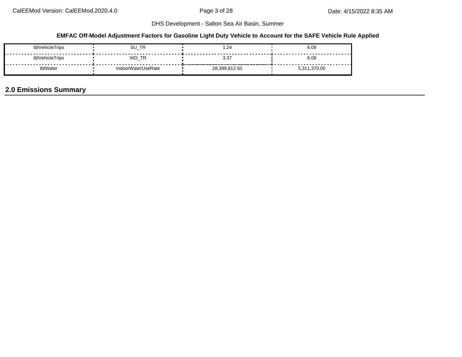## **EMFAC Off-Model Adjustment Factors for Gasoline Light Duty Vehicle to Account for the SAFE Vehicle Rule Applied**

| tblVehicleTrips | SU_TR              | . 24. ،       | 6.08     |
|-----------------|--------------------|---------------|----------|
| tblVehicleTrips | WD TR              | 3.37          | 6.08     |
| lWater          | IndoorWaterUseRate | 28,399,812.50 | 1,370.00 |

# **2.0 Emissions Summary**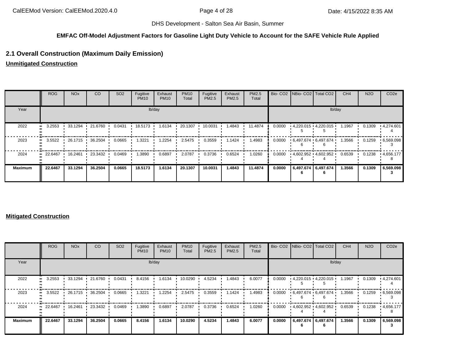### **EMFAC Off-Model Adjustment Factors for Gasoline Light Duty Vehicle to Account for the SAFE Vehicle Rule Applied**

## **2.1 Overall Construction (Maximum Daily Emission)**

**Unmitigated Construction**

|                | <b>ROG</b>                        | NO <sub>x</sub> | CO              | SO <sub>2</sub> | Fugitive<br><b>PM10</b> | Exhaust<br><b>PM10</b> | <b>PM10</b><br>Total | Fugitive<br>PM2.5 | Exhaust<br>PM2.5 | PM2.5<br>Total |        | Bio- CO2   NBio- CO2   Total CO2 |                     | CH <sub>4</sub> | <b>N2O</b> | CO <sub>2e</sub>  |
|----------------|-----------------------------------|-----------------|-----------------|-----------------|-------------------------|------------------------|----------------------|-------------------|------------------|----------------|--------|----------------------------------|---------------------|-----------------|------------|-------------------|
| Year           |                                   |                 |                 |                 |                         | lb/day                 |                      |                   |                  |                |        |                                  |                     | lb/day          |            |                   |
| 2022           | 3.2553                            |                 | 33.1294 21.6760 | 0.0431          | 18.5173 .               | 1.6134                 | 20.1307              | 10.0031           | 1.4843           | 11.4874        | 0.0000 | $4,220.015$ $4,220.015$          |                     | 1.1967          | 0.1309     | $\cdot$ 4,274.601 |
| 2023           | 3.5522                            | 26.1715         | 36.2504         | 0.0665          | 1.3221                  | 1.2254                 | 2.5475               | 0.3559            | 1.1424           | 1.4983         | 0.0000 | 6.497.674 6.497.674              |                     | 1.3566          | 0.1259     | .6,569.098        |
| 2024           | $\bullet$ 22.6467 16.2461 23.3432 |                 |                 | 0.0469          | 1.3890                  | 0.6897                 | 2.0787               | 0.3736            | 0.6524           | 1.0260         | 0.0000 | 4,602.952 4,602.952              |                     | 0.6539          | 0.1238     | $\cdot$ 4,656.177 |
| <b>Maximum</b> | 22.6467                           | 33.1294         | 36.2504         | 0.0665          | 18.5173                 | 1.6134                 | 20.1307              | 10.0031           | 1.4843           | 11.4874        | 0.0000 |                                  | 6,497.674 6,497.674 | 1.3566          | 0.1309     | 6,569.098         |

### **Mitigated Construction**

|                      | <b>ROG</b>           | <b>NO<sub>x</sub></b> | CO              | SO <sub>2</sub> | Fugitive<br><b>PM10</b> | Exhaust<br><b>PM10</b> | <b>PM10</b><br>Total | Fugitive<br>PM2.5 | Exhaust<br>PM2.5 | PM2.5<br>Total |        | Bio- CO2   NBio- CO2   Total CO2 |        | CH <sub>4</sub> | <b>N2O</b> | CO <sub>2e</sub> |
|----------------------|----------------------|-----------------------|-----------------|-----------------|-------------------------|------------------------|----------------------|-------------------|------------------|----------------|--------|----------------------------------|--------|-----------------|------------|------------------|
| Year                 |                      |                       |                 |                 |                         | lb/day                 |                      |                   |                  |                |        |                                  | lb/day |                 |            |                  |
| 2022<br>$\mathbf{u}$ | 3.2553               |                       | 33.1294 21.6760 | 0.0431          | 8.4156                  | 1.6134                 | 10.0290              | 4.5234            | 1.4843           | 6.0077         | 0.0000 | $4,220.015$ $4,220.015$          |        | 1.1967          | 0.1309     | .4,274.601       |
| 2023<br>$\bullet$    | 3.5522               | 26.1715               | 36.2504         | 0.0665          | 1.3221                  | 1.2254                 | 2.5475               | 0.3559            | 1.1424           | 1.4983         | 0.0000 | 6,497.674 6,497.674              |        | 1.3566          | 0.1259     | .6,569.098       |
| 2024                 | 22.6467<br>$\bullet$ | 16.2461 ·             | 23.3432         | 0.0469          | 1.3890                  | 0.6897                 | 2.0787               | 0.3736            | 0.6524           | 1.0260         | 0.0000 | $4,602.952$ $4,602.952$          |        | 0.6539          | 0.1238     | $+4,656.177$     |
| <b>Maximum</b>       | 22.6467              | 33.1294               | 36.2504         | 0.0665          | 8.4156                  | 1.6134                 | 10.0290              | 4.5234            | 1.4843           | 6.0077         | 0.0000 | 6,497.674 6,497.674              |        | 1.3566          | 0.1309     | 6,569.098        |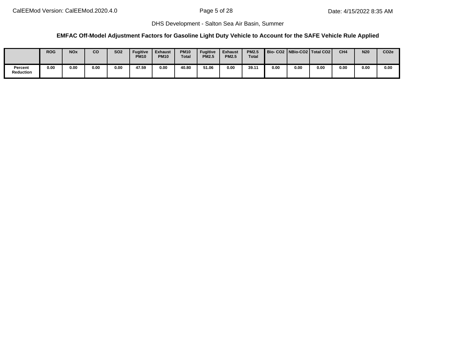## **EMFAC Off-Model Adjustment Factors for Gasoline Light Duty Vehicle to Account for the SAFE Vehicle Rule Applied**

|                      | <b>ROG</b> | <b>NOx</b> | CO   | <b>SO2</b> | <b>Fugitive</b><br><b>PM10</b> | <b>Exhaust</b><br><b>PM10</b> | <b>PM10</b><br><b>Total</b> | <b>Fugitive</b><br><b>PM2.5</b> | <b>Exhaust</b><br><b>PM2.5</b> | <b>PM2.5</b><br>Total |      |      | Bio-CO2   NBio-CO2   Total CO2 | CH <sub>4</sub> | N20  | CO <sub>2e</sub> |
|----------------------|------------|------------|------|------------|--------------------------------|-------------------------------|-----------------------------|---------------------------------|--------------------------------|-----------------------|------|------|--------------------------------|-----------------|------|------------------|
| Percent<br>Reduction | 0.00       | 0.00       | 0.00 | 0.00       | 47.59                          | 0.00                          | 40.80                       | 51.06                           | 0.00                           | 39.11                 | 0.00 | 0.00 | 0.00                           | 0.00            | 0.00 | 0.00             |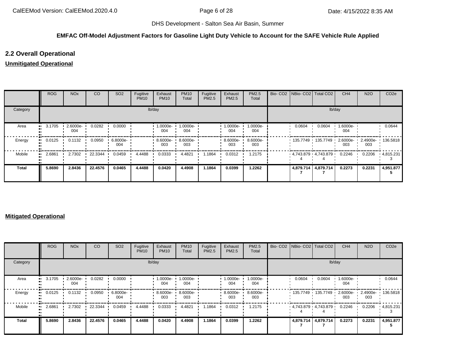## **EMFAC Off-Model Adjustment Factors for Gasoline Light Duty Vehicle to Account for the SAFE Vehicle Rule Applied**

## **2.2 Overall Operational**

## **Unmitigated Operational**

|          | ROG    | <b>NO<sub>x</sub></b> | CO      | SO <sub>2</sub> | Fugitive<br><b>PM10</b> | Exhaust<br><b>PM10</b> | <b>PM10</b><br>Total | Fugitive<br>PM2.5 | Exhaust<br>PM2.5   | PM2.5<br>Total  |        | Bio- CO2   NBio- CO2   Total CO2 | CH <sub>4</sub> | <b>N2O</b> | CO <sub>2e</sub>  |
|----------|--------|-----------------------|---------|-----------------|-------------------------|------------------------|----------------------|-------------------|--------------------|-----------------|--------|----------------------------------|-----------------|------------|-------------------|
| Category |        |                       |         |                 | lb/day                  |                        |                      |                   |                    |                 |        | lb/day                           |                 |            |                   |
| Area     | 3.1705 | 2.6000e-<br>004       | 0.0282  | 0.0000          |                         | 1.0000e-<br>004        | 1.0000e-<br>004      |                   | 1.0000e-<br>004    | 1.0000e-<br>004 | 0.0604 | 0.0604                           | 1.6000e-<br>004 |            | 0.0644            |
| Energy   | 0.0125 | 0.1132                | 0.0950  | 6.8000e-<br>004 |                         | 8.6000e-<br>003        | 8.6000e-<br>003      |                   | $8.6000e -$<br>003 | 8.6000e-<br>003 |        | 135.7749 135.7749                | 2.6000e-<br>003 | 003        | 2.4900e- 136.5818 |
| Mobile   | 2.6861 | 2.7302                | 22.3344 | 0.0459          | 4.4488                  | 0.0333                 | 4.4821               | 1.1864            | 0.0312             | 1.2175          |        | 4,743.879 4,743.879              | 0.2246          | 0.2206     | .4,815.231        |
| Total    | 5.8690 | 2.8436                | 22.4576 | 0.0465          | 4.4488                  | 0.0420                 | 4.4908               | 1.1864            | 0.0399             | 1.2262          |        | 4,879.714 4,879.714              | 0.2273          | 0.2231     | 4,951.877         |

## **Mitigated Operational**

|              | ROG    | <b>NO<sub>x</sub></b> | CO      | SO <sub>2</sub> | Fugitive<br><b>PM10</b> | Exhaust<br><b>PM10</b> | <b>PM10</b><br>Total | Fugitive<br>PM2.5 | Exhaust<br>PM2.5 | <b>PM2.5</b><br>Total |        | Bio- CO2 NBio- CO2   Total CO2 | CH <sub>4</sub> | <b>N2O</b> | CO <sub>2</sub> e |
|--------------|--------|-----------------------|---------|-----------------|-------------------------|------------------------|----------------------|-------------------|------------------|-----------------------|--------|--------------------------------|-----------------|------------|-------------------|
| Category     |        |                       |         |                 |                         | lb/day                 |                      |                   |                  |                       |        | lb/day                         |                 |            |                   |
| Area         | 3.1705 | 2.6000e-<br>004       | 0.0282  | 0.0000          |                         | 1.0000e-<br>004        | 1.0000e-<br>004      |                   | 1.0000e-<br>004  | 1.0000e-<br>004       | 0.0604 | 0.0604                         | 1.6000e-<br>004 |            | 0.0644            |
| Energy       | 0.0125 | 0.1132                | 0.0950  | 6.8000e-<br>004 |                         | 8.6000e-<br>003        | 8.6000e-<br>003      |                   | 8.6000e-<br>003  | 8.6000e-<br>003       |        | 135.7749 135.7749 '            | 2.6000e-<br>003 | 003        | 2.4900e- 136.5818 |
| Mobile       | 2.6861 | 2.7302                | 22.3344 | 0.0459          | 4.4488                  | 0.0333                 | 4.4821               | 1.1864            | 0.0312           | 1.2175                |        | $4,743.879$ $4,743.879$        | 0.2246          | 0.2206     | .4,815.231        |
| <b>Total</b> | 5.8690 | 2.8436                | 22.4576 | 0.0465          | 4.4488                  | 0.0420                 | 4.4908               | 1.1864            | 0.0399           | 1.2262                |        | 4,879.714 4,879.714            | 0.2273          | 0.2231     | 4,951.877         |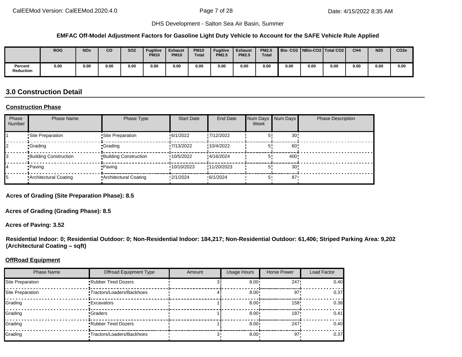#### **EMFAC Off-Model Adjustment Factors for Gasoline Light Duty Vehicle to Account for the SAFE Vehicle Rule Applied**

|                             | <b>ROG</b> | <b>NOx</b> | CO   | <b>SO2</b> | <b>Fugitive</b><br><b>PM10</b> | <b>Exhaust</b><br><b>PM10</b> | <b>PM10</b><br><b>Total</b> | <b>Fugitive</b><br><b>PM2.5</b> | <b>Exhaust</b><br><b>PM2.5</b> | <b>PM2.5</b><br><b>Total</b> |      |      | Bio-CO2   NBio-CO2   Total CO2 | CH <sub>4</sub> | <b>N20</b> | CO <sub>2e</sub> |
|-----------------------------|------------|------------|------|------------|--------------------------------|-------------------------------|-----------------------------|---------------------------------|--------------------------------|------------------------------|------|------|--------------------------------|-----------------|------------|------------------|
| Percent<br><b>Reduction</b> | 0.00       | 0.00       | 0.00 | 0.00       | 0.00                           | 0.00                          | 0.00                        | 0.00                            | 0.00                           | 0.00                         | 0.00 | 0.00 | 0.00                           | 0.00            | 0.00       | 0.00             |

# **3.0 Construction Detail**

#### **Construction Phase**

| Phase<br>Number | <b>Phase Name</b>            | Phase Type                   | <b>Start Date</b> | End Date    | Num Days<br>Week | Num Days        | <b>Phase Description</b> |
|-----------------|------------------------------|------------------------------|-------------------|-------------|------------------|-----------------|--------------------------|
|                 | •Site Preparation            | •Site Preparation            | 6/1/2022          | 7/12/2022   |                  | 30 <sup>1</sup> |                          |
|                 | •Grading                     | •Grading                     | 7/13/2022         | :10/4/2022  |                  | 60              |                          |
|                 | <b>Building Construction</b> | <b>Building Construction</b> | 10/5/2022         | :4/16/2024  |                  | 400!            |                          |
|                 | •Paving                      | •Paving                      | 10/10/2023        | !11/20/2023 |                  | $30$ !          |                          |
|                 | Architectural Coating        | <b>Architectural Coating</b> | 2/1/2024          | 6/1/2024    | 5,               | 87 <sup>°</sup> |                          |

**Acres of Grading (Site Preparation Phase): 8.5**

**Acres of Grading (Grading Phase): 8.5**

**Acres of Paving: 3.52**

**Residential Indoor: 0; Residential Outdoor: 0; Non-Residential Indoor: 184,217; Non-Residential Outdoor: 61,406; Striped Parking Area: 9,202 (Architectural Coating – sqft)**

#### **OffRoad Equipment**

| <b>Phase Name</b> | <b>Offroad Equipment Type</b>    | Amount | <b>Usage Hours</b> | Horse Power | Load Factor |
|-------------------|----------------------------------|--------|--------------------|-------------|-------------|
| Site Preparation  | Rubber Tired Dozers              |        | $8.00 \cdot$       | 247         | 0.40        |
| Site Preparation  | <b>Tractors/Loaders/Backhoes</b> |        | $8.00 \cdot$       | 97'         | 0.37        |
| Grading           | <b>Excavators</b>                |        | $8.00 \cdot$       | $158 -$     | 0.38        |
| Grading           | Graders                          |        | $8.00 \cdot$       | $187 -$     | 0.41        |
| Grading           | <b>Rubber Tired Dozers</b>       |        | $8.00 \cdot$       | 247         | 0.40        |
| Grading           | "Tractors/Loaders/Backhoes       |        | $8.00 \cdot$       | 97·         | 0.37        |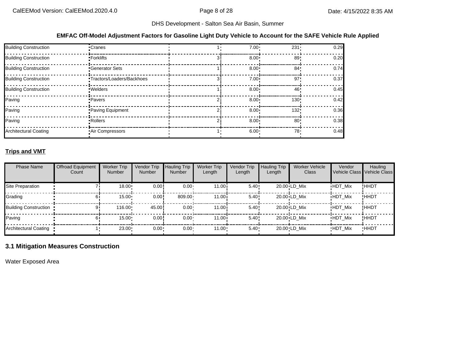## **EMFAC Off-Model Adjustment Factors for Gasoline Light Duty Vehicle to Account for the SAFE Vehicle Rule Applied**

| <b>Building Construction</b> | •Cranes                    | $7.00 \cdot$ | $231 -$          | 0.29 |
|------------------------------|----------------------------|--------------|------------------|------|
| <b>Building Construction</b> | • Forklifts                | $8.00 \cdot$ | 89               | 0.20 |
| <b>Building Construction</b> | <b>Generator Sets</b>      | $8.00 \cdot$ | 84 <sup>1</sup>  | 0.74 |
| <b>Building Construction</b> | •Tractors/Loaders/Backhoes | $7.00 \cdot$ | 97               | 0.37 |
| <b>Building Construction</b> | · Welders                  | $8.00 \div$  | 46               | 0.45 |
| Paving                       | • Pavers                   | $8.00 \cdot$ | 130 <sup>1</sup> | 0.42 |
| Paving                       | Paving Equipment           | $8.00 \cdot$ | 132'             | 0.36 |
| Paving                       | • Rollers                  | $8.00 \cdot$ | 80 <sup>1</sup>  | 0.38 |
| <b>Architectural Coating</b> | Air Compressors            | $6.00 \cdot$ | 78.              | 0.48 |

## **Trips and VMT**

| <b>Phase Name</b>            | <b>Offroad Equipment</b><br>Count | <b>Worker Trip</b><br><b>Number</b> | Vendor Trip<br><b>Number</b> | <b>Hauling Trip</b><br><b>Number</b> | <b>Worker Trip</b><br>Length | Vendor Trip<br>Length | <b>Hauling Trip</b><br>Length | <b>Worker Vehicle</b><br>Class | Vendor         | Hauling<br>Vehicle Class Vehicle Class |
|------------------------------|-----------------------------------|-------------------------------------|------------------------------|--------------------------------------|------------------------------|-----------------------|-------------------------------|--------------------------------|----------------|----------------------------------------|
| Site Preparation             |                                   | $18.00 \cdot$                       | 0.00!                        | $0.00 -$                             | 11.00i                       | 5.40!                 |                               | $20.00 \cdot LD$ Mix           | <b>HDT Mix</b> | !HHDT                                  |
| Grading                      |                                   | 15.00                               | 0.00!                        | 809.00                               | 11.00i                       | 5.40                  |                               | $20.00 \cdot LD$ Mix           | <b>HDT Mix</b> | !HHDT                                  |
| <b>Building Construction</b> |                                   | $116.00 \cdot$                      | 45.00                        | $0.00 -$                             | 11.00i                       | 5.40                  |                               | 20.00 LD Mix                   | <b>HDT Mix</b> | !HHDT                                  |
| Paving                       |                                   | $15.00 \cdot$                       | 0.00!                        | $0.00 \cdot$                         | 11.00i                       | 5.40:                 |                               | $20.00 \cdot LD$ Mix           | <b>HDT Mix</b> | !HHDT                                  |
| Architectural Coating        |                                   | 23.00                               | 0.00                         | $0.00 \cdot$                         | $11.00 \cdot$                | 5.40                  |                               | 20.00 LD Mix                   | <b>HDT Mix</b> | <b>HHDT</b>                            |

## **3.1 Mitigation Measures Construction**

Water Exposed Area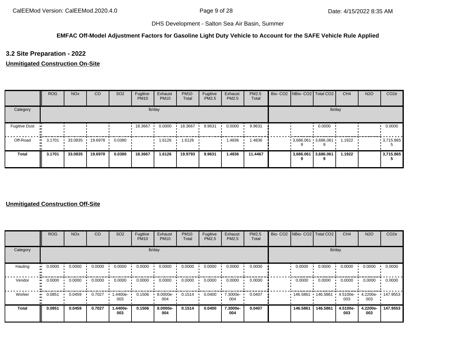## **EMFAC Off-Model Adjustment Factors for Gasoline Light Duty Vehicle to Account for the SAFE Vehicle Rule Applied**

## **3.2 Site Preparation - 2022**

## **Unmitigated Construction On-Site**

|                      | <b>ROG</b> | <b>NO<sub>x</sub></b> | CO              | SO <sub>2</sub> | Fugitive<br><b>PM10</b> | Exhaust<br><b>PM10</b> | <b>PM10</b><br>Total | Fugitive<br>PM2.5 | Exhaust<br><b>PM2.5</b> | <b>PM2.5</b><br>Total |           | Bio- CO2   NBio- CO2   Total CO2 | CH <sub>4</sub> | <b>N2O</b> | CO <sub>2e</sub> |
|----------------------|------------|-----------------------|-----------------|-----------------|-------------------------|------------------------|----------------------|-------------------|-------------------------|-----------------------|-----------|----------------------------------|-----------------|------------|------------------|
| Category             |            |                       |                 |                 |                         | lb/day                 |                      |                   |                         |                       |           | lb/day                           |                 |            |                  |
| <b>Fugitive Dust</b> |            |                       |                 |                 | 18.3667                 | 0.0000                 | 18.3667              | 9.9631            | 0.0000                  | 9.9631                |           | 0.0000                           |                 |            | 0.0000           |
| Off-Road             | 3.1701     |                       | 33.0835 19.6978 | 0.0380          |                         | 1.6126                 | 1.6126               |                   | 1.4836                  | 1.4836                |           | $3,686.061$ 3,686.061            | 1.1922          |            | $-3,715.865$     |
| <b>Total</b>         | 3.1701     | 33.0835               | 19.6978         | 0.0380          | 18.3667                 | 1.6126                 | 19.9793              | 9.9631            | 1.4836                  | 11.4467               | 3,686.061 | 3,686.061                        | 1.1922          |            | 3,715.865        |

|              | <b>ROG</b> | <b>NO<sub>x</sub></b> | CO     | SO <sub>2</sub> | Fugitive<br><b>PM10</b> | Exhaust<br><b>PM10</b> | <b>PM10</b><br>Total | Fugitive<br>PM2.5 | Exhaust<br>PM2.5 | PM2.5<br>Total |          | Bio- CO2   NBio- CO2   Total CO2 | CH <sub>4</sub> | <b>N2O</b>      | CO <sub>2e</sub> |
|--------------|------------|-----------------------|--------|-----------------|-------------------------|------------------------|----------------------|-------------------|------------------|----------------|----------|----------------------------------|-----------------|-----------------|------------------|
| Category     |            |                       |        |                 |                         | lb/day                 |                      |                   |                  |                |          | lb/day                           |                 |                 |                  |
| Hauling      | 0.0000     | 0.0000                | 0.0000 | 0.0000          | 0.0000                  | 0.0000                 | 0.0000               | 0.0000            | 0.0000           | 0.0000         | 0.0000   | 0.0000                           | 0.0000          | 0.0000          | 0.0000           |
| Vendor       | 0.0000     | 0.0000                | 0.0000 | 0.0000          | 0.0000                  | 0.0000                 | 0.0000               | 0.0000            | 0.0000           | 0.0000         | 0.0000   | 0.0000                           | 0.0000          | 0.0000          | 0.0000           |
| Worker       | 0.0851     | 0.0459                | 0.7027 | -.4400e<br>003  | 0.1506                  | 8.0000e-<br>004        | 0.1514               | 0.0400            | 7.3000e-<br>004  | 0.0407         | 146.5861 | 146.5861                         | 4.5100e-<br>003 | 4.2200e-<br>003 | 147.9553         |
| <b>Total</b> | 0.0851     | 0.0459                | 0.7027 | 1.4400e-<br>003 | 0.1506                  | 8.0000e-<br>004        | 0.1514               | 0.0400            | 7.3000e-<br>004  | 0.0407         | 146.5861 | 146.5861                         | 4.5100e-<br>003 | 4.2200e-<br>003 | 147.9553         |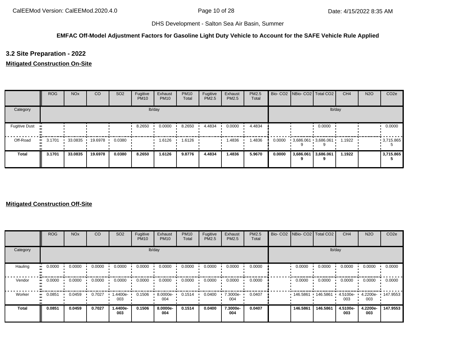## **EMFAC Off-Model Adjustment Factors for Gasoline Light Duty Vehicle to Account for the SAFE Vehicle Rule Applied**

**3.2 Site Preparation - 2022**

## **Mitigated Construction On-Site**

|                      | <b>ROG</b> | <b>NO<sub>x</sub></b> | CO      | SO <sub>2</sub> | Fugitive<br><b>PM10</b> | Exhaust<br><b>PM10</b> | <b>PM10</b><br>Total | Fugitive<br>PM2.5 | Exhaust<br>PM2.5 | PM2.5<br>Total |        | Bio- CO2   NBio- CO2   Total CO2 |        | CH <sub>4</sub> | <b>N2O</b> | CO <sub>2e</sub> |
|----------------------|------------|-----------------------|---------|-----------------|-------------------------|------------------------|----------------------|-------------------|------------------|----------------|--------|----------------------------------|--------|-----------------|------------|------------------|
| Category             |            |                       |         |                 |                         | lb/day                 |                      |                   |                  |                |        |                                  |        | lb/day          |            |                  |
| <b>Fugitive Dust</b> |            |                       |         |                 | 8.2650                  | 0.0000                 | 8.2650               | 4.4834            | 0.0000           | 4.4834         |        |                                  | 0.0000 |                 |            | 0.0000           |
| Off-Road             | 3.1701     | 33.0835               | 19.6978 | 0.0380          |                         | 1.6126                 | 1.6126               |                   | 1.4836           | 1.4836         | 0.0000 | $3,686.061$ $3,686.061$          |        | 1.1922          |            | $-3,715.865$     |
| <b>Total</b>         | 3.1701     | 33.0835               | 19.6978 | 0.0380          | 8.2650                  | 1.6126                 | 9.8776               | 4.4834            | 1.4836           | 5.9670         | 0.0000 | 3,686.061 3,686.061              |        | 1.1922          |            | 3,715.865        |

|              | <b>ROG</b> | <b>NO<sub>x</sub></b> | CO     | SO <sub>2</sub> | Fugitive<br><b>PM10</b> | Exhaust<br><b>PM10</b> | <b>PM10</b><br>Total | Fugitive<br>PM2.5 | Exhaust<br>PM2.5 | PM2.5<br>Total | Bio- CO2   NBio- CO2   Total CO2 |          | CH <sub>4</sub> | <b>N2O</b>      | CO <sub>2e</sub> |
|--------------|------------|-----------------------|--------|-----------------|-------------------------|------------------------|----------------------|-------------------|------------------|----------------|----------------------------------|----------|-----------------|-----------------|------------------|
| Category     |            |                       |        |                 |                         | lb/day                 |                      |                   |                  |                |                                  | lb/day   |                 |                 |                  |
| Hauling      | 0.0000     | 0.0000                | 0.0000 | 0.0000          | 0.0000                  | 0.0000                 | 0.0000               | 0.0000            | 0.0000           | 0.0000         | 0.0000                           | 0.0000   | 0.0000          | 0.0000          | 0.0000           |
| Vendor       | 0.0000     | 0.0000                | 0.0000 | 0.0000          | 0.0000                  | 0.0000                 | 0.0000               | 0.0000            | 0.0000           | 0.0000         | 0.0000                           | 0.0000   | 0.0000          | 0.0000          | 0.0000           |
| Worker       | 0.0851     | 0.0459                | 0.7027 | -.4400e<br>003  | 0.1506                  | 8.0000e-<br>004        | 0.1514               | 0.0400            | 7.3000e-<br>004  | 0.0407         | 146.5861                         | 146.5861 | 4.5100e-<br>003 | 4.2200e-<br>003 | 147.9553         |
| <b>Total</b> | 0.0851     | 0.0459                | 0.7027 | 1.4400e-<br>003 | 0.1506                  | 8.0000e-<br>004        | 0.1514               | 0.0400            | 7.3000e-<br>004  | 0.0407         | 146.5861                         | 146.5861 | 4.5100e-<br>003 | 4.2200e-<br>003 | 147.9553         |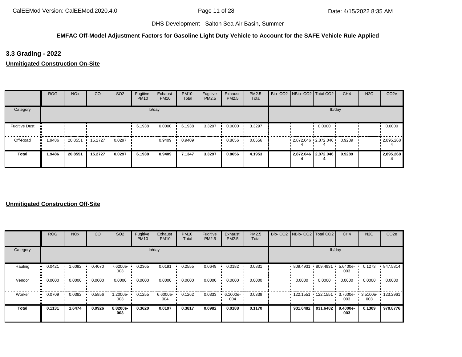## **EMFAC Off-Model Adjustment Factors for Gasoline Light Duty Vehicle to Account for the SAFE Vehicle Rule Applied**

**3.3 Grading - 2022**

**Unmitigated Construction On-Site**

|                      | <b>ROG</b> | <b>NO<sub>x</sub></b> | CO      | SO <sub>2</sub> | Fugitive<br><b>PM10</b> | Exhaust<br><b>PM10</b> | <b>PM10</b><br>Total | Fugitive<br>PM2.5 | Exhaust<br>PM2.5 | PM2.5<br>Total | Bio- CO2   NBio- CO2   Total CO2 |                     | CH <sub>4</sub> | <b>N2O</b> | CO <sub>2e</sub>  |
|----------------------|------------|-----------------------|---------|-----------------|-------------------------|------------------------|----------------------|-------------------|------------------|----------------|----------------------------------|---------------------|-----------------|------------|-------------------|
| Category             |            |                       |         |                 |                         | lb/day                 |                      |                   |                  |                |                                  | lb/day              |                 |            |                   |
| <b>Fugitive Dust</b> |            |                       |         |                 | 6.1938                  | 0.0000                 | 6.1938               | 3.3297            | 0.0000           | 3.3297         |                                  | 0.0000              |                 |            | 0.0000            |
| Off-Road             | .9486      | 20.8551               | 15.2727 | 0.0297          |                         | 0.9409                 | 0.9409               |                   | 0.8656           | 0.8656         | $-2,872.046$ $-2,872.046$        |                     | 0.9289          |            | $\cdot$ 2,895.268 |
| <b>Total</b>         | 1.9486     | 20.8551               | 15.2727 | 0.0297          | 6.1938                  | 0.9409                 | 7.1347               | 3.3297            | 0.8656           | 4.1953         |                                  | 2,872.046 2,872.046 | 0.9289          |            | 2,895.268         |

|              | <b>ROG</b>            | <b>NO<sub>x</sub></b> | CO     | SO <sub>2</sub> | Fugitive<br><b>PM10</b> | Exhaust<br><b>PM10</b> | <b>PM10</b><br>Total | Fugitive<br>PM2.5 | Exhaust<br>PM2.5 | PM2.5<br>Total |          | Bio- CO2 NBio- CO2 Total CO2 | CH <sub>4</sub> | <b>N2O</b>      | CO <sub>2e</sub> |
|--------------|-----------------------|-----------------------|--------|-----------------|-------------------------|------------------------|----------------------|-------------------|------------------|----------------|----------|------------------------------|-----------------|-----------------|------------------|
| Category     |                       |                       |        |                 |                         | lb/day                 |                      |                   |                  |                |          | lb/day                       |                 |                 |                  |
| Hauling      | 0.0421<br>            | 1.6092                | 0.4070 | 7.6200e-<br>003 | 0.2365                  | 0.0191                 | 0.2555               | 0.0649            | 0.0182           | 0.0831         |          | $809.4931 + 809.4931$        | 5.6400e-<br>003 | 0.1273          | 847.5814         |
| Vendor       | $\blacksquare$ 0.0000 | 0.0000                | 0.0000 | 0.0000          | 0.0000                  | 0.0000                 | 0.0000               | 0.0000            | 0.0000           | 0.0000         | 0.0000   | 0.0000                       | 0.0000          | 0.0000          | 0.0000           |
| Worker       | 0.0709<br>            | 0.0382                | 0.5856 | -2000e.<br>003  | 0.1255                  | 6.6000e-<br>004        | 0.1262               | 0.0333            | 6.1000e-<br>004  | 0.0339         | 122.1551 | 122.1551                     | 3.7600e-<br>003 | 3.5100e-<br>003 | 123.2961         |
| <b>Total</b> | 0.1131                | 1.6474                | 0.9926 | 8.8200e-<br>003 | 0.3620                  | 0.0197                 | 0.3817               | 0.0982            | 0.0188           | 0.1170         | 931.6482 | 931.6482                     | 9.4000e-<br>003 | 0.1309          | 970.8776         |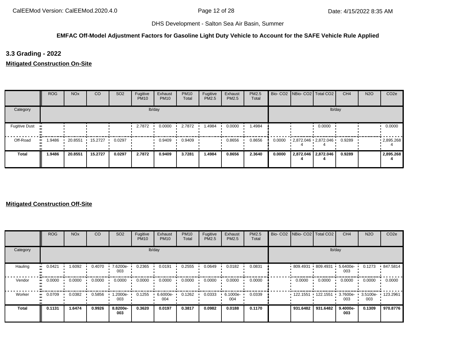## **EMFAC Off-Model Adjustment Factors for Gasoline Light Duty Vehicle to Account for the SAFE Vehicle Rule Applied**

**3.3 Grading - 2022**

**Mitigated Construction On-Site**

|                      | <b>ROG</b> | <b>NO<sub>x</sub></b> | CO      | SO <sub>2</sub> | Fugitive<br><b>PM10</b> | Exhaust<br><b>PM10</b> | <b>PM10</b><br>Total | Fugitive<br>PM2.5 | Exhaust<br>PM2.5 | PM2.5<br>Total |        | Bio- CO2 NBio- CO2 Total CO2 |                     | CH <sub>4</sub> | <b>N2O</b> | CO <sub>2e</sub> |
|----------------------|------------|-----------------------|---------|-----------------|-------------------------|------------------------|----------------------|-------------------|------------------|----------------|--------|------------------------------|---------------------|-----------------|------------|------------------|
| Category             |            |                       |         |                 |                         | lb/day                 |                      |                   |                  |                |        |                              | lb/day              |                 |            |                  |
| <b>Fugitive Dust</b> |            |                       |         |                 | 2.7872                  | 0.0000                 | 2.7872               | 1.4984            | 0.0000           | 1.4984         |        |                              | 0.0000              |                 |            | 0.0000           |
| Off-Road             | .9486      | 20.8551               | 15.2727 | 0.0297          |                         | 0.9409                 | 0.9409               |                   | 0.8656           | 0.8656         | 0.0000 | 2,872.046 2,872.046          |                     | 0.9289          |            | .2895.268        |
| <b>Total</b>         | 1.9486     | 20.8551               | 15.2727 | 0.0297          | 2.7872                  | 0.9409                 | 3.7281               | 1.4984            | 0.8656           | 2.3640         | 0.0000 |                              | 2,872.046 2,872.046 | 0.9289          |            | 2,895.268        |

|              | <b>ROG</b>    | <b>NO<sub>x</sub></b> | CO     | SO <sub>2</sub> | Fugitive<br><b>PM10</b> | Exhaust<br><b>PM10</b> | <b>PM10</b><br>Total | Fugitive<br><b>PM2.5</b> | Exhaust<br><b>PM2.5</b> | PM2.5<br>Total | Bio- CO2   NBio- CO2   Total CO2 |          | CH <sub>4</sub> | <b>N2O</b>      | CO <sub>2e</sub> |
|--------------|---------------|-----------------------|--------|-----------------|-------------------------|------------------------|----------------------|--------------------------|-------------------------|----------------|----------------------------------|----------|-----------------|-----------------|------------------|
| Category     |               |                       |        |                 |                         | lb/day                 |                      |                          |                         |                |                                  | lb/day   |                 |                 |                  |
| Hauling      | 0.0421<br>    | 1.6092                | 0.4070 | 7.6200e-<br>003 | 0.2365                  | 0.0191                 | 0.2555               | 0.0649                   | 0.0182                  | 0.0831         | $809.4931$ 809.4931              |          | 5.6400e-<br>003 | 0.1273          | .847.5814        |
| Vendor       | 0.0000<br>. . | 0.0000                | 0.0000 | 0.0000          | 0.0000                  | 0.0000                 | 0.0000               | 0.0000                   | 0.0000                  | 0.0000         | 0.0000                           | 0.0000   | 0.0000          | 0.0000          | 0.0000           |
| Worker       | 0.0709<br>    | 0.0382                | 0.5856 | -2000e.<br>003  | 0.1255                  | 6.6000e-<br>004        | 0.1262               | 0.0333                   | 6.1000e-<br>004         | 0.0339         | 122.1551                         | 122.1551 | 3.7600e-<br>003 | 3.5100e-<br>003 | 123.2961         |
| <b>Total</b> | 0.1131        | 1.6474                | 0.9926 | 8.8200e-<br>003 | 0.3620                  | 0.0197                 | 0.3817               | 0.0982                   | 0.0188                  | 0.1170         | 931.6482                         | 931.6482 | 9.4000e-<br>003 | 0.1309          | 970.8776         |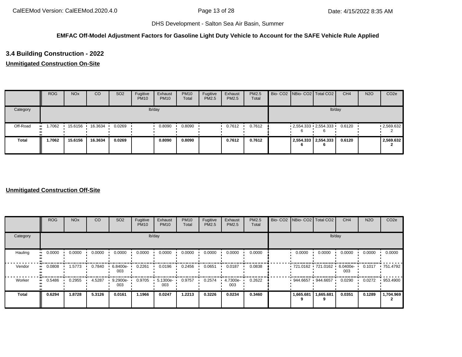## **EMFAC Off-Model Adjustment Factors for Gasoline Light Duty Vehicle to Account for the SAFE Vehicle Rule Applied**

# **3.4 Building Construction - 2022**

## **Unmitigated Construction On-Site**

|              | <b>ROG</b>          | <b>NO<sub>x</sub></b> | CO      | SO <sub>2</sub> | Fugitive<br><b>PM10</b> | Exhaust<br><b>PM10</b> | <b>PM10</b><br>Total | Fugitive<br>PM2.5 | Exhaust<br><b>PM2.5</b> | <b>PM2.5</b><br>Total |   | Bio- CO2   NBio- CO2   Total CO2 | CH <sub>4</sub> | <b>N2O</b> | CO <sub>2e</sub> |
|--------------|---------------------|-----------------------|---------|-----------------|-------------------------|------------------------|----------------------|-------------------|-------------------------|-----------------------|---|----------------------------------|-----------------|------------|------------------|
| Category     |                     |                       |         |                 |                         | lb/day                 |                      |                   |                         |                       |   | lb/day                           |                 |            |                  |
| Off-Road     | .7062<br><b>ALC</b> | 15.6156               | 16.3634 | 0.0269          |                         | 0.8090                 | 0.8090               |                   | 0.7612                  | 0.7612                |   | $-2,554.333 - 2,554.333$         | 0.6120          |            | $-2,569.632$     |
| <b>Total</b> | 1.7062              | 15.6156               | 16.3634 | 0.0269          |                         | 0.8090                 | 0.8090               |                   | 0.7612                  | 0.7612                | O | 2,554.333 2,554.333<br>6         | 0.6120          |            | 2,569.632        |

|                     | <b>ROG</b>          | <b>NO<sub>x</sub></b> | CO     | SO <sub>2</sub> | Fugitive<br><b>PM10</b> | Exhaust<br><b>PM10</b> | <b>PM10</b><br>Total | Fugitive<br>PM2.5 | Exhaust<br>PM2.5 | PM2.5<br>Total | Bio- CO2 NBio- CO2 Total CO2 |           | CH <sub>4</sub> | <b>N2O</b> | CO <sub>2e</sub> |
|---------------------|---------------------|-----------------------|--------|-----------------|-------------------------|------------------------|----------------------|-------------------|------------------|----------------|------------------------------|-----------|-----------------|------------|------------------|
| Category            |                     |                       |        |                 |                         | lb/day                 |                      |                   |                  |                |                              | lb/day    |                 |            |                  |
| Hauling             | 0.0000<br>ш.        | 0.0000                | 0.0000 | 0.0000          | 0.0000                  | 0.0000                 | 0.0000               | 0.0000            | 0.0000           | 0.0000         | 0.0000                       | 0.0000    | 0.0000          | 0.0000     | 0.0000           |
| Vendor              | 0.0808<br>$\bullet$ | 1.5773                | 0.7840 | 6.8400e-<br>003 | 0.2261                  | 0.0196                 | 0.2456               | 0.0651            | 0.0187           | 0.0838         | 721.0162 721.0162            |           | 6.0400e-<br>003 | 0.1017     | .751.4792        |
| Worker<br>$\bullet$ | 0.5486              | 0.2955                | 4.5287 | 9.2900e-<br>003 | 0.9705                  | 5.1300e-<br>003        | 0.9757               | 0.2574            | 4.7300e-<br>003  | 0.2622         | 944.6657 944.6657            |           | 0.0290          | 0.0272     | 953.4900         |
| <b>Total</b>        | 0.6294              | 1.8728                | 5.3126 | 0.0161          | 1.1966                  | 0.0247                 | 1.2213               | 0.3226            | 0.0234           | 0.3460         | 1,665.681                    | 1,665.681 | 0.0351          | 0.1289     | 1,704.969        |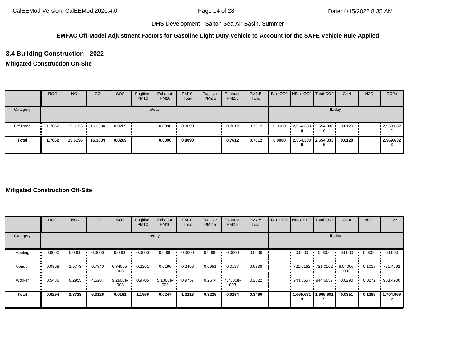## **EMFAC Off-Model Adjustment Factors for Gasoline Light Duty Vehicle to Account for the SAFE Vehicle Rule Applied**

## **3.4 Building Construction - 2022**

## **Mitigated Construction On-Site**

|              | <b>ROG</b> | <b>NO<sub>x</sub></b> | CO      | SO <sub>2</sub> | Fugitive<br><b>PM10</b> | Exhaust<br><b>PM10</b> | <b>PM10</b><br>Total | Fugitive<br>PM2.5 | Exhaust<br><b>PM2.5</b> | <b>PM2.5</b><br>Total |        | Bio- CO2 NBio- CO2 Total CO2 | CH <sub>4</sub> | <b>N2O</b> | CO <sub>2e</sub> |
|--------------|------------|-----------------------|---------|-----------------|-------------------------|------------------------|----------------------|-------------------|-------------------------|-----------------------|--------|------------------------------|-----------------|------------|------------------|
| Category     |            |                       |         |                 |                         | lb/day                 |                      |                   |                         |                       |        | lb/day                       |                 |            |                  |
| Off-Road     | .7062      | 15.6156               | 16.3634 | 0.0269          |                         | 0.8090                 | 0.8090               |                   | 0.7612                  | 0.7612                | 0.0000 | 2,554.333 2,554.333          | 0.6120          |            | .2,569.632       |
| <b>Total</b> | 1.7062     | 15.6156               | 16.3634 | 0.0269          |                         | 0.8090                 | 0.8090               |                   | 0.7612                  | 0.7612                | 0.0000 | 2,554.333 2,554.333<br>6     | 0.6120          |            | 2,569.632        |

|                     | <b>ROG</b>          | <b>NO<sub>x</sub></b> | CO     | SO <sub>2</sub> | Fugitive<br><b>PM10</b> | Exhaust<br><b>PM10</b> | <b>PM10</b><br>Total | Fugitive<br>PM2.5 | Exhaust<br>PM2.5 | PM2.5<br>Total | Bio- CO2 NBio- CO2 Total CO2 |           | CH <sub>4</sub> | <b>N2O</b> | CO <sub>2e</sub> |
|---------------------|---------------------|-----------------------|--------|-----------------|-------------------------|------------------------|----------------------|-------------------|------------------|----------------|------------------------------|-----------|-----------------|------------|------------------|
| Category            |                     |                       |        |                 |                         | lb/day                 |                      |                   |                  |                |                              | lb/day    |                 |            |                  |
| Hauling             | 0.0000<br>$\bullet$ | 0.0000                | 0.0000 | 0.0000          | 0.0000                  | 0.0000                 | 0.0000               | 0.0000            | 0.0000           | 0.0000         | 0.0000                       | 0.0000    | 0.0000          | 0.0000     | 0.0000           |
| Vendor<br>$\bullet$ | 0.0808              | 1.5773                | 0.7840 | 6.8400e-<br>003 | 0.2261                  | 0.0196                 | 0.2456               | 0.0651            | 0.0187           | 0.0838         | $-721.0162 - 721.0162$       |           | 6.0400e-<br>003 | 0.1017     | .751.4792        |
| Worker<br>$\bullet$ | 0.5486              | 0.2955                | 4.5287 | 9.2900e-<br>003 | 0.9705                  | 5.1300e-<br>003        | 0.9757               | 0.2574            | 4.7300e-<br>003  | 0.2622         | 944.6657                     | 944.6657  | 0.0290          | 0.0272     | 953.4900         |
| <b>Total</b>        | 0.6294              | 1.8728                | 5.3126 | 0.0161          | 1.1966                  | 0.0247                 | 1.2213               | 0.3226            | 0.0234           | 0.3460         | 1,665.681                    | 1,665.681 | 0.0351          | 0.1289     | 1,704.969        |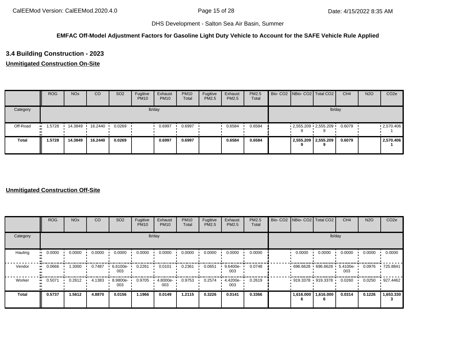## **EMFAC Off-Model Adjustment Factors for Gasoline Light Duty Vehicle to Account for the SAFE Vehicle Rule Applied**

# **3.4 Building Construction - 2023**

## **Unmitigated Construction On-Site**

|              | <b>ROG</b> | <b>NO<sub>x</sub></b> | CO      | SO <sub>2</sub> | Fugitive<br><b>PM10</b> | Exhaust<br><b>PM10</b> | <b>PM10</b><br>Total | Fugitive<br>PM2.5 | Exhaust<br><b>PM2.5</b> | <b>PM2.5</b><br>Total |  | Bio- CO2 NBio- CO2 Total CO2       | CH <sub>4</sub> | <b>N2O</b> | CO <sub>2e</sub>  |
|--------------|------------|-----------------------|---------|-----------------|-------------------------|------------------------|----------------------|-------------------|-------------------------|-----------------------|--|------------------------------------|-----------------|------------|-------------------|
| Category     |            |                       |         |                 |                         | lb/day                 |                      |                   |                         |                       |  | lb/day                             |                 |            |                   |
| Off-Road     | .5728      | 14.3849               | 16.2440 | 0.0269          |                         | 0.6997                 | 0.6997               |                   | 0.6584                  | 0.6584                |  | $2,555.209$ $2,555.209$            | 0.6079          |            | $\cdot$ 2,570.406 |
| <b>Total</b> | 1.5728     | 14.3849               | 16.2440 | 0.0269          |                         | 0.6997                 | 0.6997               |                   | 0.6584                  | 0.6584                |  | 2,555.209 2,555.209<br>$\mathbf o$ | 0.6079          |            | 2,570.406         |

|                           | <b>ROG</b> | <b>NO<sub>x</sub></b> | CO     | SO <sub>2</sub> | Fugitive<br><b>PM10</b> | Exhaust<br><b>PM10</b> | <b>PM10</b><br>Total | Fugitive<br>PM2.5 | Exhaust<br><b>PM2.5</b> | PM2.5<br>Total | Bio- CO2   NBio- CO2   Total CO2 |           | CH <sub>4</sub> | <b>N2O</b> | CO <sub>2e</sub> |
|---------------------------|------------|-----------------------|--------|-----------------|-------------------------|------------------------|----------------------|-------------------|-------------------------|----------------|----------------------------------|-----------|-----------------|------------|------------------|
| Category                  |            |                       |        |                 | lb/day                  |                        |                      |                   |                         |                |                                  | lb/day    |                 |            |                  |
| Hauling<br>$\blacksquare$ | 0.0000     | 0.0000                | 0.0000 | 0.0000          | 0.0000                  | 0.0000                 | 0.0000               | 0.0000            | 0.0000                  | 0.0000         | 0.0000                           | 0.0000    | 0.0000          | 0.0000     | 0.0000           |
| Vendor<br>$\bullet$       | 0.0666     | 1.3000                | 0.7487 | 6.6100e-<br>003 | 0.2261                  | 0.0101                 | 0.2361               | 0.0651            | 9.6400e-<br>003         | 0.0748         | $696.6628$ 696.6628              |           | 5.4100e-<br>003 | 0.0976     | .725.8841        |
| Worker<br>$\bullet$       | 0.5071     | 0.2612                | 4.1383 | 8.9800e-<br>003 | 0.9705                  | 4.8000e-<br>003        | 0.9753               | 0.2574            | 4.4200e-<br>003         | 0.2619         | $919.3378$ 919.3378              |           | 0.0260          | 0.0250     | 927.4462         |
| <b>Total</b>              | 0.5737     | 1.5612                | 4.8870 | 0.0156          | 1.1966                  | 0.0149                 | 1.2115               | 0.3226            | 0.0141                  | 0.3366         | 1,616.000                        | 1,616.000 | 0.0314          | 0.1226     | 1,653.330        |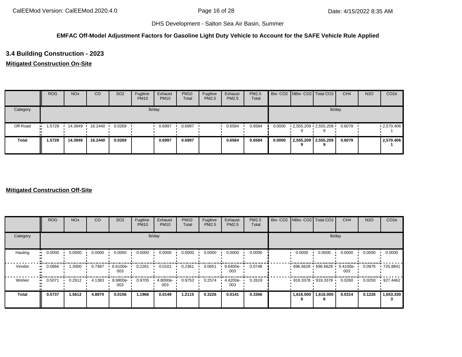## **EMFAC Off-Model Adjustment Factors for Gasoline Light Duty Vehicle to Account for the SAFE Vehicle Rule Applied**

# **3.4 Building Construction - 2023**

## **Mitigated Construction On-Site**

|              | <b>ROG</b> | <b>NO<sub>x</sub></b> | CO        | SO <sub>2</sub> | Fugitive<br><b>PM10</b> | Exhaust<br><b>PM10</b> | <b>PM10</b><br>Total | Fugitive<br>PM2.5 | Exhaust<br>PM2.5 | <b>PM2.5</b><br>Total |        |   | Bio- CO2   NBio- CO2   Total CO2 | CH <sub>4</sub> | <b>N2O</b> | CO <sub>2e</sub> |
|--------------|------------|-----------------------|-----------|-----------------|-------------------------|------------------------|----------------------|-------------------|------------------|-----------------------|--------|---|----------------------------------|-----------------|------------|------------------|
| Category     |            |                       |           |                 |                         | lb/day                 |                      |                   |                  |                       |        |   |                                  | lb/day          |            |                  |
| Off-Road     | 1.5728<br> | 14.3849               | 16.2440 · | 0.0269          |                         | 0.6997                 | 0.6997               |                   | 0.6584           | 0.6584                | 0.0000 |   | $2,555.209$ $2,555.209$          | 0.6079          |            | .2570.406        |
| <b>Total</b> | 1.5728     | 14.3849               | 16.2440   | 0.0269          |                         | 0.6997                 | 0.6997               |                   | 0.6584           | 0.6584                | 0.0000 | 9 | 2,555.209 2,555.209              | 0.6079          |            | 2,570.406        |

|                     | <b>ROG</b>          | <b>NO<sub>x</sub></b> | CO     | SO <sub>2</sub> | Fugitive<br><b>PM10</b> | Exhaust<br><b>PM10</b> | <b>PM10</b><br>Total | Fugitive<br>PM2.5 | Exhaust<br>PM2.5 | PM2.5<br>Total | Bio- CO2 NBio- CO2 Total CO2 |                     | CH <sub>4</sub> | <b>N2O</b> | CO <sub>2e</sub> |
|---------------------|---------------------|-----------------------|--------|-----------------|-------------------------|------------------------|----------------------|-------------------|------------------|----------------|------------------------------|---------------------|-----------------|------------|------------------|
| Category            |                     |                       |        |                 |                         | lb/day                 |                      |                   |                  |                |                              | lb/day              |                 |            |                  |
| Hauling             | 0.0000<br>$\bullet$ | 0.0000                | 0.0000 | 0.0000          | 0.0000                  | 0.0000                 | 0.0000               | 0.0000            | 0.0000           | 0.0000         | 0.0000                       | 0.0000              | 0.0000          | 0.0000     | 0.0000           |
| Vendor<br>$\bullet$ | 0.0666              | 1.3000                | 0.7487 | 6.6100e-<br>003 | 0.2261                  | 0.0101                 | 0.2361               | 0.0651            | 9.6400e-<br>003  | 0.0748         | $696.6628$ 696.6628          |                     | 5.4100e-<br>003 | 0.0976     | .725.8841        |
| Worker<br>$\bullet$ | 0.5071              | 0.2612                | 4.1383 | 8.9800e-<br>003 | 0.9705                  | 4.8000e-<br>003        | 0.9753               | 0.2574            | 4.4200e-<br>003  | 0.2619         | $919.3378$ 919.3378          |                     | 0.0260          | 0.0250     | 927.4462         |
| <b>Total</b>        | 0.5737              | 1.5612                | 4.8870 | 0.0156          | 1.1966                  | 0.0149                 | 1.2115               | 0.3226            | 0.0141           | 0.3366         |                              | 1,616.000 1,616.000 | 0.0314          | 0.1226     | 1,653.330        |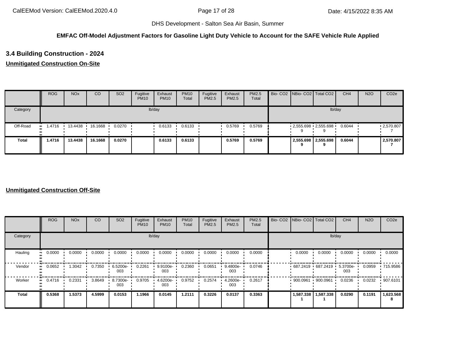## **EMFAC Off-Model Adjustment Factors for Gasoline Light Duty Vehicle to Account for the SAFE Vehicle Rule Applied**

# **3.4 Building Construction - 2024**

## **Unmitigated Construction On-Site**

|              | <b>ROG</b>    | <b>NO<sub>x</sub></b> | CO      | SO <sub>2</sub> | Fugitive<br><b>PM10</b> | Exhaust<br><b>PM10</b> | <b>PM10</b><br>Total | Fugitive<br>PM2.5 | Exhaust<br><b>PM2.5</b> | <b>PM2.5</b><br>Total |  | Bio- CO2 NBio- CO2 Total CO2       | CH <sub>4</sub> | <b>N2O</b> | CO <sub>2e</sub>  |
|--------------|---------------|-----------------------|---------|-----------------|-------------------------|------------------------|----------------------|-------------------|-------------------------|-----------------------|--|------------------------------------|-----------------|------------|-------------------|
| Category     |               |                       |         |                 |                         | lb/day                 |                      |                   |                         |                       |  | lb/day                             |                 |            |                   |
| Off-Road     | 1.4716<br>. . | 13.4438               | 16.1668 | 0.0270          |                         | 0.6133                 | 0.6133               |                   | 0.5769                  | 0.5769                |  | $2,555.698$ $2,555.698$            | 0.6044          |            | $\cdot$ 2,570.807 |
| <b>Total</b> | 1.4716        | 13,4438               | 16.1668 | 0.0270          |                         | 0.6133                 | 0.6133               |                   | 0.5769                  | 0.5769                |  | 2,555.698 2,555.698<br>$\mathbf o$ | 0.6044          |            | 2,570.807         |

|                          | <b>ROG</b> | <b>NO<sub>x</sub></b> | CO     | SO <sub>2</sub> | Fugitive<br><b>PM10</b> | Exhaust<br><b>PM10</b> | <b>PM10</b><br>Total | Fugitive<br>PM2.5 | Exhaust<br><b>PM2.5</b> | PM2.5<br>Total | Bio- CO2 NBio- CO2 Total CO2 |           | CH <sub>4</sub> | <b>N2O</b> | CO <sub>2e</sub> |
|--------------------------|------------|-----------------------|--------|-----------------|-------------------------|------------------------|----------------------|-------------------|-------------------------|----------------|------------------------------|-----------|-----------------|------------|------------------|
| Category                 |            |                       |        |                 |                         | lb/day                 |                      |                   |                         |                |                              | lb/day    |                 |            |                  |
| Hauling<br>ш.            | 0.0000     | 0.0000                | 0.0000 | 0.0000          | 0.0000                  | 0.0000                 | 0.0000               | 0.0000            | 0.0000                  | 0.0000         | 0.0000                       | 0.0000    | 0.0000          | 0.0000     | 0.0000           |
| Vendor<br>$\blacksquare$ | 0.0652     | 1.3042                | 0.7350 | 6.5200e-<br>003 | 0.2261                  | 9.9100e-<br>003        | 0.2360               | 0.0651            | 9.4800e-<br>003         | 0.0746         | $687.2419$ 687.2419          |           | 5.3700e-<br>003 | 0.0959     | .715.9586        |
| Worker<br>$\bullet$      | 0.4716     | 0.2331                | 3.8649 | 8.7300e-<br>003 | 0.9705                  | 4.6200e-<br>003        | 0.9752               | 0.2574            | 4.2600e-<br>003         | 0.2617         | 900.0961 900.0961            |           | 0.0236          | 0.0232     | .907.6101        |
| Total                    | 0.5368     | 1.5373                | 4.5999 | 0.0153          | 1.1966                  | 0.0145                 | 1.2111               | 0.3226            | 0.0137                  | 0.3363         | 1,587.338                    | 1,587.338 | 0.0290          | 0.1191     | 1,623.568        |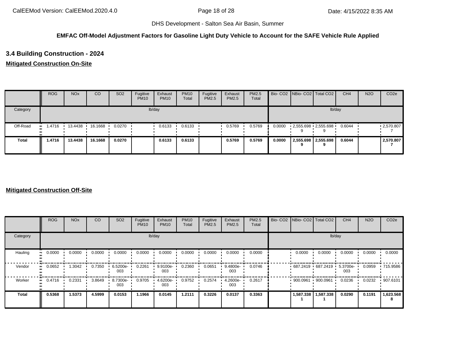## **EMFAC Off-Model Adjustment Factors for Gasoline Light Duty Vehicle to Account for the SAFE Vehicle Rule Applied**

# **3.4 Building Construction - 2024**

## **Mitigated Construction On-Site**

|              | <b>ROG</b>    | <b>NO<sub>x</sub></b> | CO      | SO <sub>2</sub> | Fugitive<br><b>PM10</b> | Exhaust<br><b>PM10</b> | <b>PM10</b><br>Total | Fugitive<br>PM2.5 | Exhaust<br>PM2.5 | <b>PM2.5</b><br>Total |        |   | Bio- CO2   NBio- CO2   Total CO2 | CH <sub>4</sub> | <b>N2O</b> | CO <sub>2e</sub> |
|--------------|---------------|-----------------------|---------|-----------------|-------------------------|------------------------|----------------------|-------------------|------------------|-----------------------|--------|---|----------------------------------|-----------------|------------|------------------|
| Category     |               |                       |         |                 |                         | lb/day                 |                      |                   |                  |                       |        |   | lb/day                           |                 |            |                  |
| Off-Road     | i 4716<br>. . | 13.4438               | 16.1668 | 0.0270          |                         | 0.6133                 | 0.6133               |                   | 0.5769           | 0.5769                | 0.0000 |   | $2,555.698$ $2,555.698$          | 0.6044          |            | .2570.807        |
| <b>Total</b> | 1.4716        | 13.4438               | 16.1668 | 0.0270          |                         | 0.6133                 | 0.6133               |                   | 0.5769           | 0.5769                | 0.0000 | 9 | 2,555.698 2,555.698              | 0.6044          |            | 2,570.807        |

|                     | <b>ROG</b>                 | <b>NO<sub>x</sub></b> | CO     | SO <sub>2</sub> | Fugitive<br><b>PM10</b> | Exhaust<br><b>PM10</b> | <b>PM10</b><br>Total | Fugitive<br>PM2.5 | Exhaust<br>PM2.5 | PM2.5<br>Total | Bio- CO2 NBio- CO2 Total CO2 |           | CH <sub>4</sub> | <b>N2O</b> | CO <sub>2e</sub> |
|---------------------|----------------------------|-----------------------|--------|-----------------|-------------------------|------------------------|----------------------|-------------------|------------------|----------------|------------------------------|-----------|-----------------|------------|------------------|
| Category            |                            |                       |        |                 |                         | lb/day                 |                      |                   |                  |                |                              | lb/day    |                 |            |                  |
| Hauling             | 0.0000<br>$\bullet$        | 0.0000                | 0.0000 | 0.0000          | 0.0000                  | 0.0000                 | 0.0000               | 0.0000            | 0.0000           | 0.0000         | 0.0000                       | 0.0000    | 0.0000          | 0.0000     | 0.0000           |
| Vendor<br>$\bullet$ | 0.0652                     | 1.3042                | 0.7350 | 6.5200e-<br>003 | 0.2261                  | 9.9100e-<br>003        | 0.2360               | 0.0651            | 9.4800e-<br>003  | 0.0746         | $687.2419$ 687.2419          |           | 5.3700e-<br>003 | 0.0959     | .715.9586        |
| Worker              | 0.4716<br>$\bullet\bullet$ | 0.2331                | 3.8649 | 8.7300e-<br>003 | 0.9705                  | 4.6200e-<br>003        | 0.9752               | 0.2574            | 4.2600e-<br>003  | 0.2617         | 900.0961                     | 900.0961  | 0.0236          | 0.0232     | .907.6101        |
| <b>Total</b>        | 0.5368                     | 1.5373                | 4.5999 | 0.0153          | 1.1966                  | 0.0145                 | 1.2111               | 0.3226            | 0.0137           | 0.3363         | 1,587.338                    | 1,587.338 | 0.0290          | 0.1191     | 1,623.568        |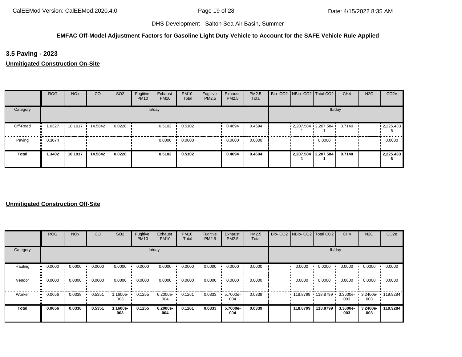## **EMFAC Off-Model Adjustment Factors for Gasoline Light Duty Vehicle to Account for the SAFE Vehicle Rule Applied**

**3.5 Paving - 2023**

**Unmitigated Construction On-Site**

|              | <b>ROG</b> | <b>NO<sub>x</sub></b> | CO        | SO <sub>2</sub> | Fugitive<br><b>PM10</b> | Exhaust<br><b>PM10</b> | <b>PM10</b><br>Total | Fugitive<br>PM2.5 | Exhaust<br>PM2.5 | PM2.5<br>Total |  | Bio- CO2   NBio- CO2   Total CO2 | CH <sub>4</sub> | <b>N2O</b> | CO <sub>2e</sub>  |
|--------------|------------|-----------------------|-----------|-----------------|-------------------------|------------------------|----------------------|-------------------|------------------|----------------|--|----------------------------------|-----------------|------------|-------------------|
| Category     |            |                       |           |                 |                         | lb/day                 |                      |                   |                  |                |  | lb/day                           |                 |            |                   |
| Off-Road     | 1.0327     | 10.1917               | 14.5842 · | 0.0228          |                         | 0.5102                 | 0.5102               |                   | 0.4694           | 0.4694         |  | $2,207.584$ $2,207.584$ 0.7140   |                 |            | $\cdot$ 2,225.433 |
| Paving       | 0.3074     |                       |           |                 |                         | 0.0000                 | 0.0000               |                   | 0.0000           | 0.0000         |  | 0.0000                           |                 |            | 0.0000            |
| <b>Total</b> | 1.3402     | 10.1917               | 14.5842   | 0.0228          |                         | 0.5102                 | 0.5102               |                   | 0.4694           | 0.4694         |  | 2,207.584 2,207.584              | 0.7140          |            | 2,225.433<br>-6   |

|              | ROG    | <b>NO<sub>x</sub></b> | CO     | SO <sub>2</sub> | Fugitive<br><b>PM10</b> | Exhaust<br><b>PM10</b> | <b>PM10</b><br>Total | Fugitive<br>PM2.5 | Exhaust<br>PM2.5 | <b>PM2.5</b><br>Total |          | Bio- CO2   NBio- CO2   Total CO2 | CH <sub>4</sub>    | <b>N2O</b>               | CO <sub>2e</sub> |
|--------------|--------|-----------------------|--------|-----------------|-------------------------|------------------------|----------------------|-------------------|------------------|-----------------------|----------|----------------------------------|--------------------|--------------------------|------------------|
| Category     |        |                       |        |                 |                         | lb/day                 |                      |                   |                  |                       |          | lb/day                           |                    |                          |                  |
| Hauling      | 0.0000 | 0.0000                | 0.0000 | 0.0000          | 0.0000                  | 0.0000                 | 0.0000               | 0.0000            | 0.0000           | 0.0000                | 0.0000   | 0.0000                           | 0.0000             | 0.0000                   | 0.0000           |
| Vendor       | 0.0000 | 0.0000                | 0.0000 | 0.0000          | 0.0000                  | 0.0000                 | 0.0000               | 0.0000            | 0.0000           | 0.0000                | 0.0000   | 0.0000                           | 0.0000             | 0.0000                   | 0.0000           |
| Worker       | 0.0656 | 0.0338                | 0.5351 | .1600e-<br>003  | 0.1255                  | 6.2000e-<br>004        | 0.1261               | 0.0333            | 5.7000e-<br>004  | 0.0339                |          | 118.8799 118.8799 1              | $3.3600e -$<br>003 | 3.2400e- 119.9284<br>003 |                  |
| <b>Total</b> | 0.0656 | 0.0338                | 0.5351 | 1.1600e-<br>003 | 0.1255                  | 6.2000e-<br>004        | 0.1261               | 0.0333            | 5.7000e-<br>004  | 0.0339                | 118,8799 | 118,8799                         | 3.3600e-<br>003    | 3.2400e-<br>003          | 119.9284         |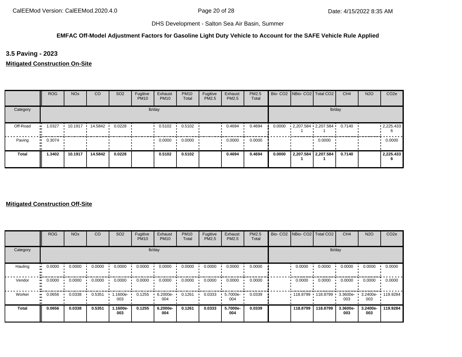## **EMFAC Off-Model Adjustment Factors for Gasoline Light Duty Vehicle to Account for the SAFE Vehicle Rule Applied**

**3.5 Paving - 2023**

**Mitigated Construction On-Site**

|              | ROG    | <b>NO<sub>x</sub></b> | <sub>co</sub> | SO <sub>2</sub> | Fugitive<br><b>PM10</b> | Exhaust<br><b>PM10</b> | <b>PM10</b><br>Total | Fugitive<br>PM2.5 | Exhaust<br>PM2.5 | PM2.5<br>Total |        | Bio- CO2   NBio- CO2   Total CO2 | CH <sub>4</sub> | <b>N2O</b> | CO <sub>2e</sub>  |
|--------------|--------|-----------------------|---------------|-----------------|-------------------------|------------------------|----------------------|-------------------|------------------|----------------|--------|----------------------------------|-----------------|------------|-------------------|
| Category     |        |                       |               |                 |                         | lb/day                 |                      |                   |                  |                |        |                                  | lb/day          |            |                   |
| Off-Road     | 1.0327 | 10.1917               | 14.5842       | 0.0228          |                         | 0.5102                 | 0.5102               |                   | 0.4694           | 0.4694         | 0.0000 | $2,207.584$ $2,207.584$ 0.7140   |                 |            | $\cdot$ 2,225.433 |
| Paving       | 0.3074 |                       |               |                 |                         | 0.0000                 | 0.0000               |                   | 0.0000           | 0.0000         |        | 0.0000                           |                 |            | 0.0000            |
| <b>Total</b> | 1.3402 | 10.1917               | 14.5842       | 0.0228          |                         | 0.5102                 | 0.5102               |                   | 0.4694           | 0.4694         | 0.0000 | 2,207.584 2,207.584              | 0.7140          |            | 2,225.433<br>b    |

|          | <b>ROG</b>            | <b>NO<sub>x</sub></b> | CO     | SO <sub>2</sub> | Fugitive<br><b>PM10</b> | Exhaust<br><b>PM10</b> | <b>PM10</b><br>Total | Fugitive<br><b>PM2.5</b> | Exhaust<br>PM2.5 | PM2.5<br>Total | Bio- CO2 NBio- CO2 Total CO2 |                   | CH <sub>4</sub>    | <b>N2O</b>               | CO <sub>2e</sub> |
|----------|-----------------------|-----------------------|--------|-----------------|-------------------------|------------------------|----------------------|--------------------------|------------------|----------------|------------------------------|-------------------|--------------------|--------------------------|------------------|
| Category |                       |                       |        |                 |                         | lb/day                 |                      |                          |                  |                |                              | lb/day            |                    |                          |                  |
| Hauling  | 0.0000<br>            | 0.0000                | 0.0000 | 0.0000          | 0.0000                  | 0.0000                 | 0.0000               | 0.0000                   | 0.0000           | 0.0000         | 0.0000                       | 0.0000            | 0.0000             | 0.0000                   | 0.0000           |
| Vendor   | $\blacksquare$ 0.0000 | 0.0000                | 0.0000 | 0.0000          | 0.0000                  | 0.0000                 | 0.0000               | 0.0000                   | 0.0000           | 0.0000         | 0.0000                       | 0.0000            | 0.0000             | 0.0000                   | 0.0000           |
| Worker   | 0.0656<br>            | 0.0338                | 0.5351 | -1600e.<br>003  | 0.1255                  | 6.2000e-<br>004        | 0.1261               | 0.0333                   | 5.7000e-<br>004  | 0.0339         |                              | 118.8799 118.8799 | $3.3600e -$<br>003 | 3.2400e- 119.9284<br>003 |                  |
| Total    | 0.0656                | 0.0338                | 0.5351 | 1.1600e-<br>003 | 0.1255                  | 6.2000e-<br>004        | 0.1261               | 0.0333                   | 5.7000e-<br>004  | 0.0339         | 118,8799                     | 118,8799          | 3.3600e-<br>003    | 3.2400e-<br>003          | 119.9284         |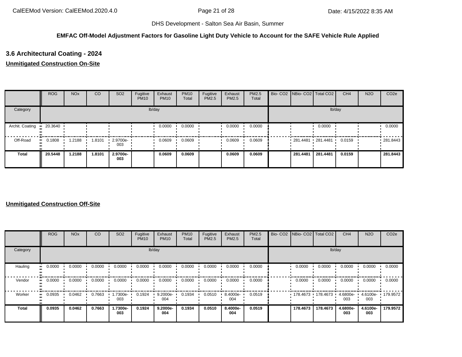## **EMFAC Off-Model Adjustment Factors for Gasoline Light Duty Vehicle to Account for the SAFE Vehicle Rule Applied**

# **3.6 Architectural Coating - 2024**

## **Unmitigated Construction On-Site**

|                 | <b>ROG</b> | <b>NO<sub>x</sub></b> | CO     | SO <sub>2</sub>         | Fugitive<br><b>PM10</b> | Exhaust<br><b>PM10</b> | <b>PM10</b><br>Total | Fugitive<br><b>PM2.5</b> | Exhaust<br>PM2.5 | <b>PM2.5</b><br>Total | Bio- CO2 NBio- CO2 Total CO2 |          | CH <sub>4</sub> | <b>N2O</b> | CO <sub>2e</sub> |
|-----------------|------------|-----------------------|--------|-------------------------|-------------------------|------------------------|----------------------|--------------------------|------------------|-----------------------|------------------------------|----------|-----------------|------------|------------------|
| Category        |            |                       |        |                         |                         | lb/day                 |                      |                          |                  |                       |                              |          | lb/day          |            |                  |
| Archit. Coating | $-20.3640$ |                       |        |                         |                         | 0.0000                 | 0.0000               |                          | 0.0000           | 0.0000                |                              | 0.0000   |                 |            | 0.0000           |
| Off-Road        | 0.1808     | .2188                 | 1.8101 | $\cdot$ 2.9700e-<br>003 |                         | 0.0609                 | 0.0609               |                          | 0.0609           | 0.0609                | 281.4481 281.4481            |          | 0.0159          |            | 281.8443         |
| <b>Total</b>    | 20.5448    | 1.2188                | 1.8101 | 2.9700e-<br>003         |                         | 0.0609                 | 0.0609               |                          | 0.0609           | 0.0609                | 281.4481                     | 281.4481 | 0.0159          |            | 281.8443         |

|          | <b>ROG</b>            | <b>NO<sub>x</sub></b> | CO     | SO <sub>2</sub> | Fugitive<br><b>PM10</b> | Exhaust<br><b>PM10</b> | <b>PM10</b><br>Total | Fugitive<br><b>PM2.5</b> | Exhaust<br>PM2.5 | PM2.5<br>Total | Bio- CO2 NBio- CO2 Total CO2 |          | CH <sub>4</sub>    | <b>N2O</b>      | CO <sub>2e</sub>  |
|----------|-----------------------|-----------------------|--------|-----------------|-------------------------|------------------------|----------------------|--------------------------|------------------|----------------|------------------------------|----------|--------------------|-----------------|-------------------|
| Category |                       |                       |        |                 |                         | lb/day                 |                      |                          |                  |                |                              | lb/day   |                    |                 |                   |
| Hauling  | 0.0000<br>            | 0.0000                | 0.0000 | 0.0000          | 0.0000                  | 0.0000                 | 0.0000               | 0.0000                   | 0.0000           | 0.0000         | 0.0000                       | 0.0000   | 0.0000             | 0.0000          | 0.0000            |
| Vendor   | $\blacksquare$ 0.0000 | 0.0000                | 0.0000 | 0.0000          | 0.0000                  | 0.0000                 | 0.0000               | 0.0000                   | 0.0000           | 0.0000         | 0.0000                       | 0.0000   | 0.0000             | 0.0000          | 0.0000            |
| Worker   | 0.0935<br>            | 0.0462                | 0.7663 | -7300e-<br>003  | 0.1924                  | $9.2000e-$<br>004      | 0.1934               | 0.0510                   | 8.4000e-<br>004  | 0.0519         | 178.4673 178.4673 1          |          | $4.6800e -$<br>003 | 003             | 4.6100e- 179.9572 |
| Total    | 0.0935                | 0.0462                | 0.7663 | 1.7300e-<br>003 | 0.1924                  | 9.2000e-<br>004        | 0.1934               | 0.0510                   | 8.4000e-<br>004  | 0.0519         | 178,4673                     | 178.4673 | 4.6800e-<br>003    | 4.6100e-<br>003 | 179.9572          |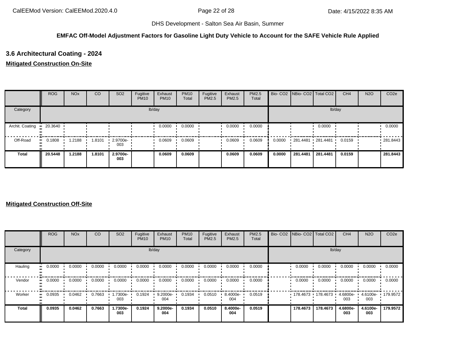## **EMFAC Off-Model Adjustment Factors for Gasoline Light Duty Vehicle to Account for the SAFE Vehicle Rule Applied**

## **3.6 Architectural Coating - 2024**

## **Mitigated Construction On-Site**

|                 | <b>ROG</b> | <b>NO<sub>x</sub></b> | CO     | SO <sub>2</sub>         | Fugitive<br><b>PM10</b> | Exhaust<br><b>PM10</b> | <b>PM10</b><br>Total | Fugitive<br>PM2.5 | Exhaust<br><b>PM2.5</b> | <b>PM2.5</b><br>Total |        | Bio- CO2   NBio- CO2   Total CO2 |          | CH <sub>4</sub> | <b>N2O</b> | CO <sub>2e</sub> |
|-----------------|------------|-----------------------|--------|-------------------------|-------------------------|------------------------|----------------------|-------------------|-------------------------|-----------------------|--------|----------------------------------|----------|-----------------|------------|------------------|
| Category        |            |                       |        |                         |                         | lb/day                 |                      |                   |                         |                       |        |                                  | lb/day   |                 |            |                  |
| Archit. Coating | 20.3640    |                       |        |                         |                         | 0.0000                 | 0.0000               |                   | 0.0000                  | 0.0000                |        |                                  | 0.0000   |                 |            | 0.0000           |
| Off-Road        | 0.1808     | .2188                 | 1.8101 | $\cdot$ 2.9700e-<br>003 |                         | 0.0609                 | 0.0609               |                   | 0.0609                  | 0.0609                | 0.0000 | $-281.4481 - 281.4481$           |          | 0.0159          |            | .281.8443        |
| <b>Total</b>    | 20.5448    | 1.2188                | 1.8101 | 2.9700e-<br>003         |                         | 0.0609                 | 0.0609               |                   | 0.0609                  | 0.0609                | 0.0000 | 281.4481                         | 281.4481 | 0.0159          |            | 281.8443         |

|              | <b>ROG</b> | <b>NO<sub>x</sub></b> | <sub>CO</sub> | SO <sub>2</sub> | Fugitive<br><b>PM10</b> | Exhaust<br><b>PM10</b> | <b>PM10</b><br>Total | Fugitive<br>PM2.5 | Exhaust<br>PM2.5 | PM2.5<br>Total | Bio- CO2   NBio- CO2   Total CO2 |          | CH <sub>4</sub> | <b>N2O</b>      | CO <sub>2e</sub> |
|--------------|------------|-----------------------|---------------|-----------------|-------------------------|------------------------|----------------------|-------------------|------------------|----------------|----------------------------------|----------|-----------------|-----------------|------------------|
| Category     |            |                       |               |                 |                         | lb/day                 |                      |                   |                  |                |                                  | lb/day   |                 |                 |                  |
| Hauling      | 0.0000     | 0.0000                | 0.0000        | 0.0000          | 0.0000                  | 0.0000                 | 0.0000               | 0.0000            | 0.0000           | 0.0000         | 0.0000                           | 0.0000   | 0.0000          | 0.0000          | 0.0000           |
| Vendor       | 0.0000     | 0.0000                | 0.0000        | 0.0000          | 0.0000                  | 0.0000                 | 0.0000               | 0.0000            | 0.0000           | 0.0000         | 0.0000                           | 0.0000   | 0.0000          | 0.0000          | 0.0000           |
| Worker       | 0.0935     | 0.0462                | 0.7663        | 1.7300e-<br>003 | 0.1924                  | 9.2000e-<br>004        | 0.1934               | 0.0510            | 8.4000e-<br>004  | 0.0519         | $178.4673$ 178.4673              |          | 4.6800e-<br>003 | 4.6100e-<br>003 | $+179.9572$      |
| <b>Total</b> | 0.0935     | 0.0462                | 0.7663        | 1.7300e-<br>003 | 0.1924                  | 9.2000e-<br>004        | 0.1934               | 0.0510            | 8.4000e-<br>004  | 0.0519         | 178.4673                         | 178,4673 | 4.6800e-<br>003 | 4.6100e-<br>003 | 179.9572         |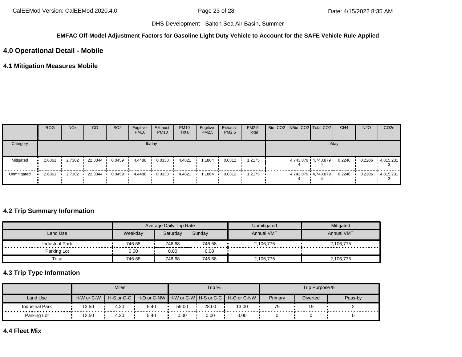#### **EMFAC Off-Model Adjustment Factors for Gasoline Light Duty Vehicle to Account for the SAFE Vehicle Rule Applied**

## **4.0 Operational Detail - Mobile**

## **4.1 Mitigation Measures Mobile**

|             | <b>ROG</b> | <b>NO<sub>x</sub></b> | CO      | SO <sub>2</sub> | Fugitive<br><b>PM10</b> | Exhaust<br><b>PM10</b> | <b>PM10</b><br>Total | Fugitive<br>PM2.5 | Exhaust<br>PM2.5 | <b>PM2.5</b><br>Total |  | Bio- CO2   NBio- CO2   Total CO2 | CH <sub>4</sub> | <b>N2O</b> | CO <sub>2e</sub> |
|-------------|------------|-----------------------|---------|-----------------|-------------------------|------------------------|----------------------|-------------------|------------------|-----------------------|--|----------------------------------|-----------------|------------|------------------|
| Category    |            |                       |         |                 |                         | lb/day                 |                      |                   |                  |                       |  | lb/day                           |                 |            |                  |
| Mitigated   | 2.6861     | 2.7302                | 22.3344 | 0.0459          | 4.4488                  | 0.0333                 | 4.4821               | .1864             | 0.0312           | 1.2175                |  | 4,743.879 4,743.879              | 0.2246          | 0.2206     | $-4,815.231$     |
| Unmitigated | 2.6861     | 2.7302                | 22.3344 | 0.0459          | 4.4488                  | 0.0333                 | 4.4821               | . 1864            | 0.0312           | 1.2175                |  | $-4,743.879$ $-4,743.879$ $-$    | 0.2246          | 0.2206     | $-4.815.231$     |

## **4.2 Trip Summary Information**

|                        |         | Average Daily Trip Rate |        | Unmitigated       | Mitigated         |
|------------------------|---------|-------------------------|--------|-------------------|-------------------|
| Land Use               | Weekdav | Saturdav                | Sunday | <b>Annual VMT</b> | <b>Annual VMT</b> |
| <b>Industrial Park</b> | 746.68  | 746.68                  | 746.68 | 2,106,775         | 2,106,775         |
| Parking Lot            | 0.00    | 0.00                    | 0.00   |                   |                   |
| Total                  | 746.68  | 746.68                  | 746.68 | 2,106,775         | 2,106,775         |

# **4.3 Trip Type Information**

|                        |            | <b>Miles</b>   |      |       | Trip % |                                               |         | Trip Purpose %  |         |
|------------------------|------------|----------------|------|-------|--------|-----------------------------------------------|---------|-----------------|---------|
| Land Use               | H-W or C-W | $H-S$ or $C-C$ |      |       |        | H-O or C-NW H-W or C-W H-S or C-C H-O or C-NW | Primary | <b>Diverted</b> | Pass-by |
| <b>Industrial Park</b> | 12.50      | 4.20           | 5.40 | 59.00 | 28.00  | 13.00                                         | 79      | 19              |         |
| Parking Lot            | 12.50      | 4.20           | 5.40 | 0.00  | 0.00   | 0.00                                          |         |                 |         |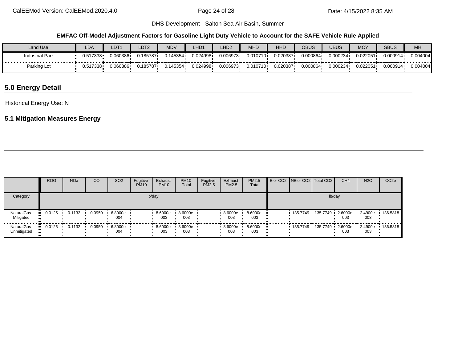## **EMFAC Off-Model Adjustment Factors for Gasoline Light Duty Vehicle to Account for the SAFE Vehicle Rule Applied**

| Land Use               | LDA          | $\_DT1$  | LDT2     | <b>MDV</b> | HD1      | LHD <sub>2</sub> | <b>MHD</b> | <b>HHD</b> | OBUS     | <b>UBUS</b> | <b>MCY</b> | <b>SBUS</b> | MH       |
|------------------------|--------------|----------|----------|------------|----------|------------------|------------|------------|----------|-------------|------------|-------------|----------|
| <b>Industrial Park</b> | $0.517338 -$ | 0.060386 | 0.185787 | ົ 145354   | 0.024998 | 0.006973         | 0.010710   | 0.020387   | 0.000864 | 0.000234    | 0.022051   | 0.000914    | 0.004004 |
| Parking Lot            | 0.517338     | 0.060386 | 0.185787 | 145354     | 0.024998 | 0.006973         | 0.010710   | 0.020387   | 9.000864 | 0.000234    | 0.022051   | 0.000914    | 0.004004 |

# **5.0 Energy Detail**

Historical Energy Use: N

## **5.1 Mitigation Measures Energy**

|                                               | <b>ROG</b> | <b>NO<sub>x</sub></b> | CO     | SO <sub>2</sub> | Fugitive<br><b>PM10</b> | Exhaust<br><b>PM10</b> | <b>PM10</b><br>Total | Fugitive<br>PM2.5 | Exhaust<br><b>PM2.5</b> | PM2.5<br>Total  |  | Bio- CO2 NBio- CO2   Total CO2          | CH <sub>4</sub> | <b>N2O</b>      | CO <sub>2e</sub> |
|-----------------------------------------------|------------|-----------------------|--------|-----------------|-------------------------|------------------------|----------------------|-------------------|-------------------------|-----------------|--|-----------------------------------------|-----------------|-----------------|------------------|
| Category                                      |            |                       |        |                 |                         | lb/day                 |                      |                   |                         |                 |  | lb/day                                  |                 |                 |                  |
| <b>NaturalGas</b><br>Mitigated                | 0.0125     | 0.1132                | 0.0950 | 6.8000e-<br>004 |                         | $8.6000e -$<br>003     | $8.6000e -$<br>003   |                   | 8.6000e-<br>003         | 8.6000e-<br>003 |  | 135.7749 · 135.7749 · 2.6000e- 2.4900e- | 003             | 003             | $\cdot$ 136.5818 |
| <b>NaturalGas</b><br>$\bullet$<br>Unmitigated | 0.0125     | 0.1132                | 0.0950 | 6.8000e-<br>004 |                         | 8.6000e- •<br>003      | 8.6000e-<br>003      |                   | 8.6000e-<br>003         | 8.6000e-<br>003 |  |                                         | 003             | 2.4900e-<br>003 | 136.5818         |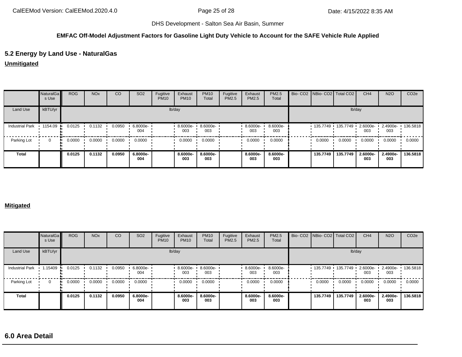### **EMFAC Off-Model Adjustment Factors for Gasoline Light Duty Vehicle to Account for the SAFE Vehicle Rule Applied**

## **5.2 Energy by Land Use - NaturalGas**

**Unmitigated**

|                        | <b>NaturalGa</b><br>s Use | <b>ROG</b> | <b>NO<sub>x</sub></b> | CO     | SO <sub>2</sub> | Fugitive<br><b>PM10</b> | Exhaust<br><b>PM10</b> | <b>PM10</b><br>Total | Fugitive<br>PM2.5 | Exhaust<br>PM2.5 | PM2.5<br>Total  | Bio- CO2   NBio- CO2   Total CO2 |                       | CH <sub>4</sub> | <b>N2O</b>      | CO <sub>2e</sub> |
|------------------------|---------------------------|------------|-----------------------|--------|-----------------|-------------------------|------------------------|----------------------|-------------------|------------------|-----------------|----------------------------------|-----------------------|-----------------|-----------------|------------------|
| Land Use               | kBTU/yr                   |            |                       |        |                 |                         | lb/day                 |                      |                   |                  |                 |                                  |                       | lb/day          |                 |                  |
| <b>Industrial Park</b> | $\cdot$ 1154.09           | 0.0125     | 0.1132                | 0.0950 | 6.8000e-<br>004 |                         | 8.6000e-<br>003        | 8.6000e-<br>003      |                   | 8.6000e-<br>003  | 8.6000e-<br>003 |                                  | 135.7749 • 135.7749 • | 2.6000e-<br>003 | 2.4900e-<br>003 | 136.5818         |
| Parking Lot            | $\Omega$                  | 0.0000     | 0.0000                | 0.0000 | 0.0000          |                         | 0.0000                 | 0.0000               |                   | 0.0000           | 0.0000          | 0.0000                           | 0.0000                | 0.0000          | 0.0000          | 0.0000           |
| <b>Total</b>           |                           | 0.0125     | 0.1132                | 0.0950 | 6.8000e-<br>004 |                         | 8.6000e-<br>003        | 8.6000e-<br>003      |                   | 8.6000e-<br>003  | 8.6000e-<br>003 | 135.7749                         | 135.7749              | 2.6000e-<br>003 | 2.4900e-<br>003 | 136,5818         |

#### **Mitigated**

|                        | NaturalGa<br>s Use | <b>ROG</b> | <b>NO<sub>x</sub></b> | CO     | SO <sub>2</sub> | Fugitive<br><b>PM10</b> | Exhaust<br><b>PM10</b> | <b>PM10</b><br>Total | Fugitive<br>PM2.5 | Exhaust<br>PM2.5 | PM2.5<br>Total  | Bio- CO2   NBio- CO2   Total CO2 |                     | CH <sub>4</sub> | <b>N2O</b>      | CO <sub>2e</sub> |
|------------------------|--------------------|------------|-----------------------|--------|-----------------|-------------------------|------------------------|----------------------|-------------------|------------------|-----------------|----------------------------------|---------------------|-----------------|-----------------|------------------|
| Land Use               | kBTU/yr            |            |                       |        |                 |                         | lb/day                 |                      |                   |                  |                 |                                  | lb/day              |                 |                 |                  |
| <b>Industrial Park</b> | 1.15409            | 0.0125     | 0.1132                | 0.0950 | 6.8000e-<br>004 |                         | 8.6000e-<br>003        | 8.6000e-<br>003      |                   | 8.6000e-<br>003  | 8.6000e-<br>003 |                                  | 135.7749 135.7749 1 | 2.6000e-<br>003 | 2.4900e-<br>003 | 136.5818         |
| Parking Lot            |                    | 0.0000     | 0.0000                | 0.0000 | 0.0000          |                         | 0.0000                 | 0.0000               |                   | 0.0000           | 0.0000          | 0.0000                           | 0.0000              | 0.0000          | 0.0000          | 0.0000           |
| <b>Total</b>           |                    | 0.0125     | 0.1132                | 0.0950 | 6.8000e-<br>004 |                         | 8.6000e-<br>003        | 8.6000e-<br>003      |                   | 8.6000e-<br>003  | 8.6000e-<br>003 | 135.7749                         | 135.7749            | 2.6000e-<br>003 | 2.4900e-<br>003 | 136,5818         |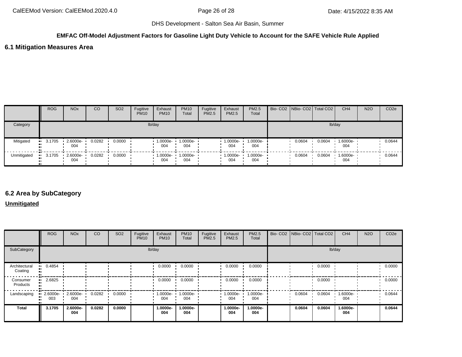## **EMFAC Off-Model Adjustment Factors for Gasoline Light Duty Vehicle to Account for the SAFE Vehicle Rule Applied**

## **6.1 Mitigation Measures Area**

|             | <b>ROG</b>            | <b>NO<sub>x</sub></b> | CO     | SO <sub>2</sub> | Fugitive<br><b>PM10</b> | Exhaust<br><b>PM10</b>     | <b>PM10</b><br>Total | Fugitive<br><b>PM2.5</b> | Exhaust<br><b>PM2.5</b> | PM2.5<br>Total                         | Bio- CO2   NBio- CO2   Total CO2 |        | CH <sub>4</sub> | <b>N2O</b> | CO <sub>2</sub> e |
|-------------|-----------------------|-----------------------|--------|-----------------|-------------------------|----------------------------|----------------------|--------------------------|-------------------------|----------------------------------------|----------------------------------|--------|-----------------|------------|-------------------|
| Category    |                       |                       |        |                 |                         | lb/day                     |                      |                          |                         |                                        |                                  |        | lb/day          |            |                   |
| Mitigated   | $-3.1705$             | 2.6000e-<br>004       | 0.0282 | 0.0000          |                         | 1.0000e-<br>004            | 1.0000e-<br>004      |                          | 1.0000e-<br>004         | $\cdot$ 1.0000e-<br>004                | 0.0604                           | 0.0604 | 1.6000e-<br>004 |            | 0.0644            |
| Unmitigated | $\blacksquare$ 3.1705 | 2.6000e-<br>004       | 0.0282 | 0.0000          |                         | $1.0000e - 1.0000e$<br>004 | 004                  |                          | 004                     | $\cdot$ 1.0000e $\cdot$ 1.0000e<br>004 | 0.0604                           | 0.0604 | 1.6000e-<br>004 |            | 0.0644            |

## **6.2 Area by SubCategory**

**Unmitigated**

|                                   | <b>ROG</b>            | <b>NO<sub>x</sub></b> | CO     | SO <sub>2</sub> | Fugitive<br><b>PM10</b> | Exhaust<br><b>PM10</b> | <b>PM10</b><br>Total | Fugitive<br>PM2.5 | Exhaust<br>PM2.5 | PM2.5<br>Total  | Bio- CO2 NBio- CO2 Total CO2 |        | CH <sub>4</sub> | <b>N2O</b> | CO <sub>2e</sub> |
|-----------------------------------|-----------------------|-----------------------|--------|-----------------|-------------------------|------------------------|----------------------|-------------------|------------------|-----------------|------------------------------|--------|-----------------|------------|------------------|
| SubCategory                       |                       |                       |        |                 | lb/day                  |                        |                      |                   |                  |                 |                              | lb/day |                 |            |                  |
| Architectural<br>Coating          | 0.4854<br>            |                       |        |                 |                         | 0.0000                 | 0.0000               |                   | 0.0000           | 0.0000          |                              | 0.0000 |                 |            | 0.0000           |
| Consumer<br>$\bullet$<br>Products | 2.6825                |                       |        |                 |                         | 0.0000                 | 0.0000               |                   | 0.0000           | 0.0000          |                              | 0.0000 |                 |            | 0.0000           |
| Landscaping                       | 2.6000e-<br>.,<br>003 | 2.6000e-<br>004       | 0.0282 | 0.0000          |                         | $1.0000e-$<br>004      | 1.0000e-<br>004      |                   | -:0000e<br>004   | 1.0000e-<br>004 | 0.0604                       | 0.0604 | 1.6000e-<br>004 |            | 0.0644           |
| <b>Total</b>                      | 3.1705                | 2.6000e-<br>004       | 0.0282 | 0.0000          |                         | 1.0000e-<br>004        | 1.0000e-<br>004      |                   | 1.0000e-<br>004  | 1.0000e-<br>004 | 0.0604                       | 0.0604 | 1.6000e-<br>004 |            | 0.0644           |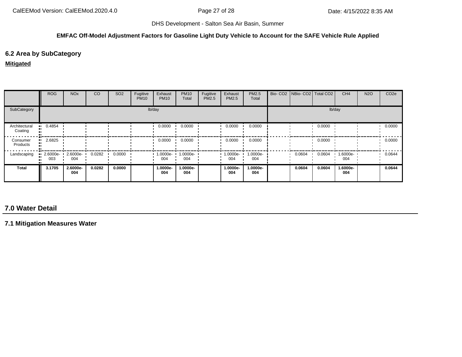## **EMFAC Off-Model Adjustment Factors for Gasoline Light Duty Vehicle to Account for the SAFE Vehicle Rule Applied**

## **6.2 Area by SubCategory**

### **Mitigated**

|                          | <b>ROG</b>                     | <b>NO<sub>x</sub></b> | <sub>CO</sub> | SO <sub>2</sub> | Fugitive<br><b>PM10</b> | Exhaust<br><b>PM10</b> | <b>PM10</b><br>Total | Fugitive<br>PM2.5 | Exhaust<br><b>PM2.5</b> | PM2.5<br>Total  | Bio- CO2   NBio- CO2   Total CO2 |        | CH <sub>4</sub> | <b>N2O</b> | CO <sub>2e</sub> |
|--------------------------|--------------------------------|-----------------------|---------------|-----------------|-------------------------|------------------------|----------------------|-------------------|-------------------------|-----------------|----------------------------------|--------|-----------------|------------|------------------|
| SubCategory              |                                |                       |               |                 |                         | lb/day                 |                      |                   |                         |                 |                                  |        | lb/day          |            |                  |
| Architectural<br>Coating | $-0.4854$                      |                       |               |                 |                         | 0.0000                 | 0.0000               |                   | 0.0000                  | 0.0000          |                                  | 0.0000 |                 |            | 0.0000           |
| Consumer<br>Products     | 2.6825<br>ш.                   |                       |               |                 |                         | 0.0000                 | 0.0000               |                   | 0.0000                  | 0.0000          |                                  | 0.0000 |                 |            | 0.0000           |
| Landscaping              | $\blacksquare$ 2.6000e-<br>003 | 2.6000e-<br>004       | 0.0282        | 0.0000          |                         | 1.0000e-<br>004        | 1.0000e-<br>004      |                   | 1.0000e-<br>004         | 1.0000e-<br>004 | 0.0604                           | 0.0604 | 1.6000e-<br>004 |            | 0.0644           |
| Total                    | 3.1705                         | 2.6000e-<br>004       | 0.0282        | 0.0000          |                         | 1.0000e-<br>004        | 1.0000e-<br>004      |                   | 1.0000e-<br>004         | 1.0000e-<br>004 | 0.0604                           | 0.0604 | 1.6000e-<br>004 |            | 0.0644           |

# **7.0 Water Detail**

**7.1 Mitigation Measures Water**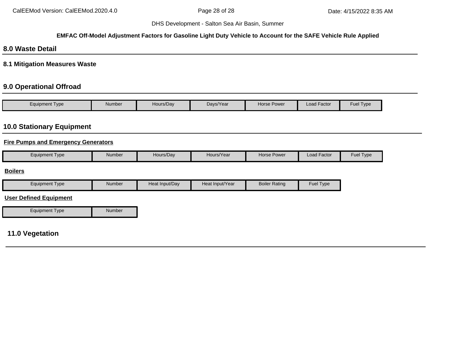#### **EMFAC Off-Model Adjustment Factors for Gasoline Light Duty Vehicle to Account for the SAFE Vehicle Rule Applied**

# **8.0 Waste Detail**

## **8.1 Mitigation Measures Waste**

## **9.0 Operational Offroad**

| Type<br>Equipment | Number | Hours/Day | Days/Year | Horse Power | $\cdot$ $-$<br>Load Factor | <b>Fuel Type</b> |
|-------------------|--------|-----------|-----------|-------------|----------------------------|------------------|

# **10.0 Stationary Equipment**

## **Fire Pumps and Emergency Generators**

|  | Equipment Type | Number | Hours/Dav | Hours/Year | Horse Power | . .<br>Load Factor | <b>Fuel Type</b> |
|--|----------------|--------|-----------|------------|-------------|--------------------|------------------|
|--|----------------|--------|-----------|------------|-------------|--------------------|------------------|

## **Boilers**

| Type<br>cauipment | Number | Heat Input/Dav | Heat Input/Year | <b>Boiler Rating</b> | Fuel Type |
|-------------------|--------|----------------|-----------------|----------------------|-----------|

## **User Defined Equipment**

Equipment Type Number

## **11.0 Vegetation**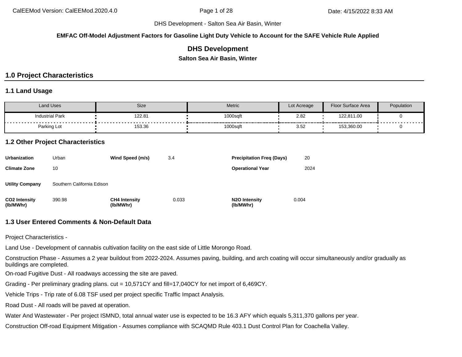**EMFAC Off-Model Adjustment Factors for Gasoline Light Duty Vehicle to Account for the SAFE Vehicle Rule Applied**

## **DHS Development**

**Salton Sea Air Basin, Winter**

# **1.0 Project Characteristics**

## **1.1 Land Usage**

| Land Uses              | Size   | <b>Metric</b>                                  | Lot Acreage                                   | <b>Floor Surface Area</b> | Population                      |
|------------------------|--------|------------------------------------------------|-----------------------------------------------|---------------------------|---------------------------------|
| <b>Industrial Park</b> | 122.81 | 1000sqft<br>----------<br>-------------------- | 2.82                                          | 122,811.00                | - - - - - - - - - - - - - - - - |
| Parking Lot            | 153.36 | 1000sqft                                       | --------------------<br>$\sim$ $\sim$<br>3.52 | 153,360.00                |                                 |

## **1.2 Other Project Characteristics**

| <b>Urbanization</b>               | Urban                      | Wind Speed (m/s)                  | 3.4   | <b>Precipitation Freg (Days)</b>        | 20    |
|-----------------------------------|----------------------------|-----------------------------------|-------|-----------------------------------------|-------|
| <b>Climate Zone</b>               | 10                         |                                   |       | <b>Operational Year</b>                 | 2024  |
| <b>Utility Company</b>            | Southern California Edison |                                   |       |                                         |       |
| <b>CO2 Intensity</b><br>(lb/MWhr) | 390.98                     | <b>CH4 Intensity</b><br>(lb/MWhr) | 0.033 | N <sub>2</sub> O Intensity<br>(lb/MWhr) | 0.004 |

## **1.3 User Entered Comments & Non-Default Data**

Project Characteristics -

Land Use - Development of cannabis cultivation facility on the east side of Little Morongo Road.

Construction Phase - Assumes a 2 year buildout from 2022-2024. Assumes paving, building, and arch coating will occur simultaneously and/or gradually as buildings are completed.

On-road Fugitive Dust - All roadways accessing the site are paved.

Grading - Per preliminary grading plans. cut = 10,571CY and fill=17,040CY for net import of 6,469CY.

Vehicle Trips - Trip rate of 6.08 TSF used per project specific Traffic Impact Analysis.

Road Dust - All roads will be paved at operation.

Water And Wastewater - Per project ISMND, total annual water use is expected to be 16.3 AFY which equals 5,311,370 gallons per year.

Construction Off-road Equipment Mitigation - Assumes compliance with SCAQMD Rule 403.1 Dust Control Plan for Coachella Valley.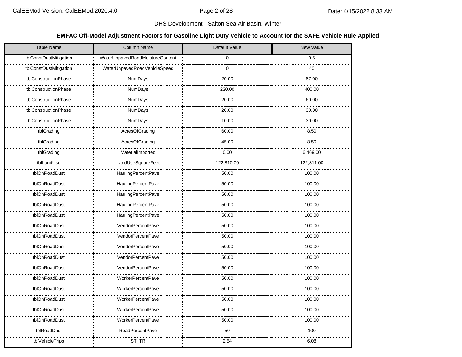## **EMFAC Off-Model Adjustment Factors for Gasoline Light Duty Vehicle to Account for the SAFE Vehicle Rule Applied**

| <b>Table Name</b>      | <b>Column Name</b>              | Default Value | New Value  |
|------------------------|---------------------------------|---------------|------------|
| tblConstDustMitigation | WaterUnpavedRoadMoistureContent | 0             | 0.5        |
| tblConstDustMitigation | WaterUnpavedRoadVehicleSpeed    | $\mathbf 0$   | 40         |
| tblConstructionPhase   | NumDays                         | 20.00         | 87.00      |
| tblConstructionPhase   | NumDays                         | 230.00        | 400.00     |
| tblConstructionPhase   | NumDays                         | 20.00         | 60.00      |
| tblConstructionPhase   | NumDays                         | 20.00         | 30.00      |
| tblConstructionPhase   | NumDays                         | 10.00         | 30.00      |
| tblGrading             | AcresOfGrading                  | 60.00         | 8.50       |
| tblGrading             | AcresOfGrading                  | 45.00         | 8.50       |
| tblGrading             | MaterialImported                | 0.00          | 6,469.00   |
| tblLandUse             | LandUseSquareFeet               | 122,810.00    | 122,811.00 |
| tblOnRoadDust          | HaulingPercentPave              | 50.00         | 100.00     |
| tblOnRoadDust          | <b>HaulingPercentPave</b>       | 50.00         | 100.00     |
| tblOnRoadDust          | HaulingPercentPave              | 50.00         | 100.00     |
| tblOnRoadDust          | HaulingPercentPave              | 50.00         | 100.00     |
| tblOnRoadDust          | HaulingPercentPave              | 50.00         | 100.00     |
| tblOnRoadDust          | VendorPercentPave               | 50.00         | 100.00     |
| tblOnRoadDust          | VendorPercentPave               | 50.00         | 100.00     |
| tblOnRoadDust          | VendorPercentPave               | 50.00         | 100.00     |
| tblOnRoadDust          | VendorPercentPave               | 50.00         | 100.00     |
| tblOnRoadDust          | VendorPercentPave               | 50.00         | 100.00     |
| tblOnRoadDust          | <b>WorkerPercentPave</b>        | 50.00         | 100.00     |
| tblOnRoadDust          | <b>WorkerPercentPave</b>        | 50.00         | 100.00     |
| tblOnRoadDust          | <b>WorkerPercentPave</b>        | 50.00         | 100.00     |
| tblOnRoadDust          | <b>WorkerPercentPave</b>        | 50.00         | 100.00     |
| tblOnRoadDust          | <b>WorkerPercentPave</b>        | 50.00         | 100.00     |
| tblRoadDust            | <b>RoadPercentPave</b>          | 50            | 100        |
| tblVehicleTrips        | ST_TR                           | 2.54          | 6.08       |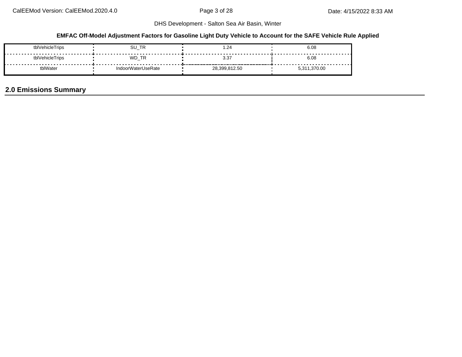## **EMFAC Off-Model Adjustment Factors for Gasoline Light Duty Vehicle to Account for the SAFE Vehicle Rule Applied**

| tblVehicleTrips | SU_TR                             | .24           | 6.08    |
|-----------------|-----------------------------------|---------------|---------|
| tblVehicleTrips | WD TR<br>$\overline{\phantom{a}}$ | 3.37          | 6.08    |
| tblWater        | <b>IndoorWaterUseRate</b>         | 28,399,812.50 | .370.00 |

# **2.0 Emissions Summary**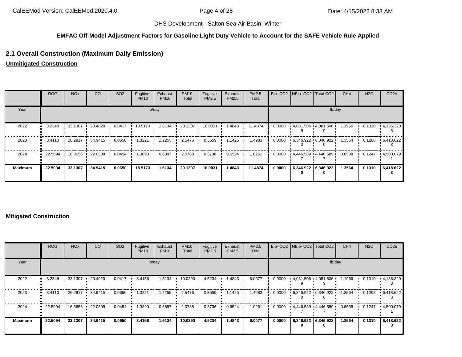#### **EMFAC Off-Model Adjustment Factors for Gasoline Light Duty Vehicle to Account for the SAFE Vehicle Rule Applied**

## **2.1 Overall Construction (Maximum Daily Emission)**

**Unmitigated Construction**

|                | <b>ROG</b>              | <b>NO<sub>x</sub></b> | CO      | SO <sub>2</sub> | Fugitive<br><b>PM10</b> | Exhaust<br><b>PM10</b> | <b>PM10</b><br>Total | Fugitive<br>PM2.5 | Exhaust<br>PM2.5 | PM2.5<br>Total |        |  | Bio- CO2   NBio- CO2   Total CO2 | CH <sub>4</sub> | <b>N2O</b> | CO <sub>2e</sub>  |  |  |
|----------------|-------------------------|-----------------------|---------|-----------------|-------------------------|------------------------|----------------------|-------------------|------------------|----------------|--------|--|----------------------------------|-----------------|------------|-------------------|--|--|
| Year           |                         | lb/day                |         |                 |                         |                        |                      |                   |                  |                |        |  | lb/day                           |                 |            |                   |  |  |
| 2022           | 3.2348                  | 33.1307               | 20.4020 | 0.0417          | 18.5173                 | 1.6134                 | 20.1307              | 10.0031           | 1.4843           | 11.4874        | 0.0000 |  | 4,081.506 4,081.506              | 1.1966          | 0.1310     | $\cdot$ 4,136.320 |  |  |
| 2023           | 3.4110                  | 26.2917               | 34.9415 | 0.0650          | 1.3221                  | 1.2255                 | 2.5476               | 0.3559            | 1.1425           | 1.4983         | 0.0000 |  | 6,346.922 6,346.922              | 1.3564          | 0.1268     | $\cdot$ 6,418.622 |  |  |
| 2024           | $\cdot$ 22.5094 $\cdot$ | 16.3656               | 22.0509 | 0.0454          | 1.3890                  | 0.6897                 | 2.0788               | 0.3736            | 0.6524           | 1.0261         | 0.0000 |  | 4,446.589 4,446.589              | 0.6538          | 0.1247     | .4,500.079        |  |  |
| <b>Maximum</b> | 22.5094                 | 33.1307               | 34.9415 | 0.0650          | 18.5173                 | 1.6134                 | 20.1307              | 10.0031           | 1.4843           | 11.4874        | 0.0000 |  | 6,346.922 6,346.922              | 1.3564          | 0.1310     | 6,418.622         |  |  |

### **Mitigated Construction**

|                      | <b>ROG</b>           | <b>NO<sub>x</sub></b> | CO      | SO <sub>2</sub> | Fugitive<br><b>PM10</b> | Exhaust<br><b>PM10</b> | <b>PM10</b><br>Total | Fugitive<br>PM2.5 | Exhaust<br>PM2.5 | PM2.5<br>Total |        | Bio- CO2   NBio- CO2   Total CO2 |                     | CH <sub>4</sub> | <b>N2O</b> | CO <sub>2e</sub> |  |
|----------------------|----------------------|-----------------------|---------|-----------------|-------------------------|------------------------|----------------------|-------------------|------------------|----------------|--------|----------------------------------|---------------------|-----------------|------------|------------------|--|
| Year                 |                      | lb/day                |         |                 |                         |                        |                      |                   |                  |                |        |                                  |                     | lb/day          |            |                  |  |
| 2022<br>$\mathbf{u}$ | 3.2348               | 33.1307               | 20.4020 | 0.0417          | 8.4156                  | 1.6134                 | 10.0290              | 4.5234            | 1.4843           | 6.0077         | 0.0000 | $4,081.506$ $4,081.506$          |                     | 1.1966          | 0.1310     | $+4,136.320$     |  |
| 2023<br>$\mathbf{u}$ | 3.4110               | 26.2917               | 34.9415 | 0.0650          | 1.3221                  | 1.2255                 | 2.5476               | 0.3559            | 1.1425           | 1.4983         | 0.0000 | $6,346.922$ $6,346.922$          |                     | 1.3564          | 0.1268     | $+6,418.622$     |  |
| 2024                 | 22.5094<br>$\bullet$ | 16.3656               | 22.0509 | 0.0454          | 1.3890                  | 0.6897                 | 2.0788               | 0.3736            | 0.6524           | 1.0261         | 0.0000 | 4,446.589 4,446.589              |                     | 0.6538          | 0.1247     | .4,500.079       |  |
| <b>Maximum</b>       | 22.5094              | 33.1307               | 34.9415 | 0.0650          | 8.4156                  | 1.6134                 | 10.0290              | 4.5234            | 1.4843           | 6.0077         | 0.0000 |                                  | 6,346.922 6,346.922 | 1.3564          | 0.1310     | 6,418.622        |  |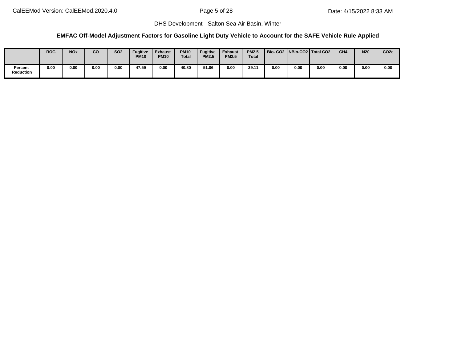## **EMFAC Off-Model Adjustment Factors for Gasoline Light Duty Vehicle to Account for the SAFE Vehicle Rule Applied**

|                      | <b>ROG</b> | <b>NOx</b> | CO   | <b>SO2</b> | <b>Fugitive</b><br><b>PM10</b> | Exhaust<br><b>PM10</b> | <b>PM10</b><br><b>Total</b> | <b>Fugitive</b><br><b>PM2.5</b> | <b>Exhaust</b><br><b>PM2.5</b> | <b>PM2.5</b><br>Total |      |      | Bio-CO2   NBio-CO2   Total CO2 | CH <sub>4</sub> | <b>N20</b> | CO <sub>2e</sub> |
|----------------------|------------|------------|------|------------|--------------------------------|------------------------|-----------------------------|---------------------------------|--------------------------------|-----------------------|------|------|--------------------------------|-----------------|------------|------------------|
| Percent<br>Reduction | 0.00       | 0.00       | 0.00 | 0.00       | 47.59                          | 0.00                   | 40.80                       | 51.06                           | 0.00                           | 39.11                 | 0.00 | 0.00 | 0.00                           | 0.00            | 0.00       | 0.00             |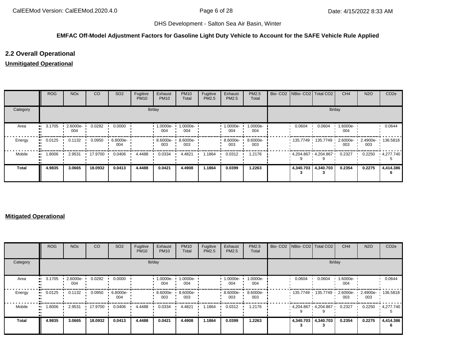#### **EMFAC Off-Model Adjustment Factors for Gasoline Light Duty Vehicle to Account for the SAFE Vehicle Rule Applied**

## **2.2 Overall Operational**

## **Unmitigated Operational**

|              | ROG    | <b>NO<sub>x</sub></b> | CO      | SO <sub>2</sub> | Fugitive<br><b>PM10</b> | Exhaust<br><b>PM10</b> | <b>PM10</b><br>Total | Fugitive<br>PM2.5 | Exhaust<br>PM2.5 | PM2.5<br>Total  |        | Bio- CO2   NBio- CO2   Total CO2 | CH <sub>4</sub> | <b>N2O</b> | CO <sub>2e</sub>  |
|--------------|--------|-----------------------|---------|-----------------|-------------------------|------------------------|----------------------|-------------------|------------------|-----------------|--------|----------------------------------|-----------------|------------|-------------------|
| Category     |        |                       |         |                 |                         | lb/day                 |                      |                   |                  |                 |        | lb/day                           |                 |            |                   |
| Area         | 3.1705 | 2.6000e-<br>004       | 0.0282  | 0.0000          |                         | 1.0000e-<br>004        | 1.0000e-<br>004      |                   | 1.0000e-<br>004  | 1.0000e-<br>004 | 0.0604 | 0.0604                           | 1.6000e-<br>004 |            | 0.0644            |
| Energy       | 0.0125 | 0.1132                | 0.0950  | 6.8000e-<br>004 |                         | 8.6000e-<br>003        | 8.6000e-<br>003      |                   | 8.6000e ·<br>003 | 8.6000e-<br>003 |        | $135.7749$ 135.7749 2.6000e ·    | 003             | 003        | 2.4900e- 136.5818 |
| Mobile       | 1.8006 | 2.9531                | 17.9700 | 0.0406          | 4.4488                  | 0.0334                 | 4.4821               | 1.1864            | 0.0312           | 1.2176          |        | $4.204.867 \cdot 4.204.867$      | 0.2327          | 0.2250     | $\cdot$ 4.277.740 |
| <b>Total</b> | 4.9835 | 3.0665                | 18.0932 | 0.0413          | 4.4488                  | 0.0421                 | 4.4908               | 1.1864            | 0.0399           | 1.2263          |        | 4,340.703 4,340.703              | 0.2354          | 0.2275     | 4,414.386<br>6    |

### **Mitigated Operational**

|              | <b>ROG</b> | <b>NO<sub>x</sub></b> | CO      | SO <sub>2</sub> | Fugitive<br><b>PM10</b> | Exhaust<br><b>PM10</b> | <b>PM10</b><br>Total | Fugitive<br><b>PM2.5</b> | Exhaust<br>PM2.5 | <b>PM2.5</b><br>Total |           | Bio- CO2   NBio- CO2   Total CO2 | CH <sub>4</sub> | <b>N2O</b> | CO <sub>2</sub> e |
|--------------|------------|-----------------------|---------|-----------------|-------------------------|------------------------|----------------------|--------------------------|------------------|-----------------------|-----------|----------------------------------|-----------------|------------|-------------------|
| Category     |            |                       |         |                 |                         | lb/day                 |                      |                          |                  |                       |           | lb/day                           |                 |            |                   |
| Area         | 3.1705     | $2.6000e -$<br>004    | 0.0282  | 0.0000          |                         | 1.0000e-<br>004        | 1.0000e-<br>004      |                          | 1.0000e-<br>004  | 1.0000e-<br>004       | 0.0604    | 0.0604                           | 1.6000e-<br>004 |            | 0.0644            |
| Energy       | 0.0125     | 0.1132                | 0.0950  | 6.8000e-<br>004 |                         | 8.6000e ·<br>003       | 8.6000e-<br>003      |                          | 8.6000e-<br>003  | 8.6000e-<br>003       |           | 135.7749 135.7749 1              | 2.6000e-<br>003 | 003        | 2.4900e- 136.5818 |
| Mobile       | 1.8006     | 2.9531                | 17.9700 | 0.0406          | 4.4488                  | 0.0334                 | 4.4821               | 1.1864                   | 0.0312           | 1.2176                |           | $4,204.867$ $4,204.867$          | 0.2327          | 0.2250     | 4,277.740         |
| <b>Total</b> | 4.9835     | 3.0665                | 18.0932 | 0.0413          | 4.4488                  | 0.0421                 | 4.4908               | 1.1864                   | 0.0399           | 1.2263                | 4,340.703 | 4,340.703                        | 0.2354          | 0.2275     | 4,414.386         |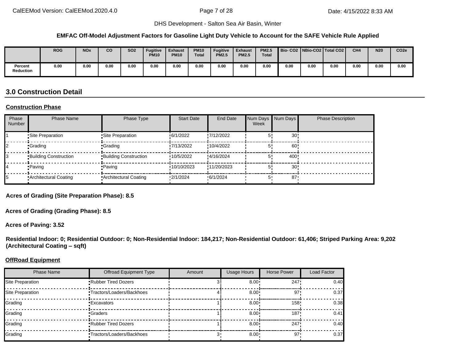#### **EMFAC Off-Model Adjustment Factors for Gasoline Light Duty Vehicle to Account for the SAFE Vehicle Rule Applied**

|                      | <b>ROG</b> | <b>NOx</b> | CO   | <b>SO2</b> | <b>Fugitive</b><br><b>PM10</b> | <b>Exhaust</b><br><b>PM10</b> | <b>PM10</b><br><b>Total</b> | <b>Fugitive</b><br><b>PM2.5</b> | <b>Exhaust</b><br><b>PM2.5</b> | <b>PM2.5</b><br><b>Total</b> |      |      | Bio-CO2   NBio-CO2   Total CO2 | CH <sub>4</sub> | <b>N20</b> | CO <sub>2e</sub> |
|----------------------|------------|------------|------|------------|--------------------------------|-------------------------------|-----------------------------|---------------------------------|--------------------------------|------------------------------|------|------|--------------------------------|-----------------|------------|------------------|
| Percent<br>Reduction | 0.00       | 0.00       | 0.00 | 0.00       | 0.00                           | 0.00                          | 0.00                        | 0.00                            | 0.00                           | 0.00                         | 0.00 | 0.00 | 0.00                           | 0.00            | 0.00       | 0.00             |

# **3.0 Construction Detail**

#### **Construction Phase**

| Phase<br>Number | <b>Phase Name</b>            | Phase Type                   | <b>Start Date</b> | End Date    | Num Days Num Days<br>Week |                 | <b>Phase Description</b> |
|-----------------|------------------------------|------------------------------|-------------------|-------------|---------------------------|-----------------|--------------------------|
|                 | Site Preparation             | Site Preparation             | 6/1/2022          | .7/12/2022  |                           | 30              |                          |
|                 | •Grading                     | •Grading                     | 17/13/2022        | :10/4/2022  |                           | 60              |                          |
|                 | <b>Building Construction</b> | <b>Building Construction</b> | 10/5/2022         | :4/16/2024  |                           | 400             |                          |
|                 | •Paving                      | •Paving                      | 10/10/2023        | !11/20/2023 |                           | 30 <sup>1</sup> |                          |
|                 | Architectural Coating        | Architectural Coating        | 2/1/2024          | 6/1/2024    | 5'                        | 87              |                          |

**Acres of Grading (Site Preparation Phase): 8.5**

**Acres of Grading (Grading Phase): 8.5**

**Acres of Paving: 3.52**

**Residential Indoor: 0; Residential Outdoor: 0; Non-Residential Indoor: 184,217; Non-Residential Outdoor: 61,406; Striped Parking Area: 9,202 (Architectural Coating – sqft)**

#### **OffRoad Equipment**

| <b>Phase Name</b> | <b>Offroad Equipment Type</b>     | Amount | <b>Usage Hours</b> | Horse Power | Load Factor |
|-------------------|-----------------------------------|--------|--------------------|-------------|-------------|
| Site Preparation  | <b>Rubber Tired Dozers</b>        |        | $8.00 \cdot$       | 247         | 0.40        |
| Site Preparation  | <b>•Tractors/Loaders/Backhoes</b> |        | $8.00 \cdot$       | 97'         | 0.37        |
| Grading           | <b>Excavators</b>                 |        | $8.00 \cdot$       | $158 -$     | 0.38        |
| Grading           | Graders                           |        | $8.00 \cdot$       | 187'        | 0.41        |
| Grading           | <b>Rubber Tired Dozers</b>        |        | $8.00 \cdot$       | 247         | 0.40        |
| Grading           | <b>Tractors/Loaders/Backhoes</b>  |        | $8.00 \cdot$       | $97 -$      | 0.37        |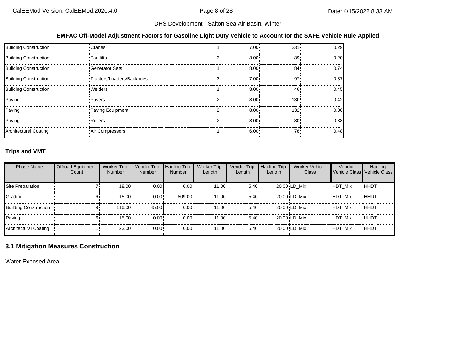#### **EMFAC Off-Model Adjustment Factors for Gasoline Light Duty Vehicle to Account for the SAFE Vehicle Rule Applied**

| <b>Building Construction</b> | •Cranes                          | $7.00 \cdot$ | $231 -$          | 0.29 |
|------------------------------|----------------------------------|--------------|------------------|------|
| <b>Building Construction</b> | • Forklifts                      | $8.00 \cdot$ | 89               | 0.20 |
| <b>Building Construction</b> | <b>Generator Sets</b>            | $8.00 \cdot$ | 84 <sup>1</sup>  | 0.74 |
| <b>Building Construction</b> | <b>Tractors/Loaders/Backhoes</b> | $7.00 \cdot$ | 97               | 0.37 |
| Building Construction        | · Welders                        | $8.00 \div$  | 46'              | 0.45 |
| Paving                       | • Pavers                         | $8.00 \cdot$ | 130 <sup>1</sup> | 0.42 |
| Paving                       | Paving Equipment                 | $8.00 \cdot$ | 132!             | 0.36 |
| Paving                       | • Rollers                        | $8.00 \cdot$ | 80 <sup>1</sup>  | 0.38 |
| <b>Architectural Coating</b> | Air Compressors                  | $6.00 \cdot$ | 78.              | 0.48 |

## **Trips and VMT**

| <b>Phase Name</b>            | <b>Offroad Equipment</b><br>Count | <b>Worker Trip</b><br><b>Number</b> | Vendor Trip<br><b>Number</b> | <b>Hauling Trip</b><br><b>Number</b> | <b>Worker Trip</b><br>Length | Vendor Trip<br>Length | <b>Hauling Trip</b><br>Length | <b>Worker Vehicle</b><br>Class | Vendor         | Hauling<br>Vehicle Class Vehicle Class |
|------------------------------|-----------------------------------|-------------------------------------|------------------------------|--------------------------------------|------------------------------|-----------------------|-------------------------------|--------------------------------|----------------|----------------------------------------|
| Site Preparation             |                                   | 18.00                               | 0.00                         | $0.00 -$                             | 11.00i                       | 5.40:                 |                               | 20.00 LD Mix                   | <b>HDT Mix</b> | !HHDT                                  |
| Grading                      |                                   | $15.00 \cdot$                       | 0.00!                        | 809.00                               | 11.00i                       | 5.40:                 |                               | $20.00 \cdot LD$ Mix           | <b>HDT Mix</b> | !HHDT                                  |
| <b>Building Construction</b> |                                   | $116.00 \cdot$                      | 45.00!                       | $0.00 \cdot$                         | 11.00i                       | 5.40                  |                               | $20.00 \cdot LD$ Mix           | <b>HDT Mix</b> | !HHDT                                  |
| Paving                       |                                   | $15.00 \cdot$                       | 0.00!                        | $0.00 \cdot$                         | 11.00i                       | 5.40:                 |                               | $20.00 \cdot LD$ Mix           | <b>HDT Mix</b> | !HHDT                                  |
| Architectural Coating        |                                   | 23.00                               | 0.00                         | 0.00 <sub>1</sub>                    | 11.00                        | 5.40                  |                               | 20.00 LD Mix                   | <b>HDT Mix</b> | <b>HHDT</b>                            |

## **3.1 Mitigation Measures Construction**

Water Exposed Area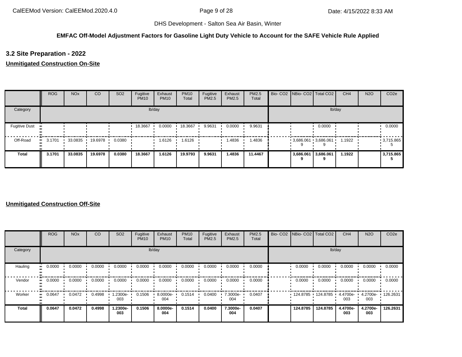## **EMFAC Off-Model Adjustment Factors for Gasoline Light Duty Vehicle to Account for the SAFE Vehicle Rule Applied**

## **3.2 Site Preparation - 2022**

## **Unmitigated Construction On-Site**

|                      | <b>ROG</b> | <b>NO<sub>x</sub></b> | CO              | SO <sub>2</sub> | Fugitive<br><b>PM10</b> | Exhaust<br><b>PM10</b> | <b>PM10</b><br>Total | Fugitive<br>PM2.5 | Exhaust<br><b>PM2.5</b> | <b>PM2.5</b><br>Total |           | Bio- CO2   NBio- CO2   Total CO2 | CH <sub>4</sub> | <b>N2O</b> | CO <sub>2e</sub> |
|----------------------|------------|-----------------------|-----------------|-----------------|-------------------------|------------------------|----------------------|-------------------|-------------------------|-----------------------|-----------|----------------------------------|-----------------|------------|------------------|
| Category             |            |                       |                 |                 |                         | lb/day                 |                      |                   |                         |                       |           | lb/day                           |                 |            |                  |
| <b>Fugitive Dust</b> |            |                       |                 |                 | 18.3667                 | 0.0000                 | 18.3667              | 9.9631            | 0.0000                  | 9.9631                |           | 0.0000                           |                 |            | 0.0000           |
| Off-Road             | 3.1701     |                       | 33.0835 19.6978 | 0.0380          |                         | 1.6126                 | 1.6126               |                   | 1.4836                  | 1.4836                |           | $3,686.061$ 3,686.061            | 1.1922          |            | $-3,715.865$     |
| <b>Total</b>         | 3.1701     | 33.0835               | 19.6978         | 0.0380          | 18.3667                 | 1.6126                 | 19.9793              | 9.9631            | 1.4836                  | 11.4467               | 3,686.061 | 3,686.061                        | 1.1922          |            | 3,715.865        |

|              | <b>ROG</b> | <b>NO<sub>x</sub></b> | CO     | SO <sub>2</sub> | Fugitive<br><b>PM10</b> | Exhaust<br><b>PM10</b> | <b>PM10</b><br>Total | Fugitive<br><b>PM2.5</b> | Exhaust<br>PM2.5 | PM2.5<br>Total | Bio- CO2   NBio- CO2   Total CO2 |          | CH <sub>4</sub> | <b>N2O</b>      | CO <sub>2e</sub> |
|--------------|------------|-----------------------|--------|-----------------|-------------------------|------------------------|----------------------|--------------------------|------------------|----------------|----------------------------------|----------|-----------------|-----------------|------------------|
| Category     |            |                       |        |                 |                         | lb/day                 |                      |                          |                  |                |                                  | lb/day   |                 |                 |                  |
| Hauling      | 0.0000     | 0.0000                | 0.0000 | 0.0000          | 0.0000                  | 0.0000                 | 0.0000               | 0.0000                   | 0.0000           | 0.0000         | 0.0000                           | 0.0000   | 0.0000          | 0.0000          | 0.0000           |
| Vendor       | 0.0000     | 0.0000                | 0.0000 | 0.0000          | 0.0000                  | 0.0000                 | 0.0000               | 0.0000                   | 0.0000           | 0.0000         | 0.0000                           | 0.0000   | 0.0000          | 0.0000          | 0.0000           |
| Worker       | 0.0647     | 0.0472                | 0.4998 | 1.2300e-<br>003 | 0.1506                  | 8.0000e-<br>004        | 0.1514               | 0.0400                   | 7.3000e-<br>004  | 0.0407         | 124.8785                         | 124.8785 | 4.4700e-<br>003 | 4.2700e-<br>003 | 126.2631         |
| <b>Total</b> | 0.0647     | 0.0472                | 0.4998 | 1.2300e-<br>003 | 0.1506                  | 8.0000e-<br>004        | 0.1514               | 0.0400                   | 7.3000e-<br>004  | 0.0407         | 124.8785                         | 124.8785 | 4.4700e-<br>003 | 4.2700e-<br>003 | 126.2631         |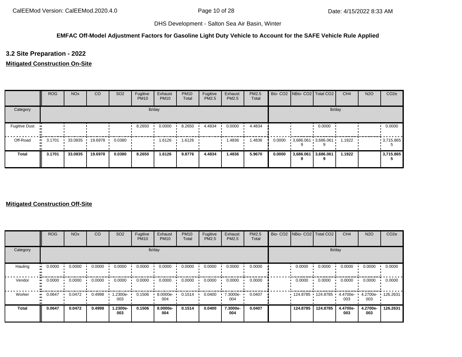## **EMFAC Off-Model Adjustment Factors for Gasoline Light Duty Vehicle to Account for the SAFE Vehicle Rule Applied**

**3.2 Site Preparation - 2022**

## **Mitigated Construction On-Site**

|                      | <b>ROG</b> | <b>NO<sub>x</sub></b> | CO      | SO <sub>2</sub> | Fugitive<br><b>PM10</b> | Exhaust<br><b>PM10</b> | <b>PM10</b><br>Total | Fugitive<br>PM2.5 | Exhaust<br>PM2.5 | PM2.5<br>Total |        |                     | Bio- CO2   NBio- CO2   Total CO2 | CH <sub>4</sub> | <b>N2O</b> | CO <sub>2e</sub> |
|----------------------|------------|-----------------------|---------|-----------------|-------------------------|------------------------|----------------------|-------------------|------------------|----------------|--------|---------------------|----------------------------------|-----------------|------------|------------------|
| Category             |            |                       |         |                 |                         | lb/day                 |                      |                   |                  |                |        |                     |                                  | lb/day          |            |                  |
| <b>Fugitive Dust</b> |            |                       |         |                 | 8.2650                  | 0.0000                 | 8.2650               | 4.4834            | 0.0000           | 4.4834         |        |                     | 0.0000                           |                 |            | 0.0000           |
| Off-Road             | 3.1701     | 33.0835               | 19.6978 | 0.0380          |                         | 1.6126                 | 1.6126               |                   | 1.4836           | 1.4836         | 0.0000 |                     | $3,686.061$ $3,686.061$          | 1.1922          |            | $-3,715.865$     |
| <b>Total</b>         | 3.1701     | 33.0835               | 19.6978 | 0.0380          | 8.2650                  | 1.6126                 | 9.8776               | 4.4834            | 1.4836           | 5.9670         | 0.0000 | 3,686.061 3,686.061 |                                  | 1.1922          |            | 3,715.865        |

|              | <b>ROG</b> | <b>NO<sub>x</sub></b> | <sub>CO</sub> | SO <sub>2</sub> | Fugitive<br><b>PM10</b> | Exhaust<br><b>PM10</b> | <b>PM10</b><br>Total | Fugitive<br><b>PM2.5</b> | Exhaust<br>PM2.5 | <b>PM2.5</b><br>Total | Bio- CO2   NBio- CO2   Total CO2 |          | CH <sub>4</sub> | <b>N2O</b>      | CO <sub>2e</sub> |
|--------------|------------|-----------------------|---------------|-----------------|-------------------------|------------------------|----------------------|--------------------------|------------------|-----------------------|----------------------------------|----------|-----------------|-----------------|------------------|
| Category     |            |                       |               |                 |                         | lb/day                 |                      |                          |                  |                       |                                  | lb/day   |                 |                 |                  |
| Hauling      | 0.0000     | 0.0000                | 0.0000        | 0.0000          | 0.0000                  | 0.0000                 | 0.0000               | 0.0000                   | 0.0000           | 0.0000                | 0.0000                           | 0.0000   | 0.0000          | 0.0000          | 0.0000           |
| Vendor       | 0.0000     | 0.0000                | 0.0000        | 0.0000          | 0.0000                  | 0.0000                 | 0.0000               | 0.0000                   | 0.0000           | 0.0000                | 0.0000                           | 0.0000   | 0.0000          | 0.0000          | 0.0000           |
| Worker       | 0.0647     | 0.0472                | 0.4998        | 1.2300e-<br>003 | 0.1506                  | 8.0000e-<br>004        | 0.1514               | 0.0400                   | 7.3000e-<br>004  | 0.0407                | 124.8785                         | 124.8785 | 4.4700e-<br>003 | 4.2700e-<br>003 | 126.2631         |
| <b>Total</b> | 0.0647     | 0.0472                | 0.4998        | 1.2300e-<br>003 | 0.1506                  | 8.0000e-<br>004        | 0.1514               | 0.0400                   | 7.3000e-<br>004  | 0.0407                | 124.8785                         | 124.8785 | 4.4700e-<br>003 | 4.2700e-<br>003 | 126.2631         |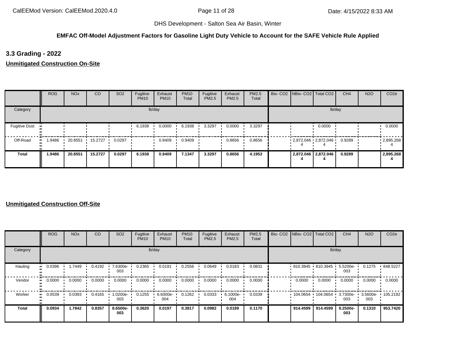#### **EMFAC Off-Model Adjustment Factors for Gasoline Light Duty Vehicle to Account for the SAFE Vehicle Rule Applied**

**3.3 Grading - 2022**

**Unmitigated Construction On-Site**

|                      | <b>ROG</b>    | <b>NO<sub>x</sub></b> | <sub>CO</sub> | SO <sub>2</sub> | Fugitive<br><b>PM10</b> | Exhaust<br><b>PM10</b> | <b>PM10</b><br>Total | Fugitive<br>PM2.5 | Exhaust<br><b>PM2.5</b> | PM2.5<br>Total | Bio- CO2   NBio- CO2   Total CO2 |                     | CH4    | <b>N2O</b> | CO <sub>2e</sub>  |
|----------------------|---------------|-----------------------|---------------|-----------------|-------------------------|------------------------|----------------------|-------------------|-------------------------|----------------|----------------------------------|---------------------|--------|------------|-------------------|
| Category             |               |                       |               |                 |                         | lb/day                 |                      |                   |                         |                |                                  | lb/day              |        |            |                   |
| <b>Fugitive Dust</b> |               |                       |               |                 | 6.1938                  | 0.0000                 | 6.1938               | 3.3297            | 0.0000                  | 3.3297         |                                  | 0.0000              |        |            | 0.0000            |
| Off-Road             | 1.9486<br>. . | 20.8551               | 15.2727       | 0.0297          |                         | 0.9409                 | 0.9409               |                   | 0.8656                  | 0.8656         | $2,872.046$ $2,872.046$          |                     | 0.9289 |            | $\cdot$ 2,895.268 |
| Total                | 1.9486        | 20.8551               | 15.2727       | 0.0297          | 6.1938                  | 0.9409                 | 7.1347               | 3.3297            | 0.8656                  | 4.1953         |                                  | 2,872.046 2,872.046 | 0.9289 |            | 2,895.268         |

|              | <b>ROG</b>            | <b>NO<sub>x</sub></b> | CO     | SO <sub>2</sub> | Fugitive<br><b>PM10</b> | Exhaust<br><b>PM10</b> | <b>PM10</b><br>Total | Fugitive<br><b>PM2.5</b> | Exhaust<br>PM2.5 | PM2.5<br>Total |          | Bio- CO2 NBio- CO2 Total CO2 | CH <sub>4</sub>    | <b>N2O</b>      | CO <sub>2e</sub> |
|--------------|-----------------------|-----------------------|--------|-----------------|-------------------------|------------------------|----------------------|--------------------------|------------------|----------------|----------|------------------------------|--------------------|-----------------|------------------|
| Category     |                       |                       |        |                 |                         | lb/day                 |                      |                          |                  |                |          | lb/day                       |                    |                 |                  |
| Hauling      | 0.0396<br>            | 1.7449                | 0.4192 | 7.6300e-<br>003 | 0.2365                  | 0.0191                 | 0.2556               | 0.0649                   | 0.0183           | 0.0831         |          | $810.3945$ 810.3945          | $5.5200e -$<br>003 | 0.1275          | .848.5227        |
| Vendor       | $\blacksquare$ 0.0000 | 0.0000                | 0.0000 | 0.0000          | 0.0000                  | 0.0000                 | 0.0000               | 0.0000                   | 0.0000           | 0.0000         | 0.0000   | 0.0000                       | 0.0000             | 0.0000          | 0.0000           |
| Worker       | 0.0539<br>            | 0.0393                | 0.4165 | -0200e.<br>003  | 0.1255                  | 6.6000e-<br>004        | 0.1262               | 0.0333                   | 6.1000e-<br>004  | 0.0339         | 104.0654 | 104.0654                     | 3.7300e-<br>003    | 3.5600e-<br>003 | $\cdot$ 105.2192 |
| <b>Total</b> | 0.0934                | 1.7842                | 0.8357 | 8.6500e-<br>003 | 0.3620                  | 0.0197                 | 0.3817               | 0.0982                   | 0.0189           | 0.1170         | 914.4599 | 914.4599                     | 9.2500e-<br>003    | 0.1310          | 953.7420         |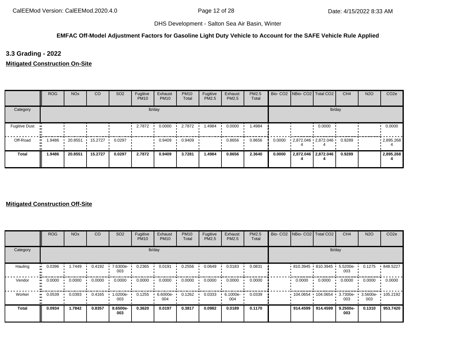#### **EMFAC Off-Model Adjustment Factors for Gasoline Light Duty Vehicle to Account for the SAFE Vehicle Rule Applied**

**3.3 Grading - 2022**

**Mitigated Construction On-Site**

|                      | <b>ROG</b> | <b>NO<sub>x</sub></b> | CO      | SO <sub>2</sub> | Fugitive<br><b>PM10</b> | Exhaust<br><b>PM10</b> | <b>PM10</b><br>Total | Fugitive<br>PM2.5 | Exhaust<br>PM2.5 | PM2.5<br>Total |        | Bio- CO2 NBio- CO2 Total CO2 |                     | CH <sub>4</sub> | <b>N2O</b> | CO <sub>2e</sub> |
|----------------------|------------|-----------------------|---------|-----------------|-------------------------|------------------------|----------------------|-------------------|------------------|----------------|--------|------------------------------|---------------------|-----------------|------------|------------------|
| Category             |            |                       |         |                 |                         | lb/day                 |                      |                   |                  |                |        |                              | lb/day              |                 |            |                  |
| <b>Fugitive Dust</b> |            |                       |         |                 | 2.7872                  | 0.0000                 | 2.7872               | 1.4984            | 0.0000           | 1.4984         |        |                              | 0.0000              |                 |            | 0.0000           |
| Off-Road             | .9486      | 20.8551               | 15.2727 | 0.0297          |                         | 0.9409                 | 0.9409               |                   | 0.8656           | 0.8656         | 0.0000 | 2,872.046 2,872.046          |                     | 0.9289          |            | .2895.268        |
| <b>Total</b>         | 1.9486     | 20.8551               | 15.2727 | 0.0297          | 2.7872                  | 0.9409                 | 3.7281               | 1.4984            | 0.8656           | 2.3640         | 0.0000 |                              | 2,872.046 2,872.046 | 0.9289          |            | 2,895.268        |

|              | ROG    | <b>NO<sub>x</sub></b> | <sub>CO</sub> | SO <sub>2</sub> | Fugitive<br><b>PM10</b> | Exhaust<br><b>PM10</b> | <b>PM10</b><br>Total | Fugitive<br>PM2.5 | Exhaust<br>PM2.5 | <b>PM2.5</b><br>Total |          | Bio- CO2   NBio- CO2   Total CO2 | CH <sub>4</sub>    | <b>N2O</b>      | CO <sub>2e</sub> |
|--------------|--------|-----------------------|---------------|-----------------|-------------------------|------------------------|----------------------|-------------------|------------------|-----------------------|----------|----------------------------------|--------------------|-----------------|------------------|
| Category     |        |                       |               |                 |                         | lb/day                 |                      |                   |                  |                       |          | lb/day                           |                    |                 |                  |
| Hauling      | 0.0396 | 1.7449                | 0.4192        | 7.6300e-<br>003 | 0.2365                  | 0.0191                 | 0.2556               | 0.0649            | 0.0183           | 0.0831                |          | $810.3945$ 810.3945              | $5.5200e -$<br>003 | 0.1275          | .848.5227        |
| Vendor       | 0.0000 | 0.0000                | 0.0000        | 0.0000          | 0.0000                  | 0.0000                 | 0.0000               | 0.0000            | 0.0000           | 0.0000                | 0.0000   | 0.0000                           | 0.0000             | 0.0000          | 0.0000           |
| Worker       | 0.0539 | 0.0393                | 0.4165        | 1.0200e-<br>003 | 0.1255                  | 6.6000e-<br>004        | 0.1262               | 0.0333            | 6.1000e-<br>004  | 0.0339                | 104.0654 | 104.0654                         | 3.7300e-<br>003    | 3.5600e-<br>003 | $+105.2192$      |
| <b>Total</b> | 0.0934 | 1.7842                | 0.8357        | 8.6500e-<br>003 | 0.3620                  | 0.0197                 | 0.3817               | 0.0982            | 0.0189           | 0.1170                | 914.4599 | 914.4599                         | 9.2500e-<br>003    | 0.1310          | 953.7420         |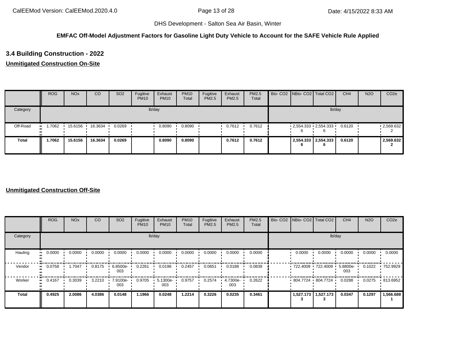#### **EMFAC Off-Model Adjustment Factors for Gasoline Light Duty Vehicle to Account for the SAFE Vehicle Rule Applied**

# **3.4 Building Construction - 2022**

## **Unmitigated Construction On-Site**

|              | <b>ROG</b> | <b>NO<sub>x</sub></b> | CO      | SO <sub>2</sub> | Fugitive<br><b>PM10</b> | Exhaust<br><b>PM10</b> | <b>PM10</b><br>Total | Fugitive<br>PM2.5 | Exhaust<br><b>PM2.5</b> | <b>PM2.5</b><br>Total |   | Bio- CO2 NBio- CO2 Total CO2 | CH <sub>4</sub> | <b>N2O</b> | CO <sub>2e</sub> |
|--------------|------------|-----------------------|---------|-----------------|-------------------------|------------------------|----------------------|-------------------|-------------------------|-----------------------|---|------------------------------|-----------------|------------|------------------|
| Category     |            |                       |         |                 |                         | lb/day                 |                      |                   |                         |                       |   | lb/day                       |                 |            |                  |
| Off-Road     | .7062<br>  | 15.6156               | 16.3634 | 0.0269          |                         | 0.8090                 | 0.8090               |                   | 0.7612                  | 0.7612                | h | $-2,554.333 - 2,554.333$     | 0.6120          |            | .2,569.632       |
| <b>Total</b> | 1.7062     | 15.6156               | 16.3634 | 0.0269          |                         | 0.8090                 | 0.8090               |                   | 0.7612                  | 0.7612                | O | 2,554.333 2,554.333          | 0.6120          |            | 2,569.632        |

|              | <b>ROG</b>          | <b>NO<sub>x</sub></b> | CO     | SO <sub>2</sub> | Fugitive<br><b>PM10</b> | Exhaust<br><b>PM10</b> | <b>PM10</b><br>Total | Fugitive<br>PM2.5 | Exhaust<br>PM2.5 | PM2.5<br>Total | Bio- CO2 NBio- CO2 Total CO2 |                       | CH <sub>4</sub> | <b>N2O</b> | CO <sub>2e</sub> |
|--------------|---------------------|-----------------------|--------|-----------------|-------------------------|------------------------|----------------------|-------------------|------------------|----------------|------------------------------|-----------------------|-----------------|------------|------------------|
| Category     |                     |                       |        |                 |                         | lb/day                 |                      |                   |                  |                |                              | lb/day                |                 |            |                  |
| Hauling      | 0.0000<br>ш.        | 0.0000                | 0.0000 | 0.0000          | 0.0000                  | 0.0000                 | 0.0000               | 0.0000            | 0.0000           | 0.0000         | 0.0000                       | 0.0000                | 0.0000          | 0.0000     | 0.0000           |
| Vendor       | 0.0758<br>$\bullet$ | 1.7047                | 0.8175 | 6.8500e-<br>003 | 0.2261                  | 0.0196                 | 0.2457               | 0.0651            | 0.0188           | 0.0839         | $-722.4009 - 722.4009$       |                       | 5.8800e-<br>003 | 0.1022     | ■ 752.9929       |
| Worker       | 0.4167<br>$\bullet$ | 0.3039                | 3.2210 | 7.9100e-<br>003 | 0.9705                  | 5.1300e-<br>003        | 0.9757               | 0.2574            | 4.7300e-<br>003  | 0.2622         | 804.7724 804.7724            |                       | 0.0288          | 0.0275     | .813.6952        |
| <b>Total</b> | 0.4925              | 2.0086                | 4.0386 | 0.0148          | 1.1966                  | 0.0248                 | 1.2214               | 0.3226            | 0.0235           | 0.3461         |                              | 1,527.173   1,527.173 | 0.0347          | 0.1297     | 1,566.688        |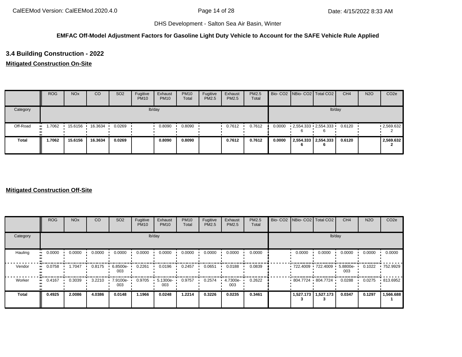#### **EMFAC Off-Model Adjustment Factors for Gasoline Light Duty Vehicle to Account for the SAFE Vehicle Rule Applied**

# **3.4 Building Construction - 2022**

### **Mitigated Construction On-Site**

|              | <b>ROG</b>    | <b>NO<sub>x</sub></b> | <sub>co</sub> | <b>SO2</b> | Fugitive<br><b>PM10</b> | Exhaust<br><b>PM10</b> | <b>PM10</b><br>Total | Fugitive<br>PM2.5 | Exhaust<br><b>PM2.5</b> | PM2.5<br>Total |        |                       | Bio- CO2 NBio- CO2 Total CO2 | CH <sub>4</sub> | <b>N2O</b> | CO <sub>2</sub> e |
|--------------|---------------|-----------------------|---------------|------------|-------------------------|------------------------|----------------------|-------------------|-------------------------|----------------|--------|-----------------------|------------------------------|-----------------|------------|-------------------|
| Category     |               |                       |               |            |                         | lb/day                 |                      |                   |                         |                |        |                       | lb/day                       |                 |            |                   |
| Off-Road     | 1.7062<br>. . | 15.6156 ·             | 16.3634       | 0.0269     |                         | 0.8090                 | 0.8090               |                   | 0.7612                  | 0.7612         | 0.0000 |                       | $2,554.333$ $2,554.333$      | 0.6120          |            | .2,569.632        |
| <b>Total</b> | 1.7062        | 15.6156               | 16.3634       | 0.0269     |                         | 0.8090                 | 0.8090               |                   | 0.7612                  | 0.7612         | 0.0000 | 2,554.333   2,554.333 | 6                            | 0.6120          |            | 2,569.632         |

|                            | <b>ROG</b>                 | <b>NO<sub>x</sub></b> | CO     | SO <sub>2</sub> | Fugitive<br><b>PM10</b> | Exhaust<br><b>PM10</b> | <b>PM10</b><br>Total | Fugitive<br>PM2.5 | Exhaust<br>PM2.5 | PM2.5<br>Total | Bio- CO2 NBio- CO2 Total CO2 |                       | CH <sub>4</sub> | <b>N2O</b> | CO <sub>2e</sub> |
|----------------------------|----------------------------|-----------------------|--------|-----------------|-------------------------|------------------------|----------------------|-------------------|------------------|----------------|------------------------------|-----------------------|-----------------|------------|------------------|
| Category                   |                            |                       |        |                 |                         | lb/day                 |                      |                   |                  |                |                              | lb/day                |                 |            |                  |
| Hauling                    | 0.0000<br>$\bullet\bullet$ | 0.0000                | 0.0000 | 0.0000          | 0.0000                  | 0.0000                 | 0.0000               | 0.0000            | 0.0000           | 0.0000         | 0.0000                       | 0.0000                | 0.0000          | 0.0000     | 0.0000           |
| Vendor                     | 0.0758<br>$\bullet\bullet$ | 1.7047                | 0.8175 | 6.8500e-<br>003 | 0.2261                  | 0.0196                 | 0.2457               | 0.0651            | 0.0188           | 0.0839         | 722.4009 722.4009 5.8800e-   |                       | 003             | 0.1022     | .752.9929        |
| Worker<br>$\bullet\bullet$ | 0.4167                     | 0.3039                | 3.2210 | 7.9100e-<br>003 | 0.9705                  | 5.1300e-<br>003        | 0.9757               | 0.2574            | 4.7300e-<br>003  | 0.2622         | $.804.7724 \cdot 804.7724$   |                       | 0.0288          | 0.0275     | .813.6952        |
| <b>Total</b>               | 0.4925                     | 2.0086                | 4.0386 | 0.0148          | 1.1966                  | 0.0248                 | 1.2214               | 0.3226            | 0.0235           | 0.3461         |                              | 1,527.173   1,527.173 | 0.0347          | 0.1297     | 1,566.688        |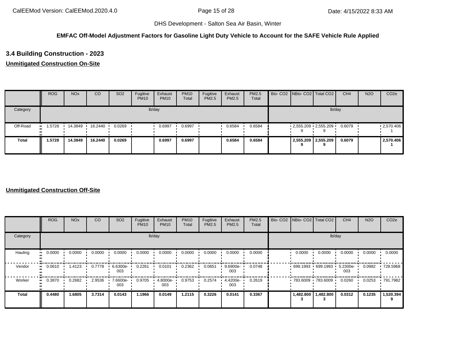#### **EMFAC Off-Model Adjustment Factors for Gasoline Light Duty Vehicle to Account for the SAFE Vehicle Rule Applied**

# **3.4 Building Construction - 2023**

## **Unmitigated Construction On-Site**

|              | <b>ROG</b> | <b>NO<sub>x</sub></b> | CO      | SO <sub>2</sub> | Fugitive<br><b>PM10</b> | Exhaust<br><b>PM10</b> | <b>PM10</b><br>Total | Fugitive<br>PM2.5 | Exhaust<br><b>PM2.5</b> | <b>PM2.5</b><br>Total |  | Bio- CO2 NBio- CO2 Total CO2       | CH <sub>4</sub> | <b>N2O</b> | CO <sub>2e</sub>  |
|--------------|------------|-----------------------|---------|-----------------|-------------------------|------------------------|----------------------|-------------------|-------------------------|-----------------------|--|------------------------------------|-----------------|------------|-------------------|
| Category     |            |                       |         |                 |                         | lb/day                 |                      |                   |                         |                       |  | lb/day                             |                 |            |                   |
| Off-Road     | .5728      | 14.3849               | 16.2440 | 0.0269          |                         | 0.6997                 | 0.6997               |                   | 0.6584                  | 0.6584                |  | $2,555.209$ $2,555.209$            | 0.6079          |            | $\cdot$ 2,570.406 |
| <b>Total</b> | 1.5728     | 14.3849               | 16.2440 | 0.0269          |                         | 0.6997                 | 0.6997               |                   | 0.6584                  | 0.6584                |  | 2,555.209 2,555.209<br>$\mathbf o$ | 0.6079          |            | 2,570.406         |

|                           | <b>ROG</b> | <b>NO<sub>x</sub></b> | CO     | SO <sub>2</sub> | Fugitive<br><b>PM10</b> | Exhaust<br><b>PM10</b> | <b>PM10</b><br>Total | Fugitive<br>PM2.5 | Exhaust<br><b>PM2.5</b> | PM2.5<br>Total | Bio- CO2   NBio- CO2   Total CO2 |           | CH <sub>4</sub> | <b>N2O</b> | CO <sub>2e</sub> |
|---------------------------|------------|-----------------------|--------|-----------------|-------------------------|------------------------|----------------------|-------------------|-------------------------|----------------|----------------------------------|-----------|-----------------|------------|------------------|
| Category                  |            |                       |        |                 | lb/day                  |                        |                      |                   |                         |                |                                  | lb/day    |                 |            |                  |
| Hauling<br>$\blacksquare$ | 0.0000     | 0.0000                | 0.0000 | 0.0000          | 0.0000                  | 0.0000                 | 0.0000               | 0.0000            | 0.0000                  | 0.0000         | 0.0000                           | 0.0000    | 0.0000          | 0.0000     | 0.0000           |
| Vendor<br>ш.              | 0.0610     | 1.4123                | 0.7778 | 6.6300e-<br>003 | 0.2261                  | 0.0101                 | 0.2362               | 0.0651            | 9.6900e-<br>003         | 0.0748         | $699.1993 \t699.1993$            |           | 5.2300e-<br>003 | 0.0982     | ■ 728.5968       |
| Worker<br>$\bullet$       | 0.3870     | 0.2682                | 2.9536 | 7.6600e-<br>003 | 0.9705                  | 4.8000e-<br>003        | 0.9753               | 0.2574            | 4.4200e-<br>003         | 0.2619         | 783.6009 783.6009                |           | 0.0260          | 0.0253     | .791.7982        |
| <b>Total</b>              | 0.4480     | 1.6805                | 3.7314 | 0.0143          | 1.1966                  | 0.0149                 | 1.2115               | 0.3226            | 0.0141                  | 0.3367         | 1,482.800                        | 1,482.800 | 0.0312          | 0.1235     | 1,520.394        |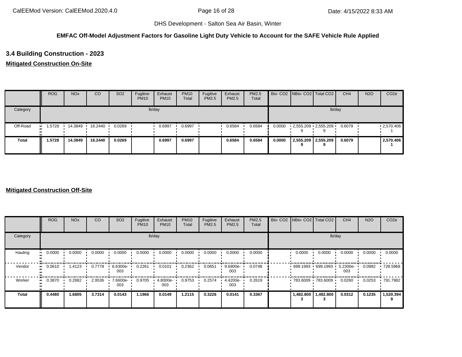#### **EMFAC Off-Model Adjustment Factors for Gasoline Light Duty Vehicle to Account for the SAFE Vehicle Rule Applied**

# **3.4 Building Construction - 2023**

### **Mitigated Construction On-Site**

|              | <b>ROG</b> | <b>NO<sub>x</sub></b> | CO      | SO <sub>2</sub> | Fugitive<br><b>PM10</b> | Exhaust<br><b>PM10</b> | <b>PM10</b><br>Total | Fugitive<br>PM2.5 | Exhaust<br><b>PM2.5</b> | <b>PM2.5</b><br>Total |        |                     | Bio- CO2 NBio- CO2 Total CO2 | CH <sub>4</sub> | <b>N2O</b> | CO <sub>2e</sub> |
|--------------|------------|-----------------------|---------|-----------------|-------------------------|------------------------|----------------------|-------------------|-------------------------|-----------------------|--------|---------------------|------------------------------|-----------------|------------|------------------|
| Category     |            |                       |         |                 |                         | lb/day                 |                      |                   |                         |                       |        |                     | lb/day                       |                 |            |                  |
| Off-Road     | 1.5728<br> | 14.3849               | 16.2440 | 0.0269          |                         | 0.6997                 | 0.6997               |                   | 0.6584                  | 0.6584                | 0.0000 |                     | 2,555.209 2,555.209          | 0.6079          |            | .2,570.406       |
| <b>Total</b> | 1.5728     | 14.3849               | 16.2440 | 0.0269          |                         | 0.6997                 | 0.6997               |                   | 0.6584                  | 0.6584                | 0.0000 | 2,555.209 2,555.209 |                              | 0.6079          |            | 2,570.406        |

|                     | <b>ROG</b>                 | <b>NO<sub>x</sub></b> | CO     | SO <sub>2</sub> | Fugitive<br><b>PM10</b> | Exhaust<br><b>PM10</b> | <b>PM10</b><br>Total | Fugitive<br>PM2.5 | Exhaust<br>PM2.5 | PM2.5<br>Total | Bio- CO2 NBio- CO2 Total CO2 |           | CH <sub>4</sub> | <b>N2O</b> | CO <sub>2e</sub> |
|---------------------|----------------------------|-----------------------|--------|-----------------|-------------------------|------------------------|----------------------|-------------------|------------------|----------------|------------------------------|-----------|-----------------|------------|------------------|
| Category            |                            |                       |        |                 |                         | lb/day                 |                      |                   |                  |                |                              | lb/day    |                 |            |                  |
| Hauling             | 0.0000<br>$\bullet\bullet$ | 0.0000                | 0.0000 | 0.0000          | 0.0000                  | 0.0000                 | 0.0000               | 0.0000            | 0.0000           | 0.0000         | 0.0000                       | 0.0000    | 0.0000          | 0.0000     | 0.0000           |
| Vendor<br>$\bullet$ | 0.0610                     | 1.4123                | 0.7778 | 6.6300e-<br>003 | 0.2261                  | 0.0101                 | 0.2362               | 0.0651            | 9.6900e-<br>003  | 0.0748         | $-699.1993 - 699.1993$       |           | 5.2300e-<br>003 | 0.0982     | ■ 728.5968       |
| Worker<br>$\bullet$ | 0.3870                     | 0.2682                | 2.9536 | 7.6600e-<br>003 | 0.9705                  | 4.8000e-<br>003        | 0.9753               | 0.2574            | 4.4200e-<br>003  | 0.2619         | 783.6009 783.6009 '          |           | 0.0260          | 0.0253     | .791.7982        |
| <b>Total</b>        | 0.4480                     | 1.6805                | 3.7314 | 0.0143          | 1.1966                  | 0.0149                 | 1.2115               | 0.3226            | 0.0141           | 0.3367         | 1,482.800                    | 1,482.800 | 0.0312          | 0.1235     | 1,520.394        |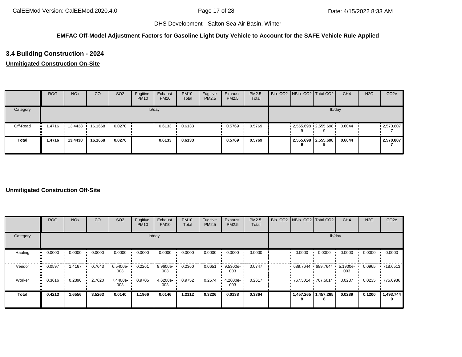#### **EMFAC Off-Model Adjustment Factors for Gasoline Light Duty Vehicle to Account for the SAFE Vehicle Rule Applied**

# **3.4 Building Construction - 2024**

### **Unmitigated Construction On-Site**

|              | <b>ROG</b>    | <b>NO<sub>x</sub></b> | CO      | SO <sub>2</sub> | Fugitive<br><b>PM10</b> | Exhaust<br><b>PM10</b> | <b>PM10</b><br>Total | Fugitive<br>PM2.5 | Exhaust<br><b>PM2.5</b> | <b>PM2.5</b><br>Total |  | Bio- CO2 NBio- CO2 Total CO2       | CH <sub>4</sub> | <b>N2O</b> | CO <sub>2e</sub>  |
|--------------|---------------|-----------------------|---------|-----------------|-------------------------|------------------------|----------------------|-------------------|-------------------------|-----------------------|--|------------------------------------|-----------------|------------|-------------------|
| Category     |               |                       |         |                 |                         | lb/day                 |                      |                   |                         |                       |  | lb/day                             |                 |            |                   |
| Off-Road     | 1.4716<br>. . | 13.4438               | 16.1668 | 0.0270          |                         | 0.6133                 | 0.6133               |                   | 0.5769                  | 0.5769                |  | $2,555.698$ $2,555.698$            | 0.6044          |            | $\cdot$ 2,570.807 |
| <b>Total</b> | 1.4716        | 13.4438               | 16.1668 | 0.0270          |                         | 0.6133                 | 0.6133               |                   | 0.5769                  | 0.5769                |  | 2,555.698 2,555.698<br>$\mathbf o$ | 0.6044          |            | 2,570.807         |

|                     | <b>ROG</b> | <b>NO<sub>x</sub></b> | CO     | SO <sub>2</sub> | Fugitive<br><b>PM10</b> | Exhaust<br><b>PM10</b> | <b>PM10</b><br>Total | Fugitive<br>PM2.5 | Exhaust<br>PM2.5 | PM2.5<br>Total | Bio- CO2 NBio- CO2 Total CO2 |                     | CH <sub>4</sub> | <b>N2O</b> | CO <sub>2e</sub> |
|---------------------|------------|-----------------------|--------|-----------------|-------------------------|------------------------|----------------------|-------------------|------------------|----------------|------------------------------|---------------------|-----------------|------------|------------------|
| Category            |            |                       |        |                 | lb/day                  |                        |                      |                   |                  |                |                              | lb/day              |                 |            |                  |
| Hauling             | 0.0000<br> | 0.0000                | 0.0000 | 0.0000          | 0.0000                  | 0.0000                 | 0.0000               | 0.0000            | 0.0000           | 0.0000         | 0.0000                       | 0.0000              | 0.0000          | 0.0000     | 0.0000           |
| Vendor              | 0.0597     | 1.4167                | 0.7643 | 6.5400e-<br>003 | 0.2261                  | 9.9600e-<br>003        | 0.2360               | 0.0651            | 9.5300e-<br>003  | 0.0747         |                              | 689.7644 689.7644 ' | 5.1900e-<br>003 | 0.0965     | .718.6513        |
| Worker<br>$\bullet$ | 0.3616     | 0.2390                | 2.7620 | 7.4400e-<br>003 | 0.9705                  | 4.6200e-<br>003        | 0.9752               | 0.2574            | 4.2600e-<br>003  | 0.2617         | 767.5014 767.5014            |                     | 0.0237          | 0.0235     | .775.0936        |
| <b>Total</b>        | 0.4213     | 1.6556                | 3.5263 | 0.0140          | 1.1966                  | 0.0146                 | 1.2112               | 0.3226            | 0.0138           | 0.3364         | 1,457.265<br>8               | 1,457.265<br>8      | 0.0289          | 0.1200     | 1,493.744        |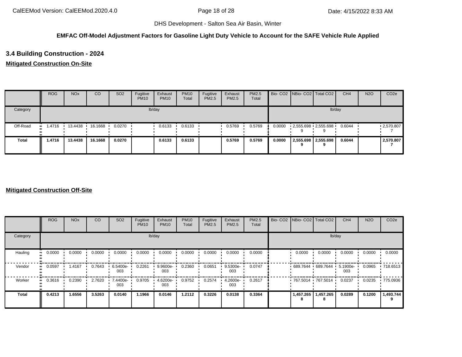#### **EMFAC Off-Model Adjustment Factors for Gasoline Light Duty Vehicle to Account for the SAFE Vehicle Rule Applied**

# **3.4 Building Construction - 2024**

### **Mitigated Construction On-Site**

|              | <b>ROG</b>    | <b>NO<sub>x</sub></b> | CO      | SO <sub>2</sub> | Fugitive<br><b>PM10</b> | Exhaust<br><b>PM10</b> | <b>PM10</b><br>Total | Fugitive<br>PM2.5 | Exhaust<br>PM2.5 | <b>PM2.5</b><br>Total |        |   | Bio- CO2   NBio- CO2   Total CO2 | CH <sub>4</sub> | <b>N2O</b> | CO <sub>2e</sub> |
|--------------|---------------|-----------------------|---------|-----------------|-------------------------|------------------------|----------------------|-------------------|------------------|-----------------------|--------|---|----------------------------------|-----------------|------------|------------------|
| Category     |               |                       |         |                 |                         | lb/day                 |                      |                   |                  |                       |        |   | lb/day                           |                 |            |                  |
| Off-Road     | i 4716<br>. . | 13.4438               | 16.1668 | 0.0270          |                         | 0.6133                 | 0.6133               |                   | 0.5769           | 0.5769                | 0.0000 |   | $2,555.698$ $2,555.698$          | 0.6044          |            | .2570.807        |
| <b>Total</b> | 1.4716        | 13.4438               | 16.1668 | 0.0270          |                         | 0.6133                 | 0.6133               |                   | 0.5769           | 0.5769                | 0.0000 | 9 | 2,555.698 2,555.698              | 0.6044          |            | 2,570.807        |

|                     | <b>ROG</b>                 | <b>NO<sub>x</sub></b> | CO     | SO <sub>2</sub> | Fugitive<br><b>PM10</b> | Exhaust<br><b>PM10</b> | <b>PM10</b><br>Total | Fugitive<br>PM2.5 | Exhaust<br>PM2.5 | PM2.5<br>Total | Bio- CO2   NBio- CO2   Total CO2 |           | CH <sub>4</sub> | <b>N2O</b> | CO <sub>2e</sub> |
|---------------------|----------------------------|-----------------------|--------|-----------------|-------------------------|------------------------|----------------------|-------------------|------------------|----------------|----------------------------------|-----------|-----------------|------------|------------------|
| Category            |                            |                       |        |                 |                         | lb/day                 |                      |                   |                  |                |                                  | lb/day    |                 |            |                  |
| Hauling             | 0.0000<br>$\bullet\bullet$ | 0.0000                | 0.0000 | 0.0000          | 0.0000                  | 0.0000                 | 0.0000               | 0.0000            | 0.0000           | 0.0000         | 0.0000                           | 0.0000    | 0.0000          | 0.0000     | 0.0000           |
| Vendor<br>$\bullet$ | 0.0597                     | 1.4167                | 0.7643 | 6.5400e-<br>003 | 0.2261                  | 9.9600e-<br>003        | 0.2360               | 0.0651            | 9.5300e-<br>003  | 0.0747         | 689.7644 689.7644 5.1900e-       |           | 003             | 0.0965     | $\cdot$ 718.6513 |
| Worker<br>$\bullet$ | 0.3616                     | 0.2390                | 2.7620 | 7.4400e-<br>003 | 0.9705                  | 4.6200e-<br>003        | 0.9752               | 0.2574            | 4.2600e-<br>003  | 0.2617         | 767.5014 767.5014                |           | 0.0237          | 0.0235     | .775.0936        |
| <b>Total</b>        | 0.4213                     | 1.6556                | 3.5263 | 0.0140          | 1.1966                  | 0.0146                 | 1.2112               | 0.3226            | 0.0138           | 0.3364         | 1,457.265                        | 1,457.265 | 0.0289          | 0.1200     | 1,493.744        |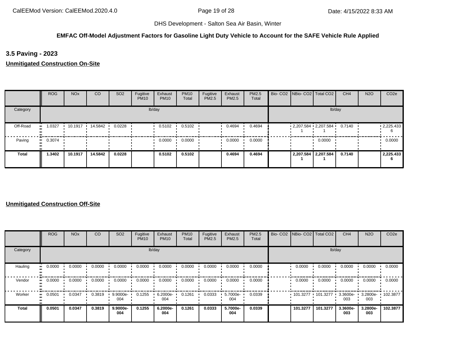#### **EMFAC Off-Model Adjustment Factors for Gasoline Light Duty Vehicle to Account for the SAFE Vehicle Rule Applied**

**3.5 Paving - 2023**

**Unmitigated Construction On-Site**

|              | <b>ROG</b> | <b>NO<sub>x</sub></b> | CO        | SO <sub>2</sub> | Fugitive<br><b>PM10</b> | Exhaust<br><b>PM10</b> | <b>PM10</b><br>Total | Fugitive<br>PM2.5 | Exhaust<br>PM2.5 | PM2.5<br>Total |  | Bio- CO2   NBio- CO2   Total CO2 | CH <sub>4</sub> | <b>N2O</b> | CO <sub>2e</sub>  |
|--------------|------------|-----------------------|-----------|-----------------|-------------------------|------------------------|----------------------|-------------------|------------------|----------------|--|----------------------------------|-----------------|------------|-------------------|
| Category     |            |                       |           |                 |                         | lb/day                 |                      |                   |                  |                |  | lb/day                           |                 |            |                   |
| Off-Road     | 1.0327     | 10.1917               | 14.5842 · | 0.0228          |                         | 0.5102                 | 0.5102               |                   | 0.4694           | 0.4694         |  | $2,207.584$ $2,207.584$ 0.7140   |                 |            | $\cdot$ 2,225.433 |
| Paving       | 0.3074     |                       |           |                 |                         | 0.0000                 | 0.0000               |                   | 0.0000           | 0.0000         |  | 0.0000                           |                 |            | 0.0000            |
| <b>Total</b> | 1.3402     | 10.1917               | 14.5842   | 0.0228          |                         | 0.5102                 | 0.5102               |                   | 0.4694           | 0.4694         |  | 2,207.584 2,207.584              | 0.7140          |            | 2,225.433<br>-6   |

|              | ROG    | <b>NO<sub>x</sub></b> | CO     | SO <sub>2</sub> | Fugitive<br><b>PM10</b> | Exhaust<br><b>PM10</b> | <b>PM10</b><br>Total | Fugitive<br>PM2.5 | Exhaust<br>PM2.5 | <b>PM2.5</b><br>Total |          | Bio- CO2   NBio- CO2   Total CO2 | CH <sub>4</sub>    | <b>N2O</b>      | CO <sub>2e</sub>  |
|--------------|--------|-----------------------|--------|-----------------|-------------------------|------------------------|----------------------|-------------------|------------------|-----------------------|----------|----------------------------------|--------------------|-----------------|-------------------|
| Category     |        |                       |        |                 |                         | lb/day                 |                      |                   |                  |                       |          | lb/day                           |                    |                 |                   |
| Hauling      | 0.0000 | 0.0000                | 0.0000 | 0.0000          | 0.0000                  | 0.0000                 | 0.0000               | 0.0000            | 0.0000           | 0.0000                | 0.0000   | 0.0000                           | 0.0000             | 0.0000          | 0.0000            |
| Vendor       | 0.0000 | 0.0000                | 0.0000 | 0.0000          | 0.0000                  | 0.0000                 | 0.0000               | 0.0000            | 0.0000           | 0.0000                | 0.0000   | 0.0000                           | 0.0000             | 0.0000          | 0.0000            |
| Worker       | 0.0501 | 0.0347                | 0.3819 | 9.9000e-<br>004 | 0.1255                  | 6.2000e-<br>004        | 0.1261               | 0.0333            | 5.7000e-<br>004  | 0.0339                |          | 101.3277 101.3277                | $3.3600e -$<br>003 | 003             | 3.2800e- 102.3877 |
| <b>Total</b> | 0.0501 | 0.0347                | 0.3819 | 9.9000e-<br>004 | 0.1255                  | 6.2000e-<br>004        | 0.1261               | 0.0333            | 5.7000e-<br>004  | 0.0339                | 101.3277 | 101.3277                         | 3.3600e-<br>003    | 3.2800e-<br>003 | 102.3877          |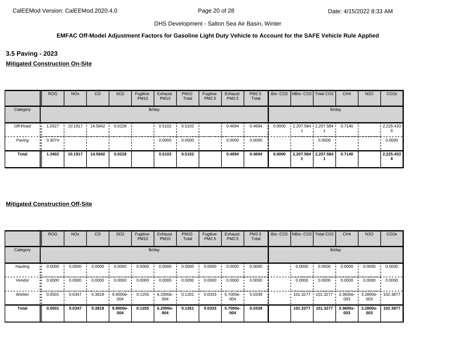## **EMFAC Off-Model Adjustment Factors for Gasoline Light Duty Vehicle to Account for the SAFE Vehicle Rule Applied**

**3.5 Paving - 2023**

**Mitigated Construction On-Site**

|          | <b>ROG</b>    | <b>NO<sub>x</sub></b> | <sub>CO</sub> | SO <sub>2</sub> | Fugitive<br><b>PM10</b> | Exhaust<br><b>PM10</b> | <b>PM10</b><br>Total | Fugitive<br>PM2.5 | Exhaust<br><b>PM2.5</b> | PM2.5<br>Total |        | Bio- CO2   NBio- CO2   Total CO2 |                     | CH <sub>4</sub> | <b>N2O</b> | CO <sub>2e</sub>  |
|----------|---------------|-----------------------|---------------|-----------------|-------------------------|------------------------|----------------------|-------------------|-------------------------|----------------|--------|----------------------------------|---------------------|-----------------|------------|-------------------|
| Category |               |                       |               |                 |                         | lb/day                 |                      |                   |                         |                |        |                                  | lb/day              |                 |            |                   |
| Off-Road | 1.0327<br>. . | 10.1917               | 14.5842 ·     | 0.0228          |                         | 0.5102                 | 0.5102               |                   | 0.4694                  | 0.4694         | 0.0000 | $2,207.584$ $2,207.584$ $\cdot$  |                     | 0.7140          |            | $\cdot$ 2,225.433 |
| Paving   | $-0.3074$     |                       |               |                 |                         | 0.0000                 | 0.0000               |                   | 0.0000                  | 0.0000         |        |                                  | 0.0000              |                 |            | 0.0000            |
| Total    | 1.3402        | 10.1917               | 14.5842       | 0.0228          |                         | 0.5102                 | 0.5102               |                   | 0.4694                  | 0.4694         | 0.0000 |                                  | 2,207.584 2,207.584 | 0.7140          |            | 2,225.433<br>6    |

|          | <b>ROG</b>            | <b>NO<sub>x</sub></b> | CO     | SO <sub>2</sub> | Fugitive<br><b>PM10</b> | Exhaust<br><b>PM10</b> | <b>PM10</b><br>Total | Fugitive<br><b>PM2.5</b> | Exhaust<br>PM2.5 | PM2.5<br>Total | Bio- CO2 NBio- CO2 Total CO2 |          | CH <sub>4</sub>    | <b>N2O</b>               | CO <sub>2e</sub> |
|----------|-----------------------|-----------------------|--------|-----------------|-------------------------|------------------------|----------------------|--------------------------|------------------|----------------|------------------------------|----------|--------------------|--------------------------|------------------|
| Category |                       |                       |        |                 |                         | lb/day                 |                      |                          |                  |                |                              | lb/day   |                    |                          |                  |
| Hauling  | 0.0000<br>            | 0.0000                | 0.0000 | 0.0000          | 0.0000                  | 0.0000                 | 0.0000               | 0.0000                   | 0.0000           | 0.0000         | 0.0000                       | 0.0000   | 0.0000             | 0.0000                   | 0.0000           |
| Vendor   | $\blacksquare$ 0.0000 | 0.0000                | 0.0000 | 0.0000          | 0.0000                  | 0.0000                 | 0.0000               | 0.0000                   | 0.0000           | 0.0000         | 0.0000                       | 0.0000   | 0.0000             | 0.0000                   | 0.0000           |
| Worker   | 0.0501<br>            | 0.0347                | 0.3819 | 9.9000e-<br>004 | 0.1255                  | 6.2000e-<br>004        | 0.1261               | 0.0333                   | 5.7000e-<br>004  | 0.0339         | $101.3277$ 101.3277 ·        |          | $3.3600e -$<br>003 | 3.2800e- 102.3877<br>003 |                  |
| Total    | 0.0501                | 0.0347                | 0.3819 | 9.9000e-<br>004 | 0.1255                  | 6.2000e-<br>004        | 0.1261               | 0.0333                   | 5.7000e-<br>004  | 0.0339         | 101.3277                     | 101.3277 | 3.3600e-<br>003    | 3.2800e-<br>003          | 102.3877         |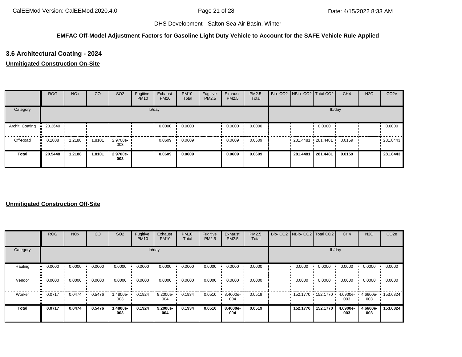## **EMFAC Off-Model Adjustment Factors for Gasoline Light Duty Vehicle to Account for the SAFE Vehicle Rule Applied**

# **3.6 Architectural Coating - 2024**

### **Unmitigated Construction On-Site**

|                 | <b>ROG</b>             | <b>NO<sub>x</sub></b> | CO     | SO <sub>2</sub>         | Fugitive<br><b>PM10</b> | Exhaust<br><b>PM10</b> | <b>PM10</b><br>Total | Fugitive<br><b>PM2.5</b> | Exhaust<br>PM2.5 | <b>PM2.5</b><br>Total | Bio- CO2   NBio- CO2   Total CO2 |          | CH <sub>4</sub> | <b>N2O</b> | CO <sub>2e</sub> |
|-----------------|------------------------|-----------------------|--------|-------------------------|-------------------------|------------------------|----------------------|--------------------------|------------------|-----------------------|----------------------------------|----------|-----------------|------------|------------------|
| Category        |                        |                       |        |                         |                         | lb/day                 |                      |                          |                  |                       |                                  |          | lb/day          |            |                  |
| Archit. Coating | $\blacksquare$ 20.3640 |                       |        |                         |                         | 0.0000                 | 0.0000               |                          | 0.0000           | 0.0000                |                                  | 0.0000   |                 |            | 0.0000           |
| Off-Road        | 0.1808                 | .2188                 | 1.8101 | $\cdot$ 2.9700e-<br>003 |                         | 0.0609                 | 0.0609               |                          | 0.0609           | 0.0609                | 281.4481 281.4481 '              |          | 0.0159          |            | 281.8443         |
| <b>Total</b>    | 20.5448                | 1.2188                | 1.8101 | 2.9700e-<br>003         |                         | 0.0609                 | 0.0609               |                          | 0.0609           | 0.0609                | 281.4481                         | 281.4481 | 0.0159          |            | 281.8443         |

|          | <b>ROG</b>            | <b>NO<sub>x</sub></b> | CO     | SO <sub>2</sub> | Fugitive<br><b>PM10</b> | Exhaust<br><b>PM10</b> | <b>PM10</b><br>Total | Fugitive<br><b>PM2.5</b> | Exhaust<br>PM2.5 | PM2.5<br>Total | Bio- CO2 NBio- CO2 Total CO2 |          | CH <sub>4</sub>    | <b>N2O</b>               | CO <sub>2e</sub> |
|----------|-----------------------|-----------------------|--------|-----------------|-------------------------|------------------------|----------------------|--------------------------|------------------|----------------|------------------------------|----------|--------------------|--------------------------|------------------|
| Category |                       |                       |        |                 |                         | lb/day                 |                      |                          |                  |                |                              | lb/day   |                    |                          |                  |
| Hauling  | 0.0000<br>            | 0.0000                | 0.0000 | 0.0000          | 0.0000                  | 0.0000                 | 0.0000               | 0.0000                   | 0.0000           | 0.0000         | 0.0000                       | 0.0000   | 0.0000             | 0.0000                   | 0.0000           |
| Vendor   | $\blacksquare$ 0.0000 | 0.0000                | 0.0000 | 0.0000          | 0.0000                  | 0.0000                 | 0.0000               | 0.0000                   | 0.0000           | 0.0000         | 0.0000                       | 0.0000   | 0.0000             | 0.0000                   | 0.0000           |
| Worker   | 0.0717<br>            | 0.0474                | 0.5476 | .4800e-<br>003  | 0.1924                  | 9.2000e-<br>004        | 0.1934               | 0.0510                   | 8.4000e-<br>004  | 0.0519         | 152.1770 152.1770 1          |          | $4.6900e -$<br>003 | 4.6600e- 153.6824<br>003 |                  |
| Total    | 0.0717                | 0.0474                | 0.5476 | -.4800e<br>003  | 0.1924                  | 9.2000e-<br>004        | 0.1934               | 0.0510                   | 8.4000e-<br>004  | 0.0519         | 152.1770                     | 152.1770 | 4.6900e-<br>003    | 4.6600e-<br>003          | 153.6824         |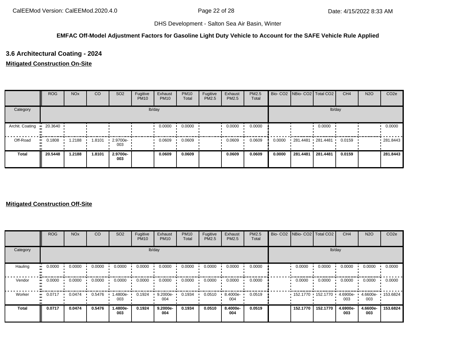## **EMFAC Off-Model Adjustment Factors for Gasoline Light Duty Vehicle to Account for the SAFE Vehicle Rule Applied**

# **3.6 Architectural Coating - 2024**

### **Mitigated Construction On-Site**

|                 | <b>ROG</b> | <b>NO<sub>x</sub></b> | CO     | SO <sub>2</sub>    | Fugitive<br><b>PM10</b> | Exhaust<br><b>PM10</b> | <b>PM10</b><br>Total | Fugitive<br><b>PM2.5</b> | Exhaust<br>PM2.5 | <b>PM2.5</b><br>Total |        | Bio- CO2   NBio- CO2   Total CO2 |          | CH <sub>4</sub> | <b>N2O</b> | CO <sub>2e</sub> |
|-----------------|------------|-----------------------|--------|--------------------|-------------------------|------------------------|----------------------|--------------------------|------------------|-----------------------|--------|----------------------------------|----------|-----------------|------------|------------------|
| Category        |            |                       |        |                    |                         | lb/day                 |                      |                          |                  |                       |        |                                  | lb/day   |                 |            |                  |
| Archit. Coating | 20.3640    |                       |        |                    |                         | 0.0000                 | 0.0000               |                          | 0.0000           | 0.0000                |        |                                  | 0.0000   |                 |            | 0.0000           |
| Off-Road        | 0.1808     | .2188                 | 1.8101 | $-2.9700e-$<br>003 |                         | 0.0609                 | 0.0609               |                          | 0.0609           | 0.0609                | 0.0000 | $281.4481$ 281.4481              |          | 0.0159          |            | .281.8443        |
| <b>Total</b>    | 20.5448    | 1.2188                | 1.8101 | 2.9700e-<br>003    |                         | 0.0609                 | 0.0609               |                          | 0.0609           | 0.0609                | 0.0000 | 281.4481                         | 281.4481 | 0.0159          |            | 281.8443         |

|              | <b>ROG</b> | <b>NO<sub>x</sub></b> | <sub>CO</sub> | SO <sub>2</sub> | Fugitive<br><b>PM10</b> | Exhaust<br><b>PM10</b> | <b>PM10</b><br>Total | Fugitive<br>PM2.5 | Exhaust<br>PM2.5 | <b>PM2.5</b><br>Total | Bio- CO2   NBio- CO2   Total CO2 |          | CH <sub>4</sub> | <b>N2O</b>      | CO <sub>2e</sub> |
|--------------|------------|-----------------------|---------------|-----------------|-------------------------|------------------------|----------------------|-------------------|------------------|-----------------------|----------------------------------|----------|-----------------|-----------------|------------------|
| Category     |            |                       |               |                 |                         | lb/day                 |                      |                   |                  |                       |                                  | lb/day   |                 |                 |                  |
| Hauling      | 0.0000     | 0.0000                | 0.0000        | 0.0000          | 0.0000                  | 0.0000                 | 0.0000               | 0.0000            | 0.0000           | 0.0000                | 0.0000                           | 0.0000   | 0.0000          | 0.0000          | 0.0000           |
| Vendor       | 0.0000     | 0.0000                | 0.0000        | 0.0000          | 0.0000                  | 0.0000                 | 0.0000               | 0.0000            | 0.0000           | 0.0000                | 0.0000                           | 0.0000   | 0.0000          | 0.0000          | 0.0000           |
| Worker       | 0.0717     | 0.0474                | 0.5476        | -.4800e<br>003  | 0.1924                  | 9.2000e-<br>004        | 0.1934               | 0.0510            | 8.4000e-<br>004  | 0.0519                | $152.1770$ 152.1770 $\cdot$      |          | 4.6900e-<br>003 | 4.6600e-<br>003 | 153.6824         |
| <b>Total</b> | 0.0717     | 0.0474                | 0.5476        | 1.4800e-<br>003 | 0.1924                  | 9.2000e-<br>004        | 0.1934               | 0.0510            | 8.4000e-<br>004  | 0.0519                | 152.1770                         | 152.1770 | 4.6900e-<br>003 | 4.6600e-<br>003 | 153.6824         |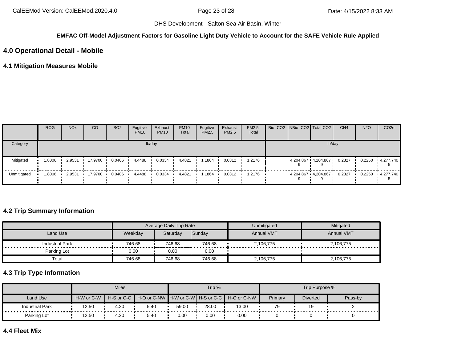#### **EMFAC Off-Model Adjustment Factors for Gasoline Light Duty Vehicle to Account for the SAFE Vehicle Rule Applied**

## **4.0 Operational Detail - Mobile**

## **4.1 Mitigation Measures Mobile**

|             | <b>ROG</b> | <b>NO<sub>x</sub></b> | CO      | SO <sub>2</sub> | Fugitive<br><b>PM10</b> | Exhaust<br><b>PM10</b> | <b>PM10</b><br>Total | Fugitive<br><b>PM2.5</b> | Exhaust<br>PM2.5 | <b>PM2.5</b><br>Total |                     | Bio- CO2 NBio- CO2 Total CO2 | CH <sub>4</sub> | <b>N2O</b> | CO <sub>2e</sub> |
|-------------|------------|-----------------------|---------|-----------------|-------------------------|------------------------|----------------------|--------------------------|------------------|-----------------------|---------------------|------------------------------|-----------------|------------|------------------|
| Category    |            |                       |         |                 |                         | lb/day                 |                      |                          |                  |                       |                     | lb/day                       |                 |            |                  |
| Mitigated   | 1.8006     | 2.9531                | 17.9700 | 0.0406          | 4.4488                  | 0.0334                 | 4.4821               | . 1864                   | 0.0312           | 1.2176                | 4,204.867 4,204.867 |                              | 0.2327          | 0.2250     | 4,277.740        |
| Unmitigated | 1.8006     | 2.9531                | 17.9700 | 0.0406          | 4.4488                  | 0.0334                 | 4.4821               | . 1864                   | 0.0312           | 1.2176                |                     | $4,204.867$ $4,204.867$      | 0.2327          | 0.2250     | 4,277.740        |

## **4.2 Trip Summary Information**

|                        |         | Average Daily Trip Rate |        | Unmitigated       | Mitigated         |
|------------------------|---------|-------------------------|--------|-------------------|-------------------|
| Land Use               | Weekday | Saturdav                | Sunday | <b>Annual VMT</b> | <b>Annual VMT</b> |
| <b>Industrial Park</b> | 746.68  | 746.68                  | 746.68 | 2,106,775         | 2,106,775         |
| Parking Lot            | 0.00    | 0.00                    | 0.00   |                   |                   |
| Total                  | 746.68  | 746.68                  | 746.68 | 2,106,775         | 2,106,775         |

# **4.3 Trip Type Information**

|                        |            | <b>Miles</b>   |      |       | Trip % |                                               |         | Trip Purpose %  |         |
|------------------------|------------|----------------|------|-------|--------|-----------------------------------------------|---------|-----------------|---------|
| Land Use               | H-W or C-W | $H-S$ or $C-C$ |      |       |        | H-O or C-NW H-W or C-W H-S or C-C H-O or C-NW | Primary | <b>Diverted</b> | Pass-by |
| <b>Industrial Park</b> | 12.50      | 4.20           | 5.40 | 59.00 | 28.00  | 13.00                                         | 79      | 19              |         |
| Parking Lot            | 12.50      | 4.20           | 5.40 | 0.00  | 0.00   | 0.00                                          |         |                 |         |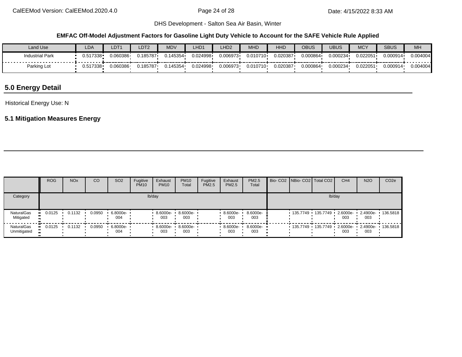#### **EMFAC Off-Model Adjustment Factors for Gasoline Light Duty Vehicle to Account for the SAFE Vehicle Rule Applied**

| Land Use               | LDA          | LDT1     | LDT <sub>2</sub> | MNU<br>∖ישו∨ו | LHD <sub>1</sub> | LHD <sub>2</sub> | <b>MHD</b> | HHD      | OBUS     | <b>UBUS</b> | <b>MCY</b> | <b>SBUS</b> | MH       |
|------------------------|--------------|----------|------------------|---------------|------------------|------------------|------------|----------|----------|-------------|------------|-------------|----------|
| <b>Industrial Park</b> | 0.517338     | 0.060386 | 0.185787         | 0.145354      | 0.024998         | 0.006973         | 0.010710   | 0.020387 | 0.000864 | 0.000234    | 0.022051   | 0.000914    | 0.004004 |
| Parking Lot            | $J.517338 -$ | 0.060386 | 0.185787         | 0.145354      | 0.024998         | 0.006973         | 0.010710   | 0.020387 | 0.000864 | 0.000234    | 0.022051   | 0.000914    | 0.004004 |

# **5.0 Energy Detail**

Historical Energy Use: N

# **5.1 Mitigation Measures Energy**

|                                | <b>ROG</b> | <b>NO<sub>x</sub></b> | <b>CO</b> | <b>SO2</b>      | Fugitive<br><b>PM10</b> | Exhaust<br><b>PM10</b> | <b>PM10</b><br>Total | Fugitive<br>PM2.5 | Exhaust<br><b>PM2.5</b> | PM2.5<br>Total    |  | Bio- CO2   NBio- CO2   Total CO2          | CH <sub>4</sub> | <b>N2O</b> | CO <sub>2e</sub>  |
|--------------------------------|------------|-----------------------|-----------|-----------------|-------------------------|------------------------|----------------------|-------------------|-------------------------|-------------------|--|-------------------------------------------|-----------------|------------|-------------------|
| Category                       |            |                       |           |                 |                         | lb/day                 |                      |                   |                         |                   |  | lb/day                                    |                 |            |                   |
| <b>NaturalGas</b><br>Mitigated | 0.0125     | 0.1132                | 0.0950    | 6.8000e-<br>004 |                         | $8.6000e - 1$<br>003   | $8.6000e -$<br>003   |                   | 8.6000e-<br>003         | 8.6000e-<br>003   |  | 135.7749 · 135.7749 · 2.6000e- · 2.4900e- | 003             | 003        | $\cdot$ 136.5818  |
| NaturalGas<br>Unmitigated      | 0.0125     | 0.1132                | 0.0950    | 6.8000e-<br>004 |                         | 8.6000e- •<br>003      | 8.6000e- •<br>003    |                   | 8.6000e-<br>003         | 8.6000e- ·<br>003 |  |                                           | 003             | 003        | 2.4900e- 136.5818 |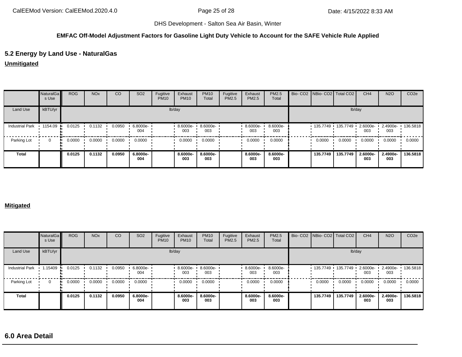#### **EMFAC Off-Model Adjustment Factors for Gasoline Light Duty Vehicle to Account for the SAFE Vehicle Rule Applied**

## **5.2 Energy by Land Use - NaturalGas**

**Unmitigated**

|                        | <b>NaturalGa</b><br>s Use | <b>ROG</b> | <b>NO<sub>x</sub></b> | CO     | SO <sub>2</sub> | Fugitive<br><b>PM10</b> | Exhaust<br><b>PM10</b> | <b>PM10</b><br>Total | Fugitive<br>PM2.5 | Exhaust<br>PM2.5 | PM2.5<br>Total  | Bio-CO2 NBio-CO2 Total CO2 |          | CH <sub>4</sub> | <b>N2O</b>      | CO <sub>2e</sub> |
|------------------------|---------------------------|------------|-----------------------|--------|-----------------|-------------------------|------------------------|----------------------|-------------------|------------------|-----------------|----------------------------|----------|-----------------|-----------------|------------------|
| Land Use               | kBTU/yr                   |            |                       |        |                 |                         | lb/day                 |                      |                   |                  |                 |                            |          | lb/day          |                 |                  |
| <b>Industrial Park</b> | $\cdot$ 1154.09           | 0.0125     | 0.1132                | 0.0950 | 6.8000e-<br>004 |                         | 8.6000e-<br>003        | 8.6000e-<br>003      |                   | 8.6000e-<br>003  | 8.6000e-<br>003 | $135.7749$ $135.7749$ $1$  |          | 2.6000e-<br>003 | 2.4900e-<br>003 | 136.5818         |
| Parking Lot            | $\Omega$                  | 0.0000     | 0.0000                | 0.0000 | 0.0000          |                         | 0.0000                 | 0.0000               |                   | 0.0000           | 0.0000          | 0.0000                     | 0.0000   | 0.0000          | 0.0000          | 0.0000           |
| <b>Total</b>           |                           | 0.0125     | 0.1132                | 0.0950 | 6.8000e-<br>004 |                         | 8.6000e-<br>003        | 8.6000e-<br>003      |                   | 8.6000e-<br>003  | 8.6000e-<br>003 | 135.7749                   | 135.7749 | 2.6000e-<br>003 | 2.4900e-<br>003 | 136.5818         |

#### **Mitigated**

|                        | NaturalGa<br>s Use | <b>ROG</b> | <b>NO<sub>x</sub></b> | CO     | SO <sub>2</sub> | Fugitive<br><b>PM10</b> | Exhaust<br><b>PM10</b> | <b>PM10</b><br>Total | Fugitive<br>PM2.5 | Exhaust<br>PM2.5 | PM2.5<br>Total  | Bio- CO2   NBio- CO2   Total CO2 |                     | CH <sub>4</sub> | <b>N2O</b>      | CO <sub>2e</sub> |
|------------------------|--------------------|------------|-----------------------|--------|-----------------|-------------------------|------------------------|----------------------|-------------------|------------------|-----------------|----------------------------------|---------------------|-----------------|-----------------|------------------|
| Land Use               | kBTU/yr            |            |                       |        |                 |                         | lb/day                 |                      |                   |                  |                 |                                  | lb/day              |                 |                 |                  |
| <b>Industrial Park</b> | 1.15409            | 0.0125     | 0.1132                | 0.0950 | 6.8000e-<br>004 |                         | 8.6000e-<br>003        | 8.6000e-<br>003      |                   | 8.6000e-<br>003  | 8.6000e-<br>003 |                                  | 135.7749 135.7749 1 | 2.6000e-<br>003 | 2.4900e-<br>003 | 136.5818         |
| Parking Lot            |                    | 0.0000     | 0.0000                | 0.0000 | 0.0000          |                         | 0.0000                 | 0.0000               |                   | 0.0000           | 0.0000          | 0.0000                           | 0.0000              | 0.0000          | 0.0000          | 0.0000           |
| <b>Total</b>           |                    | 0.0125     | 0.1132                | 0.0950 | 6.8000e-<br>004 |                         | 8.6000e-<br>003        | 8.6000e-<br>003      |                   | 8.6000e-<br>003  | 8.6000e-<br>003 | 135.7749                         | 135.7749            | 2.6000e-<br>003 | 2.4900e-<br>003 | 136,5818         |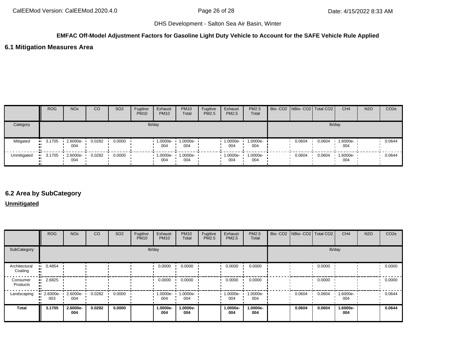## **EMFAC Off-Model Adjustment Factors for Gasoline Light Duty Vehicle to Account for the SAFE Vehicle Rule Applied**

### **6.1 Mitigation Measures Area**

|             | <b>ROG</b>            | <b>NO<sub>x</sub></b> | CO     | SO <sub>2</sub> | Fugitive<br><b>PM10</b> | Exhaust<br><b>PM10</b> | <b>PM10</b><br>Total | Fugitive<br><b>PM2.5</b> | Exhaust<br>PM2.5   | <b>PM2.5</b><br>Total | Bio- CO2   NBio- CO2   Total CO2 |        | CH <sub>4</sub> | <b>N2O</b> | CO <sub>2</sub> e |
|-------------|-----------------------|-----------------------|--------|-----------------|-------------------------|------------------------|----------------------|--------------------------|--------------------|-----------------------|----------------------------------|--------|-----------------|------------|-------------------|
| Category    |                       |                       |        |                 |                         | lb/day                 |                      |                          |                    |                       |                                  |        | lb/day          |            |                   |
| Mitigated   | $-3.1705$             | 2.6000e-<br>004       | 0.0282 | 0.0000          |                         | 1.0000e-<br>004        | 1.0000e-<br>004      |                          | 1.0000e-<br>004    | 1.0000e-<br>004       | 0.0604                           | 0.0604 | 1.6000e-<br>004 |            | 0.0644            |
| Unmitigated | $\blacksquare$ 3.1705 | 2.6000e-<br>004       | 0.0282 | 0.0000          |                         | $1.0000e -$<br>004     | 1.0000e-<br>004      |                          | $1.0000e -$<br>004 | $1.0000e-$<br>004     | 0.0604                           | 0.0604 | 1.6000e-<br>004 |            | 0.0644            |

## **6.2 Area by SubCategory**

## **Unmitigated**

|                          | <b>ROG</b>          | <b>NO<sub>x</sub></b> | CO     | SO <sub>2</sub> | Fugitive<br><b>PM10</b> | Exhaust<br><b>PM10</b> | <b>PM10</b><br>Total | Fugitive<br>PM2.5 | Exhaust<br><b>PM2.5</b> | PM2.5<br>Total  |        | Bio- CO2   NBio- CO2   Total CO2 | CH <sub>4</sub> | <b>N2O</b> | CO <sub>2e</sub> |
|--------------------------|---------------------|-----------------------|--------|-----------------|-------------------------|------------------------|----------------------|-------------------|-------------------------|-----------------|--------|----------------------------------|-----------------|------------|------------------|
| SubCategory              |                     |                       |        |                 |                         | lb/day                 |                      |                   |                         |                 |        |                                  | lb/day          |            |                  |
| Architectural<br>Coating | 0.4854<br>          |                       |        |                 |                         | 0.0000                 | 0.0000               |                   | 0.0000                  | 0.0000          |        | 0.0000                           |                 |            | 0.0000           |
| Consumer<br>Products     | 2.6825              |                       |        |                 |                         | 0.0000                 | 0.0000               |                   | 0.0000                  | 0.0000          |        | 0.0000                           |                 |            | 0.0000           |
| Landscaping              | 2.6000e-<br><br>003 | 2.6000e-<br>004       | 0.0282 | 0.0000          |                         | $1.0000e-$<br>004      | 1.0000e-<br>004      |                   | 1.0000e- •<br>004       | 1.0000e-<br>004 | 0.0604 | 0.0604                           | 1.6000e-<br>004 |            | 0.0644           |
| <b>Total</b>             | 3.1705              | 2.6000e-<br>004       | 0.0282 | 0.0000          |                         | 1.0000e-<br>004        | 1.0000e-<br>004      |                   | 1.0000e-<br>004         | 1.0000e-<br>004 | 0.0604 | 0.0604                           | 1.6000e-<br>004 |            | 0.0644           |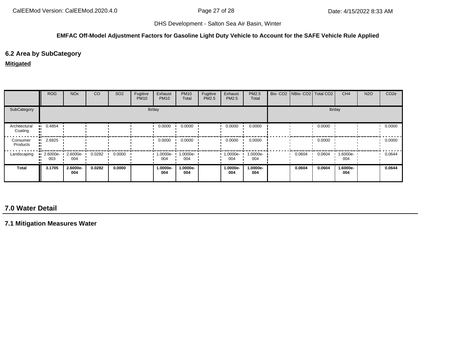#### **EMFAC Off-Model Adjustment Factors for Gasoline Light Duty Vehicle to Account for the SAFE Vehicle Rule Applied**

# **6.2 Area by SubCategory**

#### **Mitigated**

|                          | <b>ROG</b>                     | <b>NO<sub>x</sub></b> | <sub>CO</sub> | SO <sub>2</sub> | Fugitive<br><b>PM10</b> | Exhaust<br><b>PM10</b> | <b>PM10</b><br>Total | Fugitive<br>PM2.5 | Exhaust<br><b>PM2.5</b> | PM2.5<br>Total  | Bio- CO2   NBio- CO2   Total CO2 |        | CH <sub>4</sub> | <b>N2O</b> | CO <sub>2e</sub> |
|--------------------------|--------------------------------|-----------------------|---------------|-----------------|-------------------------|------------------------|----------------------|-------------------|-------------------------|-----------------|----------------------------------|--------|-----------------|------------|------------------|
| SubCategory              |                                |                       |               |                 |                         | lb/day                 |                      |                   |                         |                 |                                  |        | lb/day          |            |                  |
| Architectural<br>Coating | $-0.4854$                      |                       |               |                 |                         | 0.0000                 | 0.0000               |                   | 0.0000                  | 0.0000          |                                  | 0.0000 |                 |            | 0.0000           |
| Consumer<br>Products     | 2.6825<br>ш.                   |                       |               |                 |                         | 0.0000                 | 0.0000               |                   | 0.0000                  | 0.0000          |                                  | 0.0000 |                 |            | 0.0000           |
| Landscaping              | $\blacksquare$ 2.6000e-<br>003 | 2.6000e-<br>004       | 0.0282        | 0.0000          |                         | 1.0000e-<br>004        | 1.0000e-<br>004      |                   | 1.0000e-<br>004         | 1.0000e-<br>004 | 0.0604                           | 0.0604 | 1.6000e-<br>004 |            | 0.0644           |
| Total                    | 3.1705                         | 2.6000e-<br>004       | 0.0282        | 0.0000          |                         | 1.0000e-<br>004        | 1.0000e-<br>004      |                   | 1.0000e-<br>004         | 1.0000e-<br>004 | 0.0604                           | 0.0604 | 1.6000e-<br>004 |            | 0.0644           |

# **7.0 Water Detail**

**7.1 Mitigation Measures Water**